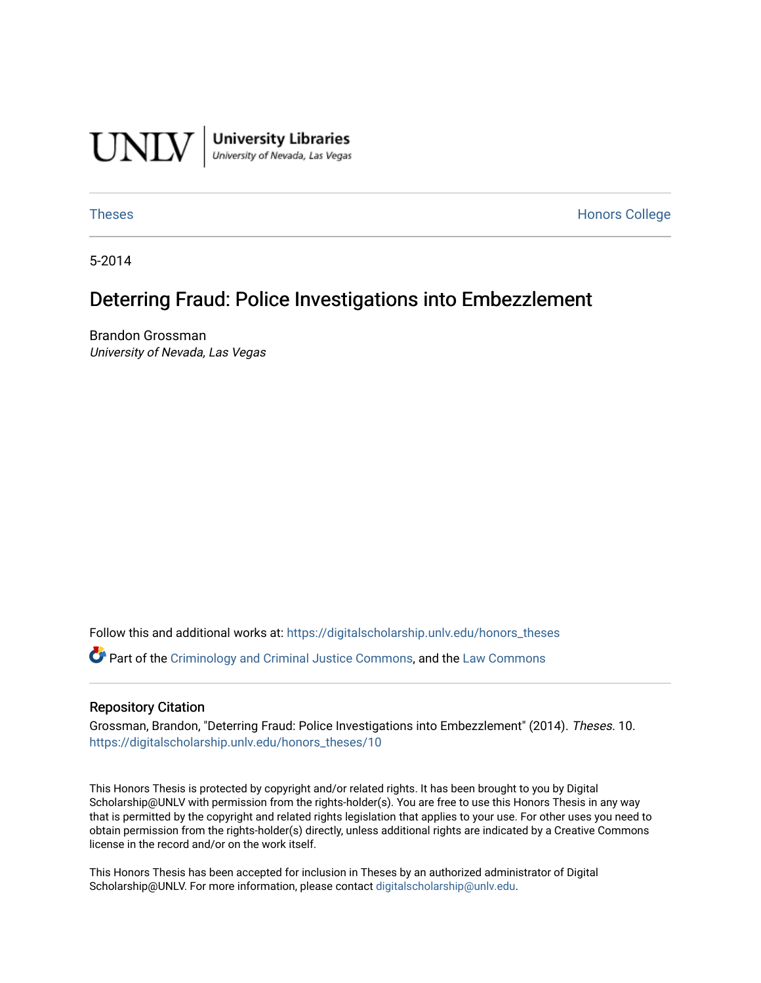

[Theses](https://digitalscholarship.unlv.edu/honors_theses) **Honors College** [Honors College](https://digitalscholarship.unlv.edu/honors) **Honors College** 

5-2014

# Deterring Fraud: Police Investigations into Embezzlement

Brandon Grossman University of Nevada, Las Vegas

Follow this and additional works at: [https://digitalscholarship.unlv.edu/honors\\_theses](https://digitalscholarship.unlv.edu/honors_theses?utm_source=digitalscholarship.unlv.edu%2Fhonors_theses%2F10&utm_medium=PDF&utm_campaign=PDFCoverPages) 

**P** Part of the [Criminology and Criminal Justice Commons](http://network.bepress.com/hgg/discipline/367?utm_source=digitalscholarship.unlv.edu%2Fhonors_theses%2F10&utm_medium=PDF&utm_campaign=PDFCoverPages), and the [Law Commons](http://network.bepress.com/hgg/discipline/578?utm_source=digitalscholarship.unlv.edu%2Fhonors_theses%2F10&utm_medium=PDF&utm_campaign=PDFCoverPages)

#### Repository Citation

Grossman, Brandon, "Deterring Fraud: Police Investigations into Embezzlement" (2014). Theses. 10. [https://digitalscholarship.unlv.edu/honors\\_theses/10](https://digitalscholarship.unlv.edu/honors_theses/10?utm_source=digitalscholarship.unlv.edu%2Fhonors_theses%2F10&utm_medium=PDF&utm_campaign=PDFCoverPages)

This Honors Thesis is protected by copyright and/or related rights. It has been brought to you by Digital Scholarship@UNLV with permission from the rights-holder(s). You are free to use this Honors Thesis in any way that is permitted by the copyright and related rights legislation that applies to your use. For other uses you need to obtain permission from the rights-holder(s) directly, unless additional rights are indicated by a Creative Commons license in the record and/or on the work itself.

This Honors Thesis has been accepted for inclusion in Theses by an authorized administrator of Digital Scholarship@UNLV. For more information, please contact [digitalscholarship@unlv.edu.](mailto:digitalscholarship@unlv.edu)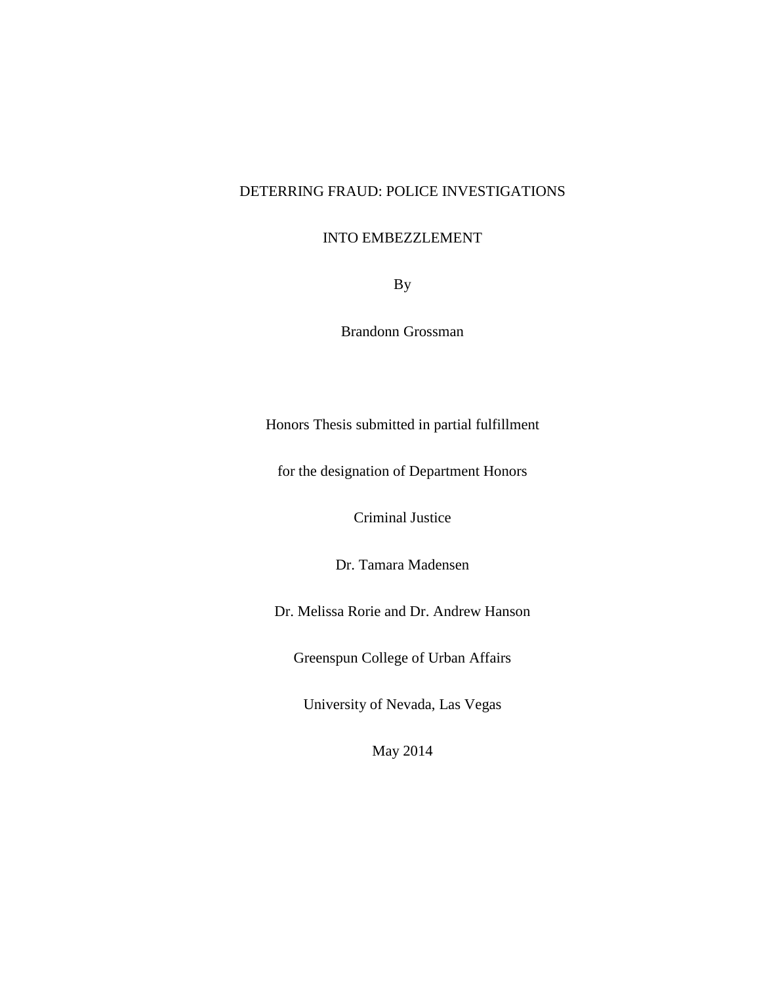## DETERRING FRAUD: POLICE INVESTIGATIONS

## INTO EMBEZZLEMENT

By

Brandonn Grossman

Honors Thesis submitted in partial fulfillment

for the designation of Department Honors

Criminal Justice

Dr. Tamara Madensen

Dr. Melissa Rorie and Dr. Andrew Hanson

Greenspun College of Urban Affairs

University of Nevada, Las Vegas

May 2014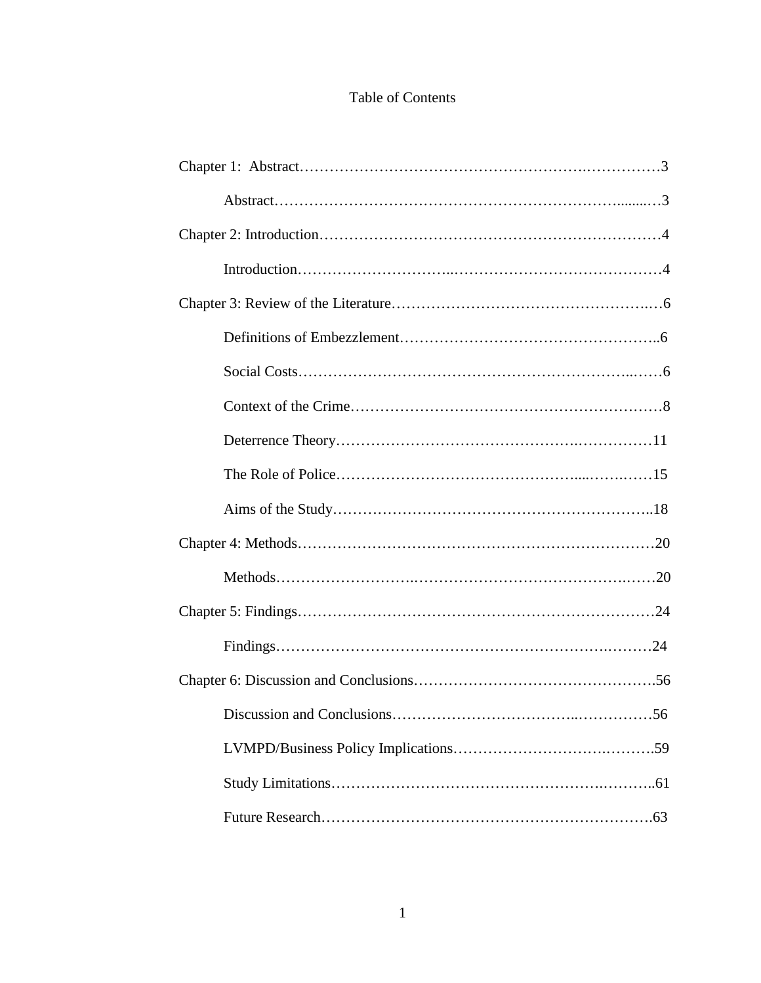## Table of Contents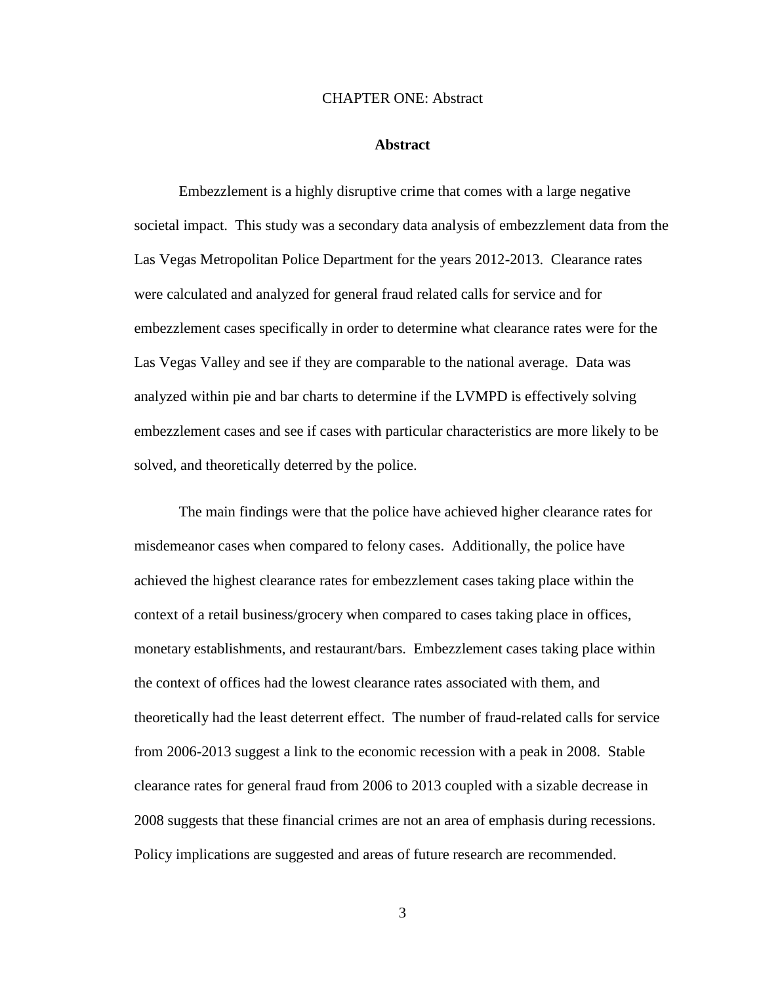## CHAPTER ONE: Abstract

## **Abstract**

Embezzlement is a highly disruptive crime that comes with a large negative societal impact. This study was a secondary data analysis of embezzlement data from the Las Vegas Metropolitan Police Department for the years 2012-2013. Clearance rates were calculated and analyzed for general fraud related calls for service and for embezzlement cases specifically in order to determine what clearance rates were for the Las Vegas Valley and see if they are comparable to the national average. Data was analyzed within pie and bar charts to determine if the LVMPD is effectively solving embezzlement cases and see if cases with particular characteristics are more likely to be solved, and theoretically deterred by the police.

The main findings were that the police have achieved higher clearance rates for misdemeanor cases when compared to felony cases. Additionally, the police have achieved the highest clearance rates for embezzlement cases taking place within the context of a retail business/grocery when compared to cases taking place in offices, monetary establishments, and restaurant/bars. Embezzlement cases taking place within the context of offices had the lowest clearance rates associated with them, and theoretically had the least deterrent effect. The number of fraud-related calls for service from 2006-2013 suggest a link to the economic recession with a peak in 2008. Stable clearance rates for general fraud from 2006 to 2013 coupled with a sizable decrease in 2008 suggests that these financial crimes are not an area of emphasis during recessions. Policy implications are suggested and areas of future research are recommended.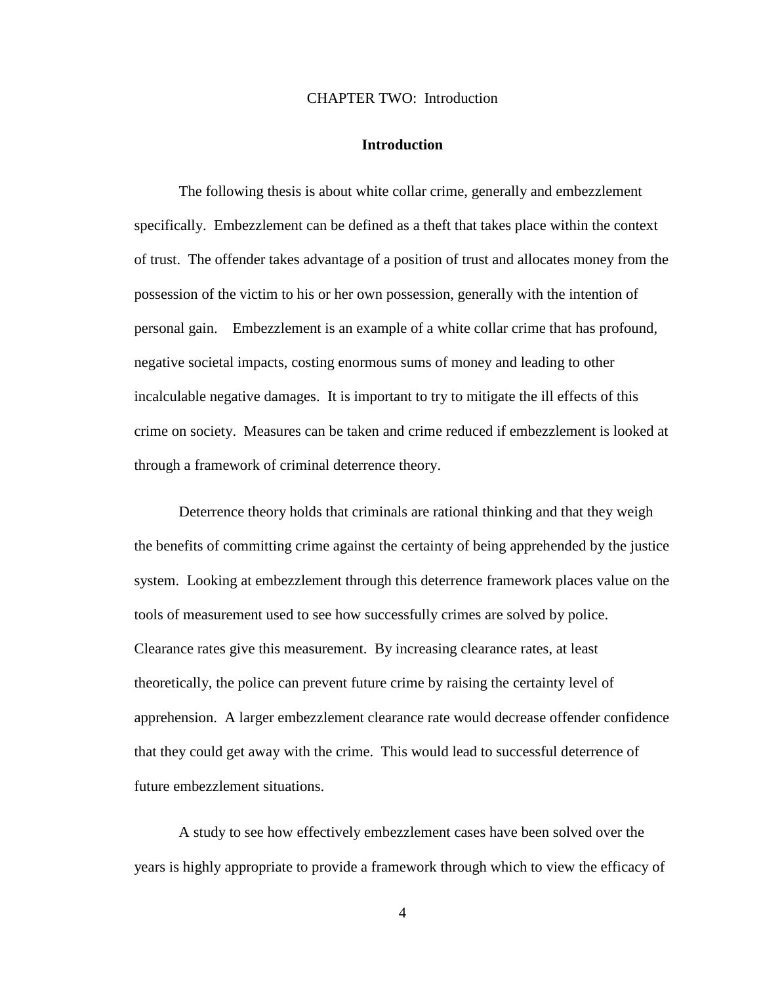## CHAPTER TWO: Introduction

## **Introduction**

The following thesis is about white collar crime, generally and embezzlement specifically. Embezzlement can be defined as a theft that takes place within the context of trust. The offender takes advantage of a position of trust and allocates money from the possession of the victim to his or her own possession, generally with the intention of personal gain. Embezzlement is an example of a white collar crime that has profound, negative societal impacts, costing enormous sums of money and leading to other incalculable negative damages. It is important to try to mitigate the ill effects of this crime on society. Measures can be taken and crime reduced if embezzlement is looked at through a framework of criminal deterrence theory.

Deterrence theory holds that criminals are rational thinking and that they weigh the benefits of committing crime against the certainty of being apprehended by the justice system. Looking at embezzlement through this deterrence framework places value on the tools of measurement used to see how successfully crimes are solved by police. Clearance rates give this measurement. By increasing clearance rates, at least theoretically, the police can prevent future crime by raising the certainty level of apprehension. A larger embezzlement clearance rate would decrease offender confidence that they could get away with the crime. This would lead to successful deterrence of future embezzlement situations.

A study to see how effectively embezzlement cases have been solved over the years is highly appropriate to provide a framework through which to view the efficacy of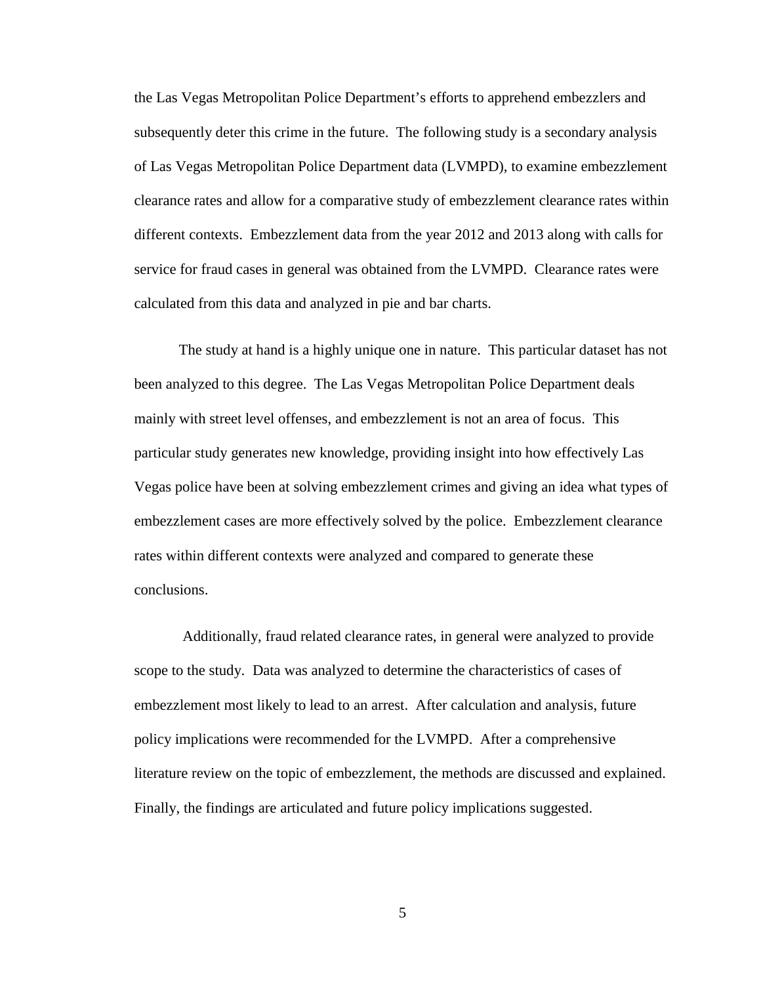the Las Vegas Metropolitan Police Department's efforts to apprehend embezzlers and subsequently deter this crime in the future. The following study is a secondary analysis of Las Vegas Metropolitan Police Department data (LVMPD), to examine embezzlement clearance rates and allow for a comparative study of embezzlement clearance rates within different contexts. Embezzlement data from the year 2012 and 2013 along with calls for service for fraud cases in general was obtained from the LVMPD. Clearance rates were calculated from this data and analyzed in pie and bar charts.

The study at hand is a highly unique one in nature. This particular dataset has not been analyzed to this degree. The Las Vegas Metropolitan Police Department deals mainly with street level offenses, and embezzlement is not an area of focus. This particular study generates new knowledge, providing insight into how effectively Las Vegas police have been at solving embezzlement crimes and giving an idea what types of embezzlement cases are more effectively solved by the police. Embezzlement clearance rates within different contexts were analyzed and compared to generate these conclusions.

Additionally, fraud related clearance rates, in general were analyzed to provide scope to the study. Data was analyzed to determine the characteristics of cases of embezzlement most likely to lead to an arrest. After calculation and analysis, future policy implications were recommended for the LVMPD. After a comprehensive literature review on the topic of embezzlement, the methods are discussed and explained. Finally, the findings are articulated and future policy implications suggested.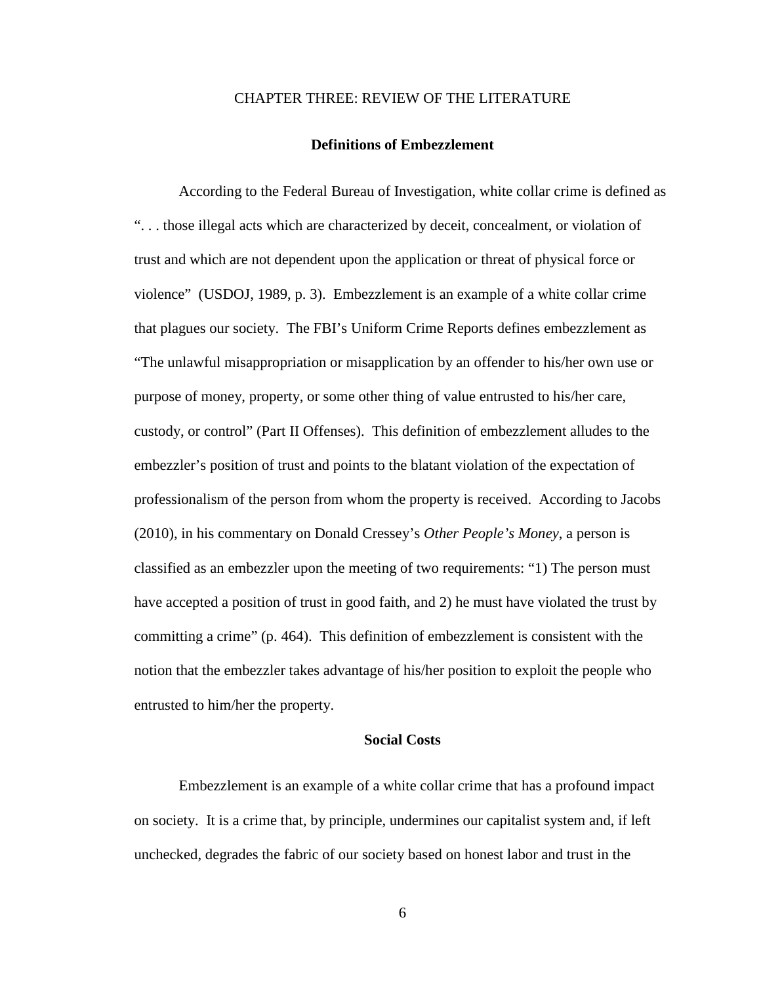## CHAPTER THREE: REVIEW OF THE LITERATURE

#### **Definitions of Embezzlement**

According to the Federal Bureau of Investigation, white collar crime is defined as ". . . those illegal acts which are characterized by deceit, concealment, or violation of trust and which are not dependent upon the application or threat of physical force or violence" (USDOJ, 1989, p. 3). Embezzlement is an example of a white collar crime that plagues our society. The FBI's Uniform Crime Reports defines embezzlement as "The unlawful misappropriation or misapplication by an offender to his/her own use or purpose of money, property, or some other thing of value entrusted to his/her care, custody, or control" (Part II Offenses). This definition of embezzlement alludes to the embezzler's position of trust and points to the blatant violation of the expectation of professionalism of the person from whom the property is received. According to Jacobs (2010), in his commentary on Donald Cressey's *Other People's Money*, a person is classified as an embezzler upon the meeting of two requirements: "1) The person must have accepted a position of trust in good faith, and 2) he must have violated the trust by committing a crime" (p. 464). This definition of embezzlement is consistent with the notion that the embezzler takes advantage of his/her position to exploit the people who entrusted to him/her the property.

## **Social Costs**

Embezzlement is an example of a white collar crime that has a profound impact on society. It is a crime that, by principle, undermines our capitalist system and, if left unchecked, degrades the fabric of our society based on honest labor and trust in the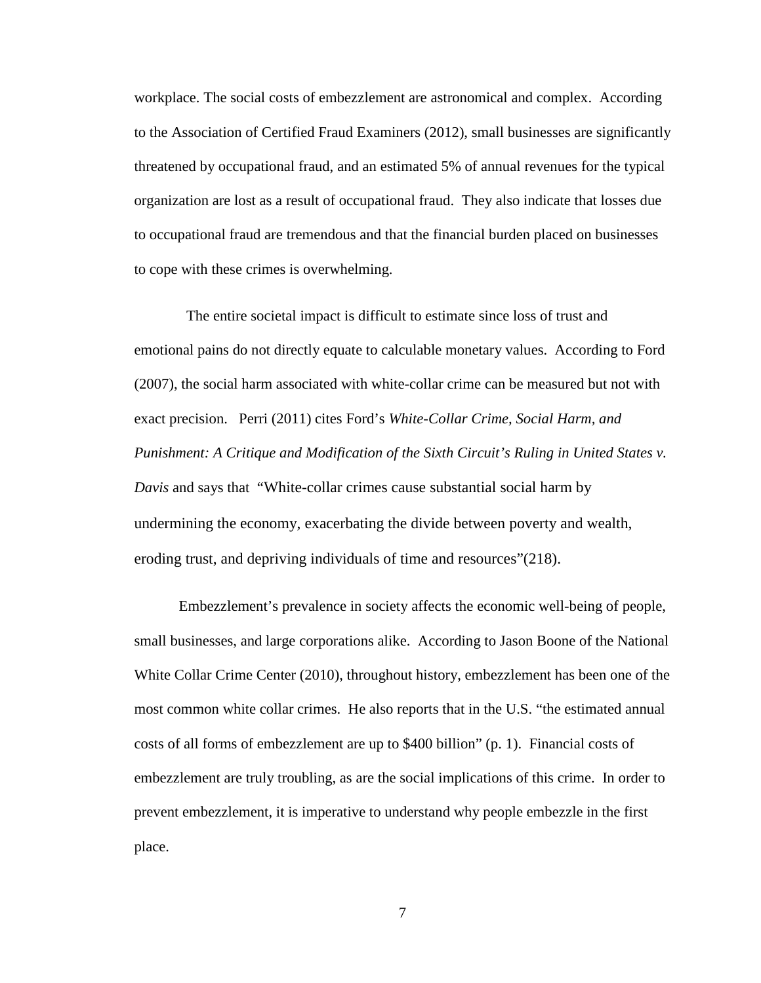workplace. The social costs of embezzlement are astronomical and complex. According to the Association of Certified Fraud Examiners (2012), small businesses are significantly threatened by occupational fraud, and an estimated 5% of annual revenues for the typical organization are lost as a result of occupational fraud. They also indicate that losses due to occupational fraud are tremendous and that the financial burden placed on businesses to cope with these crimes is overwhelming.

 The entire societal impact is difficult to estimate since loss of trust and emotional pains do not directly equate to calculable monetary values. According to Ford (2007), the social harm associated with white-collar crime can be measured but not with exact precision. Perri (2011) cites Ford's *White-Collar Crime, Social Harm, and Punishment: A Critique and Modification of the Sixth Circuit's Ruling in United States v. Davis* and says that "White-collar crimes cause substantial social harm by undermining the economy, exacerbating the divide between poverty and wealth, eroding trust, and depriving individuals of time and resources"(218).

Embezzlement's prevalence in society affects the economic well-being of people, small businesses, and large corporations alike. According to Jason Boone of the National White Collar Crime Center (2010), throughout history, embezzlement has been one of the most common white collar crimes. He also reports that in the U.S. "the estimated annual costs of all forms of embezzlement are up to \$400 billion" (p. 1). Financial costs of embezzlement are truly troubling, as are the social implications of this crime. In order to prevent embezzlement, it is imperative to understand why people embezzle in the first place.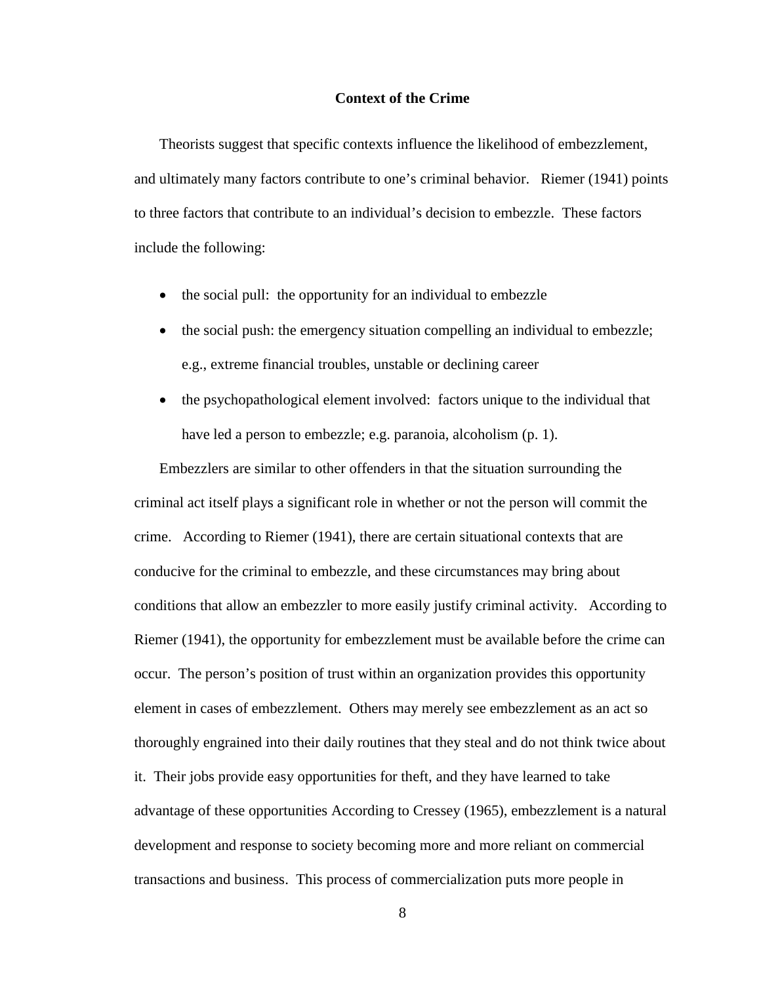## **Context of the Crime**

Theorists suggest that specific contexts influence the likelihood of embezzlement, and ultimately many factors contribute to one's criminal behavior. Riemer (1941) points to three factors that contribute to an individual's decision to embezzle. These factors include the following:

- the social pull: the opportunity for an individual to embezzle
- the social push: the emergency situation compelling an individual to embezzle; e.g., extreme financial troubles, unstable or declining career
- the psychopathological element involved: factors unique to the individual that have led a person to embezzle; e.g. paranoia, alcoholism (p. 1).

Embezzlers are similar to other offenders in that the situation surrounding the criminal act itself plays a significant role in whether or not the person will commit the crime. According to Riemer (1941), there are certain situational contexts that are conducive for the criminal to embezzle, and these circumstances may bring about conditions that allow an embezzler to more easily justify criminal activity. According to Riemer (1941), the opportunity for embezzlement must be available before the crime can occur. The person's position of trust within an organization provides this opportunity element in cases of embezzlement. Others may merely see embezzlement as an act so thoroughly engrained into their daily routines that they steal and do not think twice about it. Their jobs provide easy opportunities for theft, and they have learned to take advantage of these opportunities According to Cressey (1965), embezzlement is a natural development and response to society becoming more and more reliant on commercial transactions and business. This process of commercialization puts more people in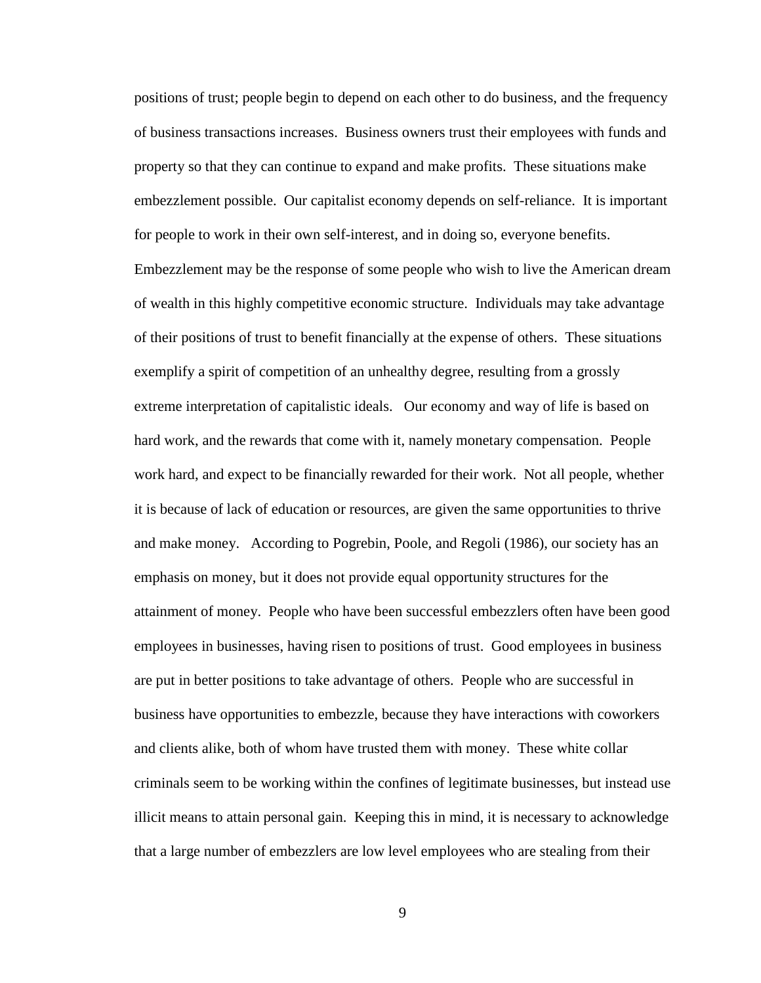positions of trust; people begin to depend on each other to do business, and the frequency of business transactions increases. Business owners trust their employees with funds and property so that they can continue to expand and make profits. These situations make embezzlement possible. Our capitalist economy depends on self-reliance. It is important for people to work in their own self-interest, and in doing so, everyone benefits. Embezzlement may be the response of some people who wish to live the American dream of wealth in this highly competitive economic structure. Individuals may take advantage of their positions of trust to benefit financially at the expense of others. These situations exemplify a spirit of competition of an unhealthy degree, resulting from a grossly extreme interpretation of capitalistic ideals. Our economy and way of life is based on hard work, and the rewards that come with it, namely monetary compensation. People work hard, and expect to be financially rewarded for their work. Not all people, whether it is because of lack of education or resources, are given the same opportunities to thrive and make money. According to Pogrebin, Poole, and Regoli (1986), our society has an emphasis on money, but it does not provide equal opportunity structures for the attainment of money. People who have been successful embezzlers often have been good employees in businesses, having risen to positions of trust. Good employees in business are put in better positions to take advantage of others. People who are successful in business have opportunities to embezzle, because they have interactions with coworkers and clients alike, both of whom have trusted them with money. These white collar criminals seem to be working within the confines of legitimate businesses, but instead use illicit means to attain personal gain. Keeping this in mind, it is necessary to acknowledge that a large number of embezzlers are low level employees who are stealing from their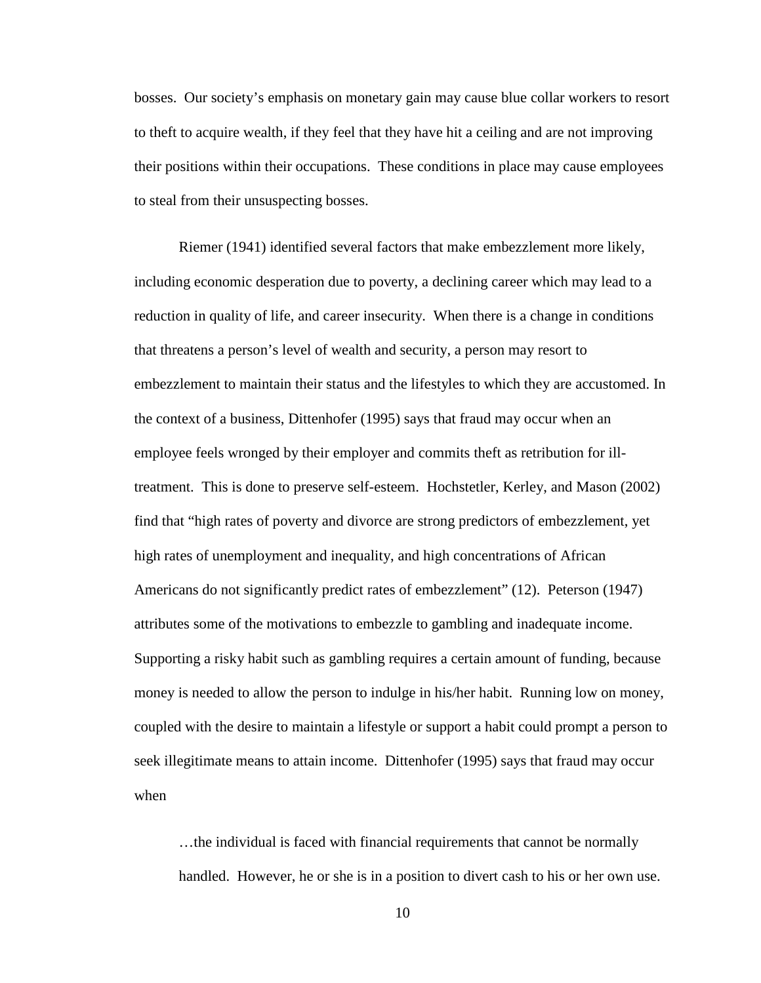bosses. Our society's emphasis on monetary gain may cause blue collar workers to resort to theft to acquire wealth, if they feel that they have hit a ceiling and are not improving their positions within their occupations. These conditions in place may cause employees to steal from their unsuspecting bosses.

Riemer (1941) identified several factors that make embezzlement more likely, including economic desperation due to poverty, a declining career which may lead to a reduction in quality of life, and career insecurity. When there is a change in conditions that threatens a person's level of wealth and security, a person may resort to embezzlement to maintain their status and the lifestyles to which they are accustomed. In the context of a business, Dittenhofer (1995) says that fraud may occur when an employee feels wronged by their employer and commits theft as retribution for illtreatment. This is done to preserve self-esteem. Hochstetler, Kerley, and Mason (2002) find that "high rates of poverty and divorce are strong predictors of embezzlement, yet high rates of unemployment and inequality, and high concentrations of African Americans do not significantly predict rates of embezzlement" (12). Peterson (1947) attributes some of the motivations to embezzle to gambling and inadequate income. Supporting a risky habit such as gambling requires a certain amount of funding, because money is needed to allow the person to indulge in his/her habit. Running low on money, coupled with the desire to maintain a lifestyle or support a habit could prompt a person to seek illegitimate means to attain income. Dittenhofer (1995) says that fraud may occur when

…the individual is faced with financial requirements that cannot be normally handled. However, he or she is in a position to divert cash to his or her own use.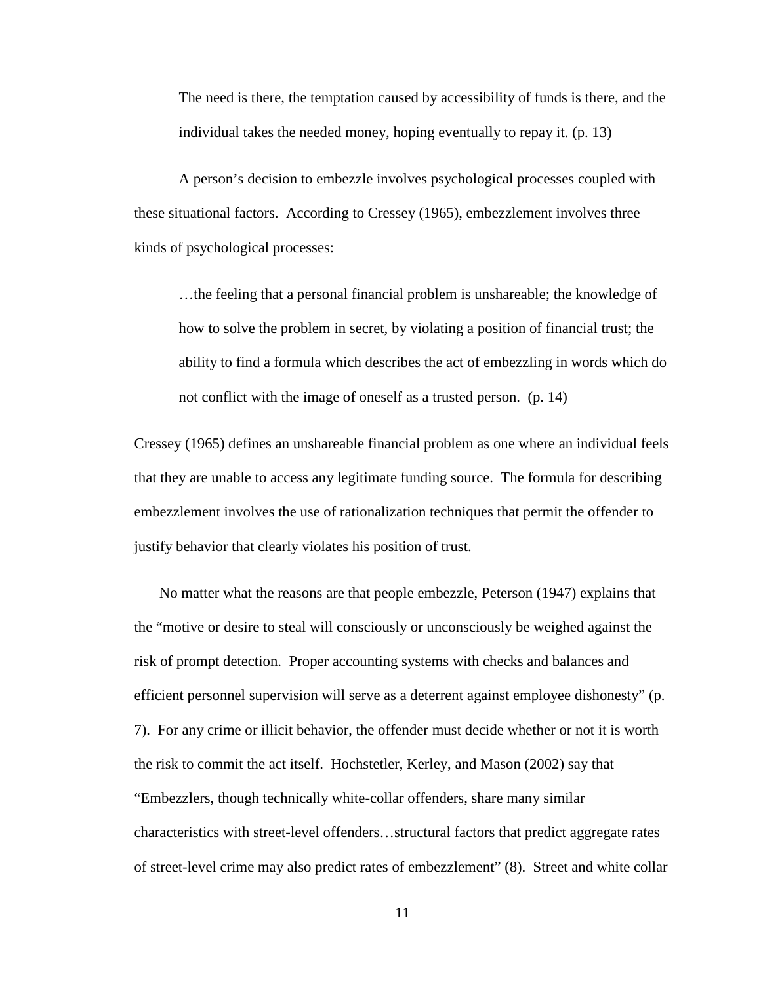The need is there, the temptation caused by accessibility of funds is there, and the individual takes the needed money, hoping eventually to repay it. (p. 13)

A person's decision to embezzle involves psychological processes coupled with these situational factors. According to Cressey (1965), embezzlement involves three kinds of psychological processes:

…the feeling that a personal financial problem is unshareable; the knowledge of how to solve the problem in secret, by violating a position of financial trust; the ability to find a formula which describes the act of embezzling in words which do not conflict with the image of oneself as a trusted person. (p. 14)

Cressey (1965) defines an unshareable financial problem as one where an individual feels that they are unable to access any legitimate funding source. The formula for describing embezzlement involves the use of rationalization techniques that permit the offender to justify behavior that clearly violates his position of trust.

No matter what the reasons are that people embezzle, Peterson (1947) explains that the "motive or desire to steal will consciously or unconsciously be weighed against the risk of prompt detection. Proper accounting systems with checks and balances and efficient personnel supervision will serve as a deterrent against employee dishonesty" (p. 7). For any crime or illicit behavior, the offender must decide whether or not it is worth the risk to commit the act itself. Hochstetler, Kerley, and Mason (2002) say that "Embezzlers, though technically white-collar offenders, share many similar characteristics with street-level offenders…structural factors that predict aggregate rates of street-level crime may also predict rates of embezzlement" (8). Street and white collar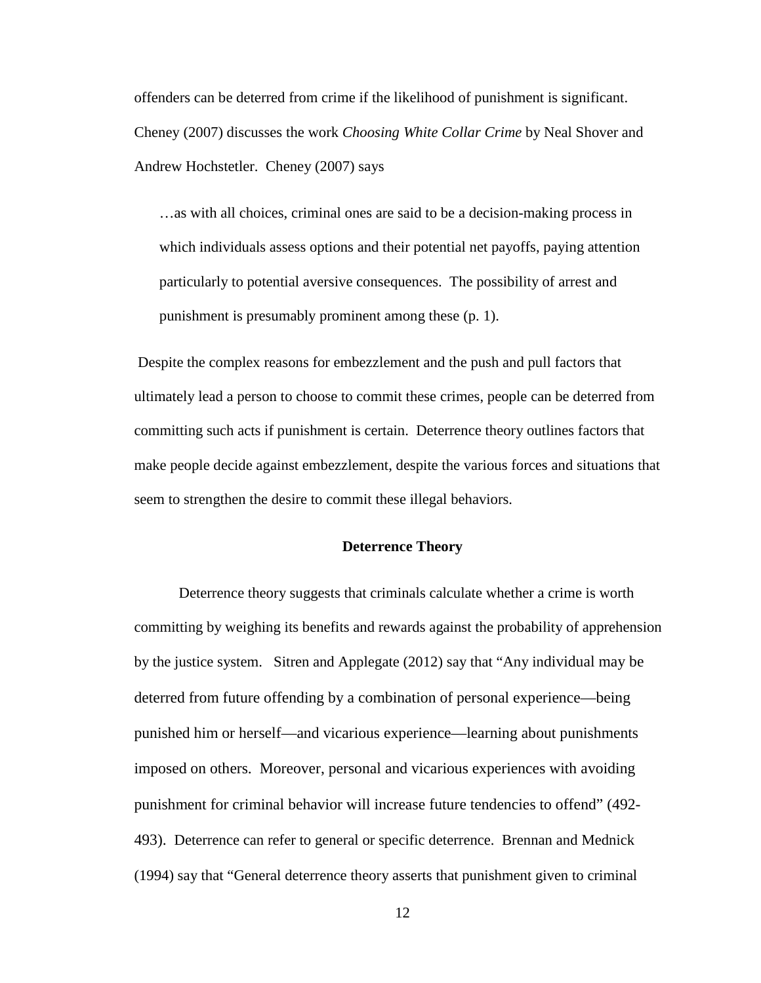offenders can be deterred from crime if the likelihood of punishment is significant. Cheney (2007) discusses the work *Choosing White Collar Crime* by Neal Shover and Andrew Hochstetler. Cheney (2007) says

…as with all choices, criminal ones are said to be a decision-making process in which individuals assess options and their potential net payoffs, paying attention particularly to potential aversive consequences. The possibility of arrest and punishment is presumably prominent among these (p. 1).

Despite the complex reasons for embezzlement and the push and pull factors that ultimately lead a person to choose to commit these crimes, people can be deterred from committing such acts if punishment is certain. Deterrence theory outlines factors that make people decide against embezzlement, despite the various forces and situations that seem to strengthen the desire to commit these illegal behaviors.

## **Deterrence Theory**

Deterrence theory suggests that criminals calculate whether a crime is worth committing by weighing its benefits and rewards against the probability of apprehension by the justice system. Sitren and Applegate (2012) say that "Any individual may be deterred from future offending by a combination of personal experience—being punished him or herself—and vicarious experience—learning about punishments imposed on others. Moreover, personal and vicarious experiences with avoiding punishment for criminal behavior will increase future tendencies to offend" (492- 493). Deterrence can refer to general or specific deterrence. Brennan and Mednick (1994) say that "General deterrence theory asserts that punishment given to criminal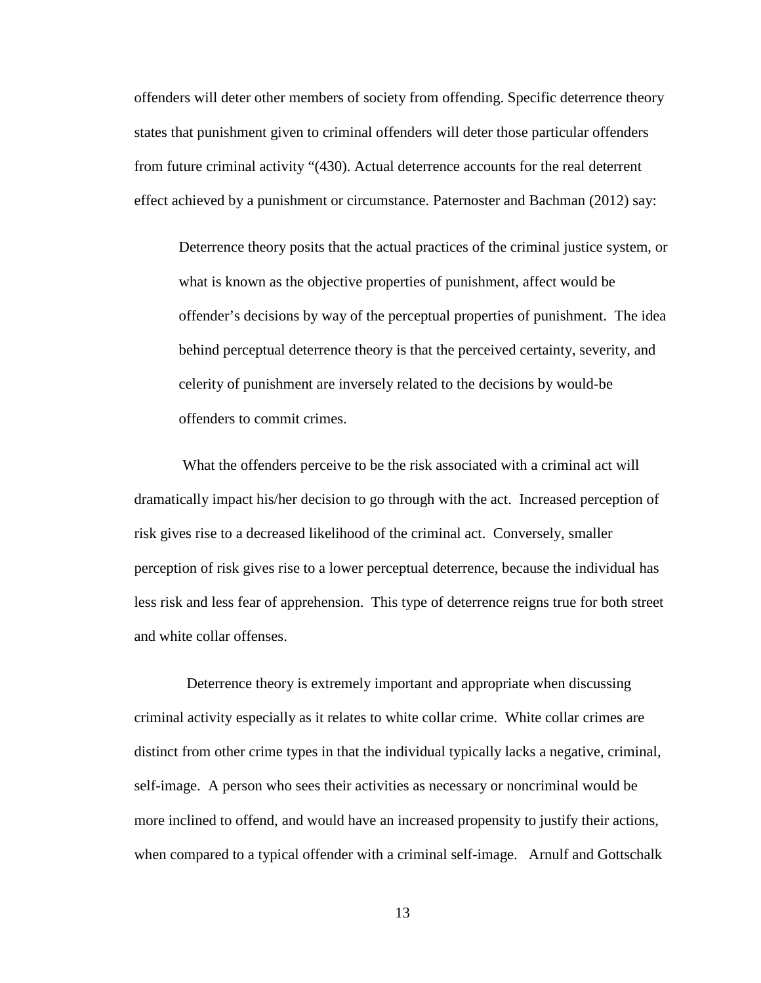offenders will deter other members of society from offending. Specific deterrence theory states that punishment given to criminal offenders will deter those particular offenders from future criminal activity "(430). Actual deterrence accounts for the real deterrent effect achieved by a punishment or circumstance. Paternoster and Bachman (2012) say:

Deterrence theory posits that the actual practices of the criminal justice system, or what is known as the objective properties of punishment, affect would be offender's decisions by way of the perceptual properties of punishment. The idea behind perceptual deterrence theory is that the perceived certainty, severity, and celerity of punishment are inversely related to the decisions by would-be offenders to commit crimes.

What the offenders perceive to be the risk associated with a criminal act will dramatically impact his/her decision to go through with the act. Increased perception of risk gives rise to a decreased likelihood of the criminal act. Conversely, smaller perception of risk gives rise to a lower perceptual deterrence, because the individual has less risk and less fear of apprehension. This type of deterrence reigns true for both street and white collar offenses.

 Deterrence theory is extremely important and appropriate when discussing criminal activity especially as it relates to white collar crime. White collar crimes are distinct from other crime types in that the individual typically lacks a negative, criminal, self-image. A person who sees their activities as necessary or noncriminal would be more inclined to offend, and would have an increased propensity to justify their actions, when compared to a typical offender with a criminal self-image. Arnulf and Gottschalk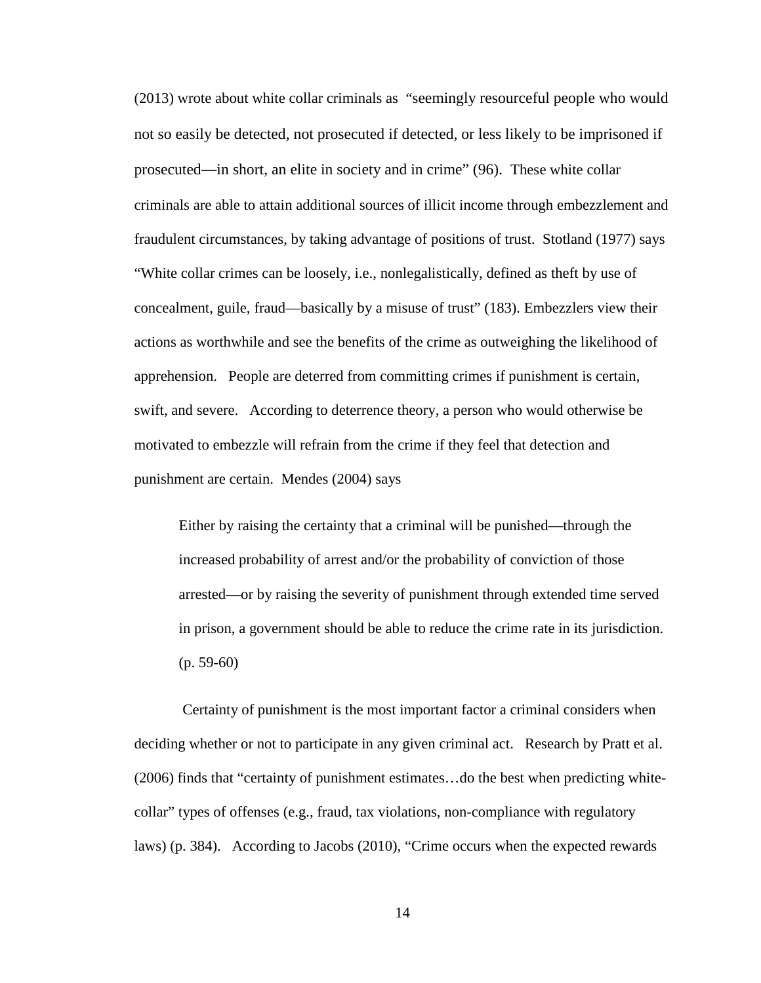(2013) wrote about white collar criminals as "seemingly resourceful people who would not so easily be detected, not prosecuted if detected, or less likely to be imprisoned if prosecuted—in short, an elite in society and in crime" (96). These white collar criminals are able to attain additional sources of illicit income through embezzlement and fraudulent circumstances, by taking advantage of positions of trust. Stotland (1977) says "White collar crimes can be loosely, i.e., nonlegalistically, defined as theft by use of concealment, guile, fraud—basically by a misuse of trust" (183). Embezzlers view their actions as worthwhile and see the benefits of the crime as outweighing the likelihood of apprehension. People are deterred from committing crimes if punishment is certain, swift, and severe. According to deterrence theory, a person who would otherwise be motivated to embezzle will refrain from the crime if they feel that detection and punishment are certain. Mendes (2004) says

Either by raising the certainty that a criminal will be punished—through the increased probability of arrest and/or the probability of conviction of those arrested—or by raising the severity of punishment through extended time served in prison, a government should be able to reduce the crime rate in its jurisdiction.  $(p. 59-60)$ 

Certainty of punishment is the most important factor a criminal considers when deciding whether or not to participate in any given criminal act. Research by Pratt et al. (2006) finds that "certainty of punishment estimates…do the best when predicting whitecollar" types of offenses (e.g., fraud, tax violations, non-compliance with regulatory laws) (p. 384). According to Jacobs (2010), "Crime occurs when the expected rewards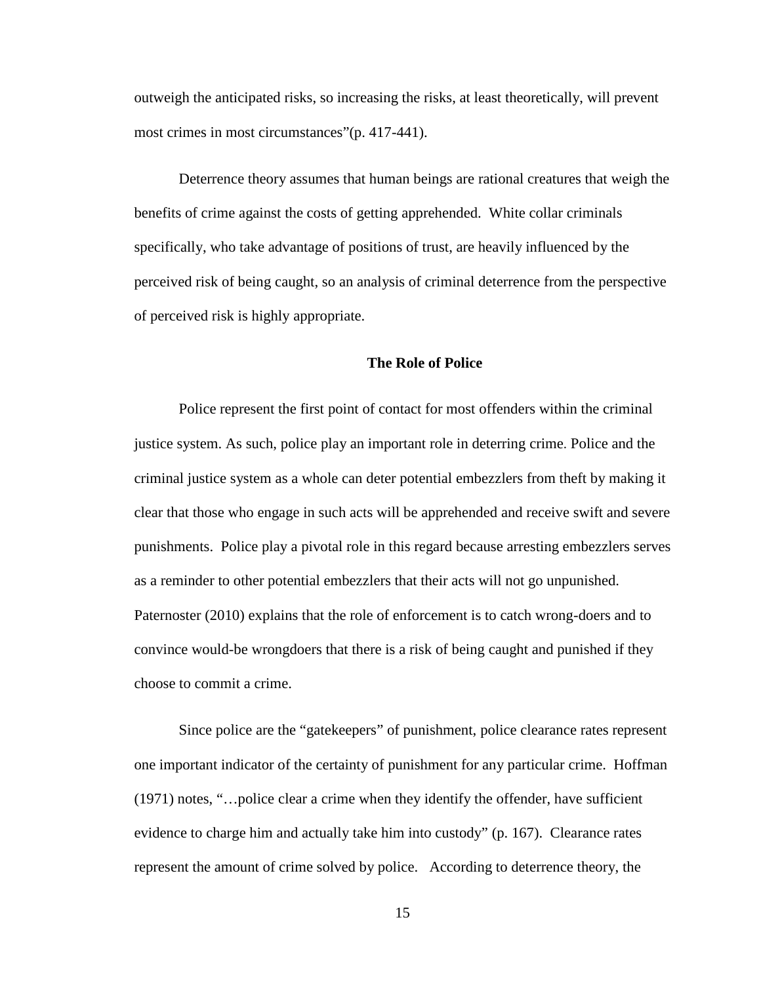outweigh the anticipated risks, so increasing the risks, at least theoretically, will prevent most crimes in most circumstances"(p. 417-441).

Deterrence theory assumes that human beings are rational creatures that weigh the benefits of crime against the costs of getting apprehended. White collar criminals specifically, who take advantage of positions of trust, are heavily influenced by the perceived risk of being caught, so an analysis of criminal deterrence from the perspective of perceived risk is highly appropriate.

## **The Role of Police**

Police represent the first point of contact for most offenders within the criminal justice system. As such, police play an important role in deterring crime. Police and the criminal justice system as a whole can deter potential embezzlers from theft by making it clear that those who engage in such acts will be apprehended and receive swift and severe punishments. Police play a pivotal role in this regard because arresting embezzlers serves as a reminder to other potential embezzlers that their acts will not go unpunished. Paternoster (2010) explains that the role of enforcement is to catch wrong-doers and to convince would-be wrongdoers that there is a risk of being caught and punished if they choose to commit a crime.

Since police are the "gatekeepers" of punishment, police clearance rates represent one important indicator of the certainty of punishment for any particular crime. Hoffman (1971) notes, "…police clear a crime when they identify the offender, have sufficient evidence to charge him and actually take him into custody" (p. 167). Clearance rates represent the amount of crime solved by police. According to deterrence theory, the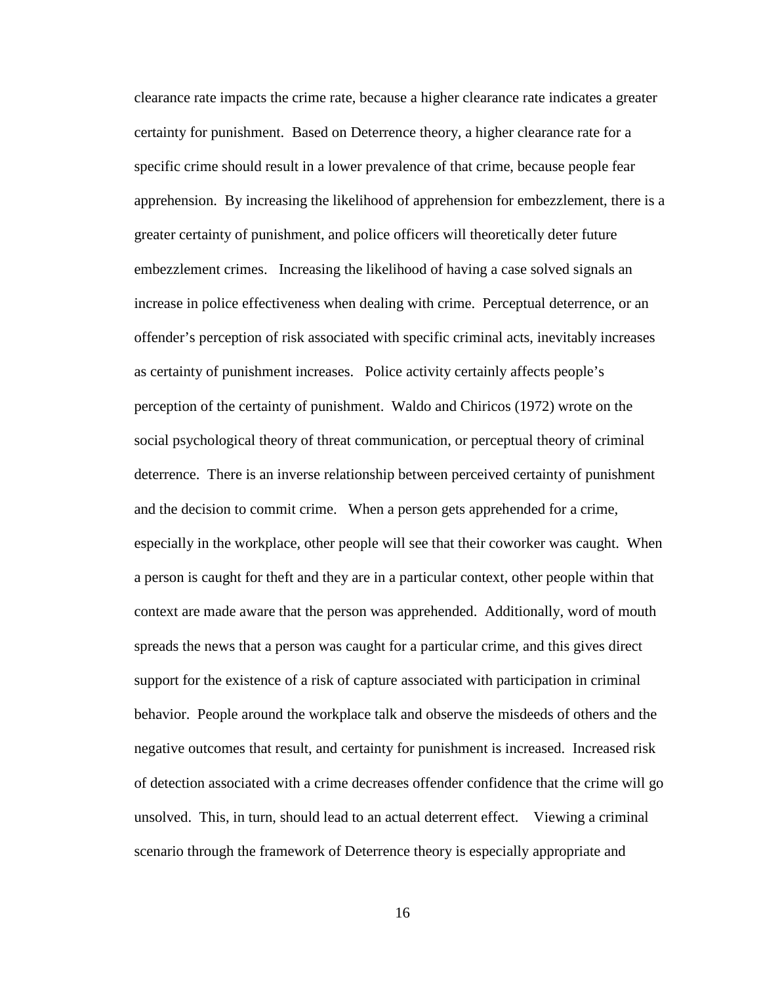clearance rate impacts the crime rate, because a higher clearance rate indicates a greater certainty for punishment. Based on Deterrence theory, a higher clearance rate for a specific crime should result in a lower prevalence of that crime, because people fear apprehension. By increasing the likelihood of apprehension for embezzlement, there is a greater certainty of punishment, and police officers will theoretically deter future embezzlement crimes. Increasing the likelihood of having a case solved signals an increase in police effectiveness when dealing with crime. Perceptual deterrence, or an offender's perception of risk associated with specific criminal acts, inevitably increases as certainty of punishment increases. Police activity certainly affects people's perception of the certainty of punishment. Waldo and Chiricos (1972) wrote on the social psychological theory of threat communication, or perceptual theory of criminal deterrence. There is an inverse relationship between perceived certainty of punishment and the decision to commit crime. When a person gets apprehended for a crime, especially in the workplace, other people will see that their coworker was caught. When a person is caught for theft and they are in a particular context, other people within that context are made aware that the person was apprehended. Additionally, word of mouth spreads the news that a person was caught for a particular crime, and this gives direct support for the existence of a risk of capture associated with participation in criminal behavior. People around the workplace talk and observe the misdeeds of others and the negative outcomes that result, and certainty for punishment is increased. Increased risk of detection associated with a crime decreases offender confidence that the crime will go unsolved. This, in turn, should lead to an actual deterrent effect. Viewing a criminal scenario through the framework of Deterrence theory is especially appropriate and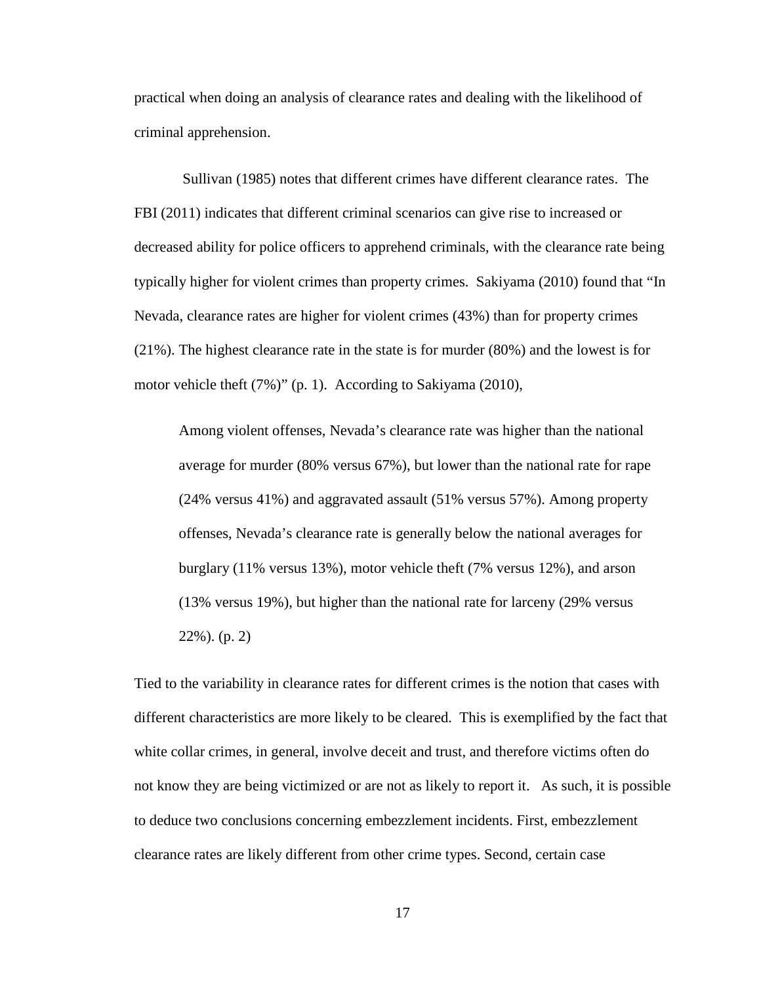practical when doing an analysis of clearance rates and dealing with the likelihood of criminal apprehension.

Sullivan (1985) notes that different crimes have different clearance rates. The FBI (2011) indicates that different criminal scenarios can give rise to increased or decreased ability for police officers to apprehend criminals, with the clearance rate being typically higher for violent crimes than property crimes. Sakiyama (2010) found that "In Nevada, clearance rates are higher for violent crimes (43%) than for property crimes (21%). The highest clearance rate in the state is for murder (80%) and the lowest is for motor vehicle theft (7%)" (p. 1). According to Sakiyama (2010),

Among violent offenses, Nevada's clearance rate was higher than the national average for murder (80% versus 67%), but lower than the national rate for rape (24% versus 41%) and aggravated assault (51% versus 57%). Among property offenses, Nevada's clearance rate is generally below the national averages for burglary (11% versus 13%), motor vehicle theft (7% versus 12%), and arson (13% versus 19%), but higher than the national rate for larceny (29% versus 22%). (p. 2)

Tied to the variability in clearance rates for different crimes is the notion that cases with different characteristics are more likely to be cleared. This is exemplified by the fact that white collar crimes, in general, involve deceit and trust, and therefore victims often do not know they are being victimized or are not as likely to report it. As such, it is possible to deduce two conclusions concerning embezzlement incidents. First, embezzlement clearance rates are likely different from other crime types. Second, certain case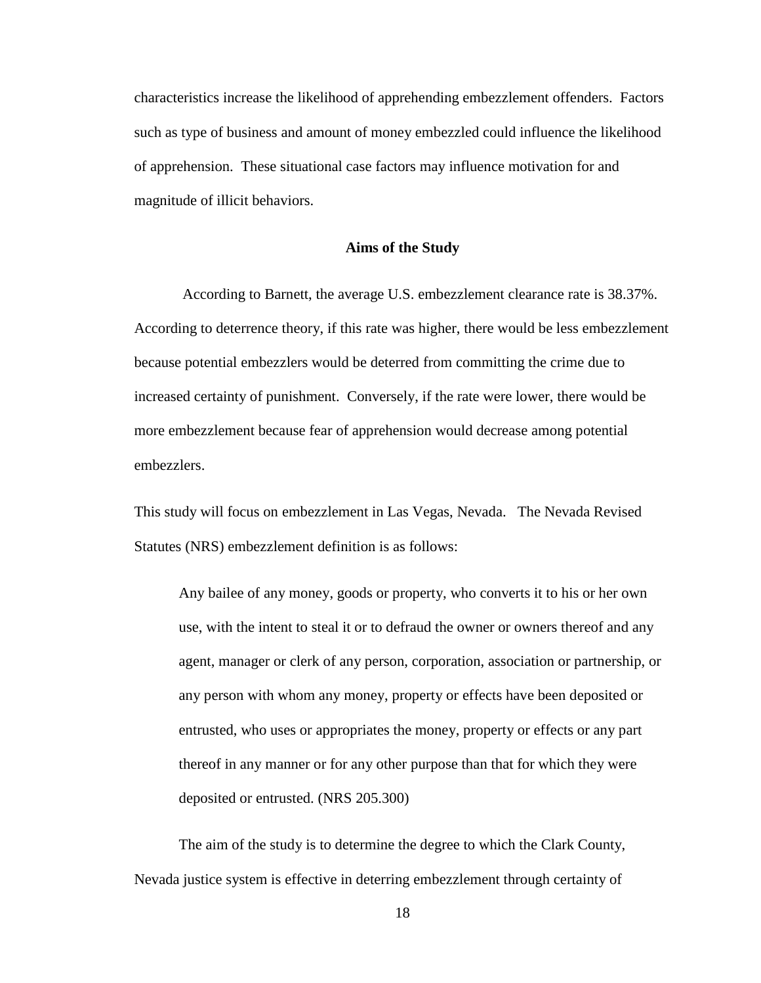characteristics increase the likelihood of apprehending embezzlement offenders. Factors such as type of business and amount of money embezzled could influence the likelihood of apprehension. These situational case factors may influence motivation for and magnitude of illicit behaviors.

## **Aims of the Study**

According to Barnett, the average U.S. embezzlement clearance rate is 38.37%. According to deterrence theory, if this rate was higher, there would be less embezzlement because potential embezzlers would be deterred from committing the crime due to increased certainty of punishment. Conversely, if the rate were lower, there would be more embezzlement because fear of apprehension would decrease among potential embezzlers.

This study will focus on embezzlement in Las Vegas, Nevada. The Nevada Revised Statutes (NRS) embezzlement definition is as follows:

Any bailee of any money, goods or property, who converts it to his or her own use, with the intent to steal it or to defraud the owner or owners thereof and any agent, manager or clerk of any person, corporation, association or partnership, or any person with whom any money, property or effects have been deposited or entrusted, who uses or appropriates the money, property or effects or any part thereof in any manner or for any other purpose than that for which they were deposited or entrusted. (NRS 205.300)

The aim of the study is to determine the degree to which the Clark County, Nevada justice system is effective in deterring embezzlement through certainty of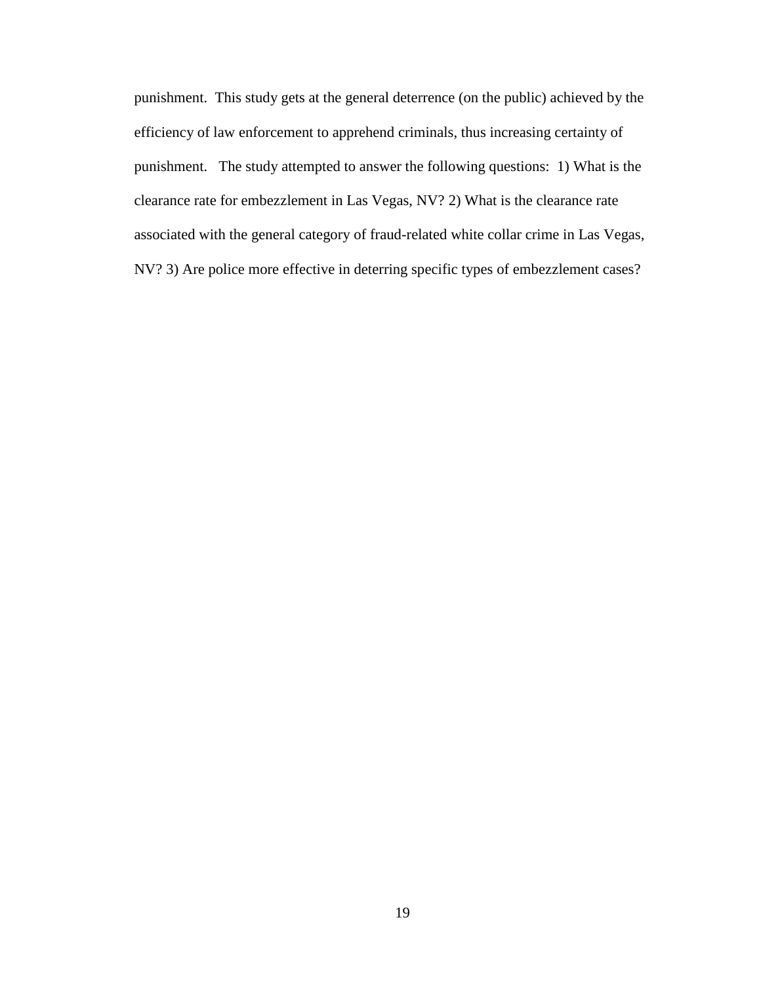punishment. This study gets at the general deterrence (on the public) achieved by the efficiency of law enforcement to apprehend criminals, thus increasing certainty of punishment. The study attempted to answer the following questions: 1) What is the clearance rate for embezzlement in Las Vegas, NV? 2) What is the clearance rate associated with the general category of fraud-related white collar crime in Las Vegas, NV? 3) Are police more effective in deterring specific types of embezzlement cases?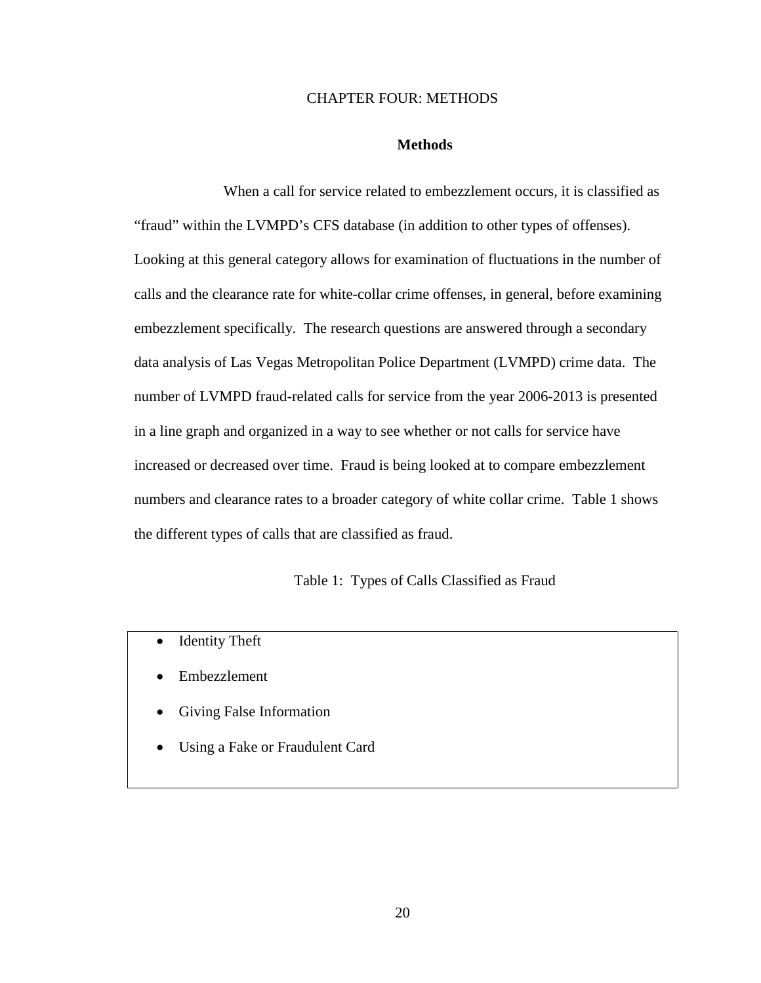## CHAPTER FOUR: METHODS

## **Methods**

When a call for service related to embezzlement occurs, it is classified as "fraud" within the LVMPD's CFS database (in addition to other types of offenses). Looking at this general category allows for examination of fluctuations in the number of calls and the clearance rate for white-collar crime offenses, in general, before examining embezzlement specifically. The research questions are answered through a secondary data analysis of Las Vegas Metropolitan Police Department (LVMPD) crime data. The number of LVMPD fraud-related calls for service from the year 2006-2013 is presented in a line graph and organized in a way to see whether or not calls for service have increased or decreased over time. Fraud is being looked at to compare embezzlement numbers and clearance rates to a broader category of white collar crime. Table 1 shows the different types of calls that are classified as fraud.

Table 1: Types of Calls Classified as Fraud

- Identity Theft
- Embezzlement
- Giving False Information
- Using a Fake or Fraudulent Card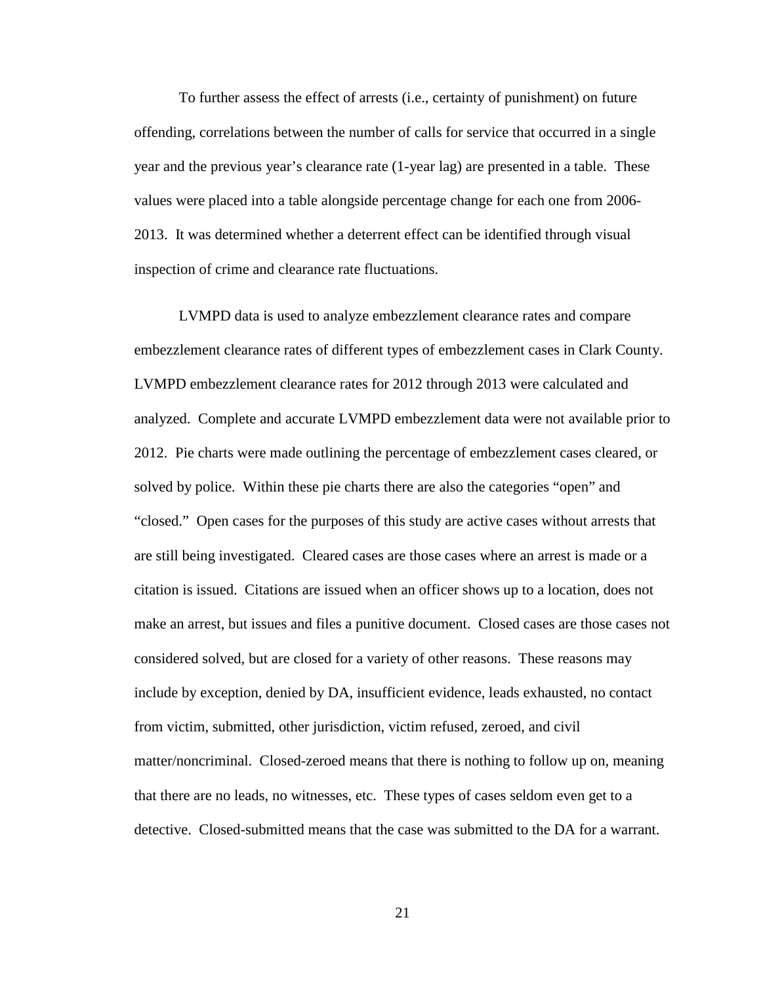To further assess the effect of arrests (i.e., certainty of punishment) on future offending, correlations between the number of calls for service that occurred in a single year and the previous year's clearance rate (1-year lag) are presented in a table. These values were placed into a table alongside percentage change for each one from 2006- 2013. It was determined whether a deterrent effect can be identified through visual inspection of crime and clearance rate fluctuations.

LVMPD data is used to analyze embezzlement clearance rates and compare embezzlement clearance rates of different types of embezzlement cases in Clark County. LVMPD embezzlement clearance rates for 2012 through 2013 were calculated and analyzed. Complete and accurate LVMPD embezzlement data were not available prior to 2012. Pie charts were made outlining the percentage of embezzlement cases cleared, or solved by police. Within these pie charts there are also the categories "open" and "closed." Open cases for the purposes of this study are active cases without arrests that are still being investigated. Cleared cases are those cases where an arrest is made or a citation is issued. Citations are issued when an officer shows up to a location, does not make an arrest, but issues and files a punitive document. Closed cases are those cases not considered solved, but are closed for a variety of other reasons. These reasons may include by exception, denied by DA, insufficient evidence, leads exhausted, no contact from victim, submitted, other jurisdiction, victim refused, zeroed, and civil matter/noncriminal. Closed-zeroed means that there is nothing to follow up on, meaning that there are no leads, no witnesses, etc. These types of cases seldom even get to a detective. Closed-submitted means that the case was submitted to the DA for a warrant.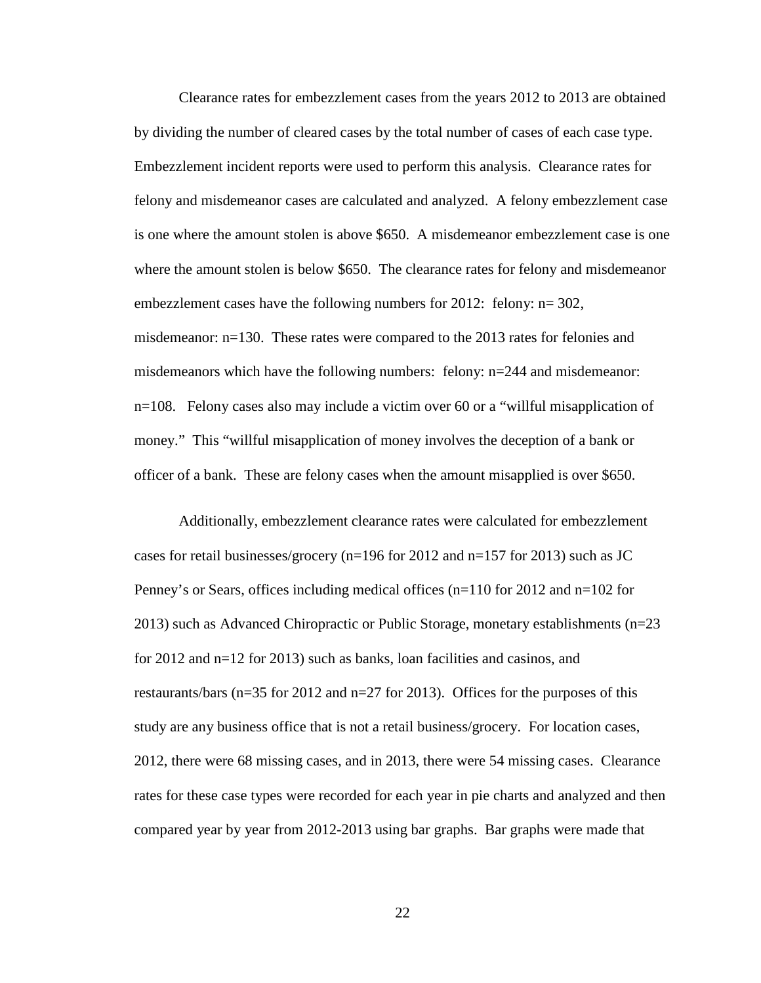Clearance rates for embezzlement cases from the years 2012 to 2013 are obtained by dividing the number of cleared cases by the total number of cases of each case type. Embezzlement incident reports were used to perform this analysis. Clearance rates for felony and misdemeanor cases are calculated and analyzed. A felony embezzlement case is one where the amount stolen is above \$650. A misdemeanor embezzlement case is one where the amount stolen is below \$650. The clearance rates for felony and misdemeanor embezzlement cases have the following numbers for 2012: felony:  $n=302$ , misdemeanor: n=130. These rates were compared to the 2013 rates for felonies and misdemeanors which have the following numbers: felony: n=244 and misdemeanor: n=108. Felony cases also may include a victim over 60 or a "willful misapplication of money." This "willful misapplication of money involves the deception of a bank or officer of a bank. These are felony cases when the amount misapplied is over \$650.

Additionally, embezzlement clearance rates were calculated for embezzlement cases for retail businesses/grocery (n=196 for 2012 and n=157 for 2013) such as JC Penney's or Sears, offices including medical offices (n=110 for 2012 and n=102 for 2013) such as Advanced Chiropractic or Public Storage, monetary establishments (n=23 for 2012 and n=12 for 2013) such as banks, loan facilities and casinos, and restaurants/bars (n=35 for 2012 and n=27 for 2013). Offices for the purposes of this study are any business office that is not a retail business/grocery. For location cases, 2012, there were 68 missing cases, and in 2013, there were 54 missing cases. Clearance rates for these case types were recorded for each year in pie charts and analyzed and then compared year by year from 2012-2013 using bar graphs. Bar graphs were made that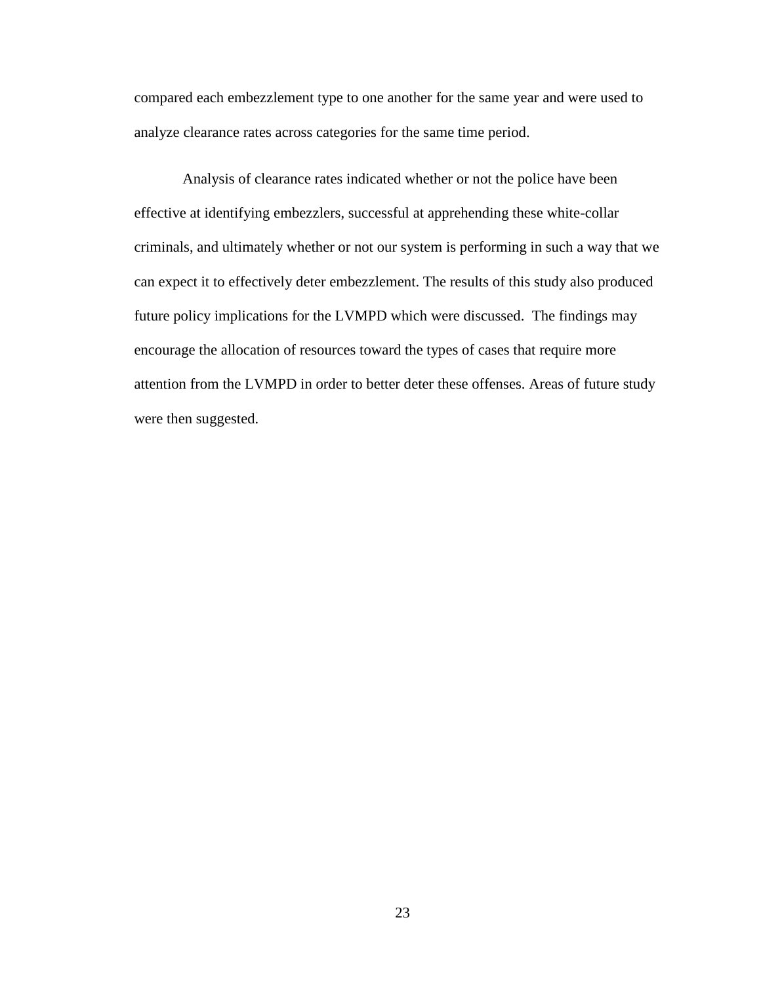compared each embezzlement type to one another for the same year and were used to analyze clearance rates across categories for the same time period.

Analysis of clearance rates indicated whether or not the police have been effective at identifying embezzlers, successful at apprehending these white-collar criminals, and ultimately whether or not our system is performing in such a way that we can expect it to effectively deter embezzlement. The results of this study also produced future policy implications for the LVMPD which were discussed. The findings may encourage the allocation of resources toward the types of cases that require more attention from the LVMPD in order to better deter these offenses. Areas of future study were then suggested.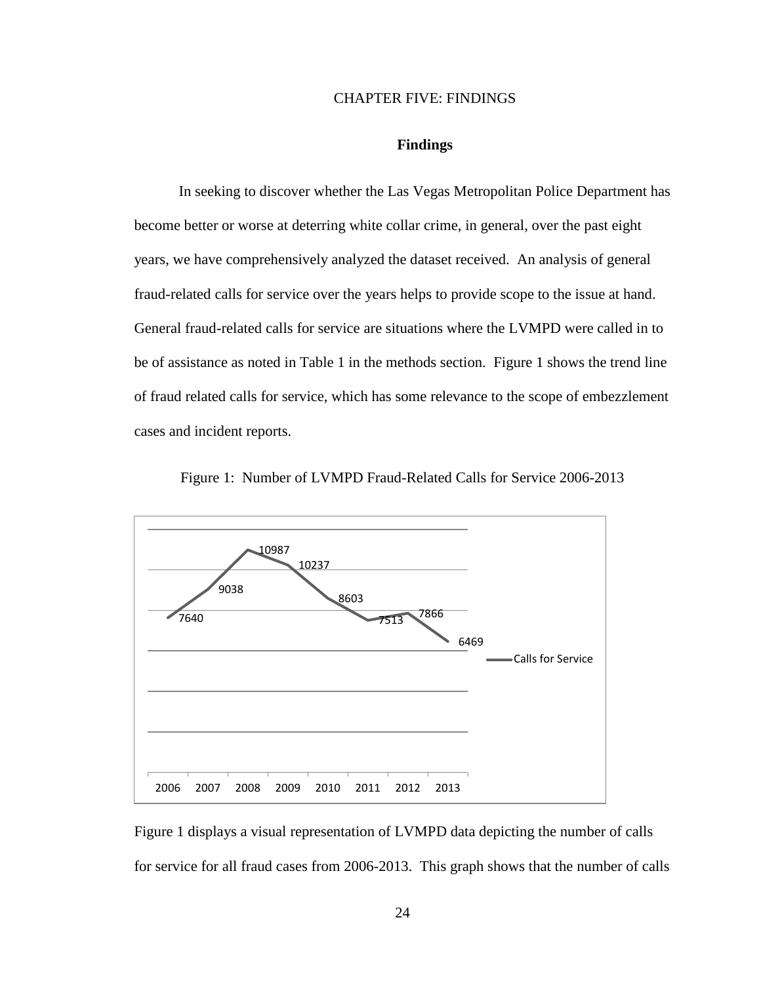## CHAPTER FIVE: FINDINGS

## **Findings**

In seeking to discover whether the Las Vegas Metropolitan Police Department has become better or worse at deterring white collar crime, in general, over the past eight years, we have comprehensively analyzed the dataset received. An analysis of general fraud-related calls for service over the years helps to provide scope to the issue at hand. General fraud-related calls for service are situations where the LVMPD were called in to be of assistance as noted in Table 1 in the methods section. Figure 1 shows the trend line of fraud related calls for service, which has some relevance to the scope of embezzlement cases and incident reports.



Figure 1: Number of LVMPD Fraud-Related Calls for Service 2006-2013

Figure 1 displays a visual representation of LVMPD data depicting the number of calls for service for all fraud cases from 2006-2013. This graph shows that the number of calls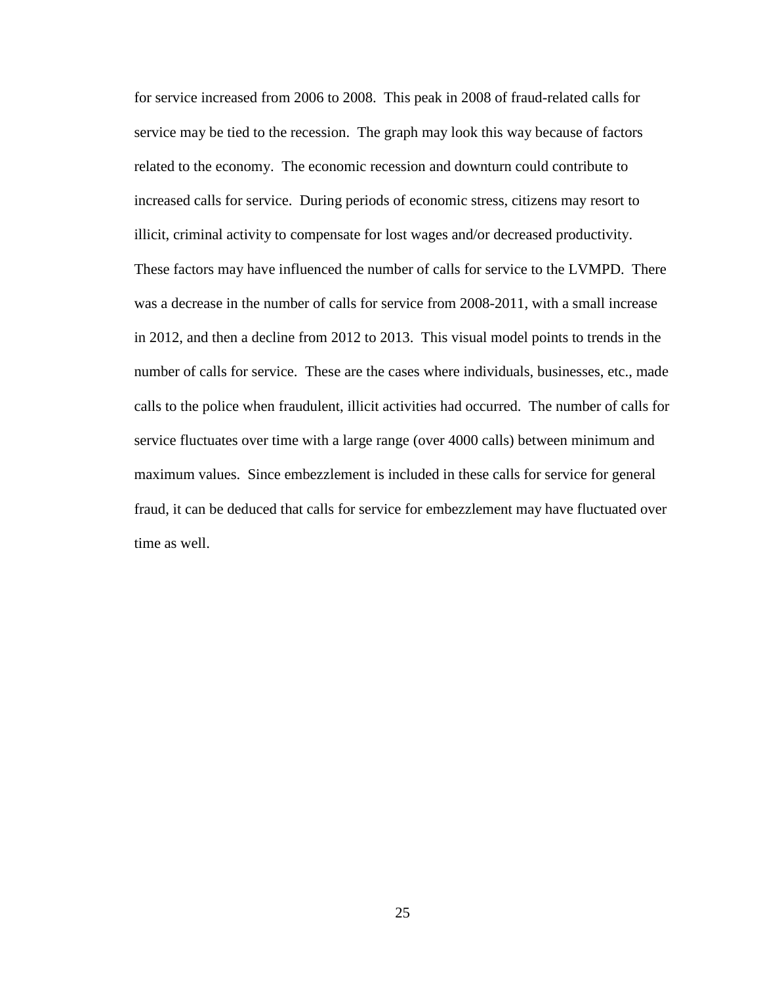for service increased from 2006 to 2008. This peak in 2008 of fraud-related calls for service may be tied to the recession. The graph may look this way because of factors related to the economy. The economic recession and downturn could contribute to increased calls for service. During periods of economic stress, citizens may resort to illicit, criminal activity to compensate for lost wages and/or decreased productivity. These factors may have influenced the number of calls for service to the LVMPD. There was a decrease in the number of calls for service from 2008-2011, with a small increase in 2012, and then a decline from 2012 to 2013. This visual model points to trends in the number of calls for service. These are the cases where individuals, businesses, etc., made calls to the police when fraudulent, illicit activities had occurred. The number of calls for service fluctuates over time with a large range (over 4000 calls) between minimum and maximum values. Since embezzlement is included in these calls for service for general fraud, it can be deduced that calls for service for embezzlement may have fluctuated over time as well.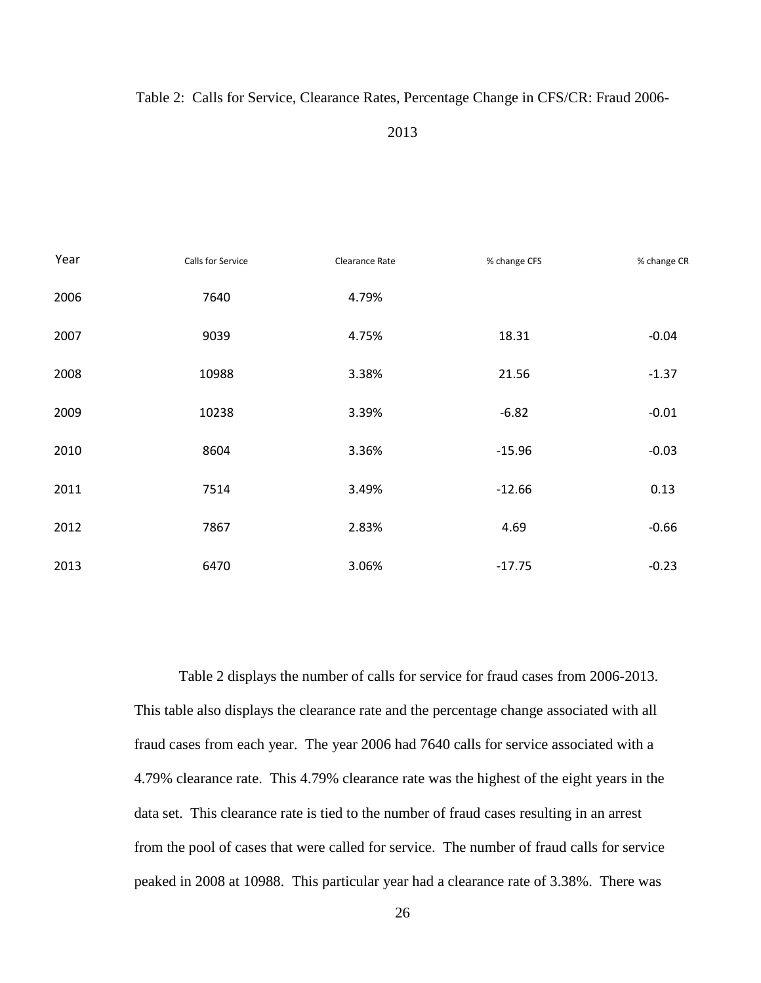## Table 2: Calls for Service, Clearance Rates, Percentage Change in CFS/CR: Fraud 2006-

| Year | Calls for Service | Clearance Rate | % change CFS | % change CR |
|------|-------------------|----------------|--------------|-------------|
| 2006 | 7640              | 4.79%          |              |             |
| 2007 | 9039              | 4.75%          | 18.31        | $-0.04$     |
| 2008 | 10988             | 3.38%          | 21.56        | $-1.37$     |
| 2009 | 10238             | 3.39%          | $-6.82$      | $-0.01$     |
| 2010 | 8604              | 3.36%          | $-15.96$     | $-0.03$     |
| 2011 | 7514              | 3.49%          | $-12.66$     | 0.13        |
| 2012 | 7867              | 2.83%          | 4.69         | $-0.66$     |
| 2013 | 6470              | 3.06%          | $-17.75$     | $-0.23$     |

Table 2 displays the number of calls for service for fraud cases from 2006-2013. This table also displays the clearance rate and the percentage change associated with all fraud cases from each year. The year 2006 had 7640 calls for service associated with a 4.79% clearance rate. This 4.79% clearance rate was the highest of the eight years in the data set. This clearance rate is tied to the number of fraud cases resulting in an arrest from the pool of cases that were called for service. The number of fraud calls for service peaked in 2008 at 10988. This particular year had a clearance rate of 3.38%. There was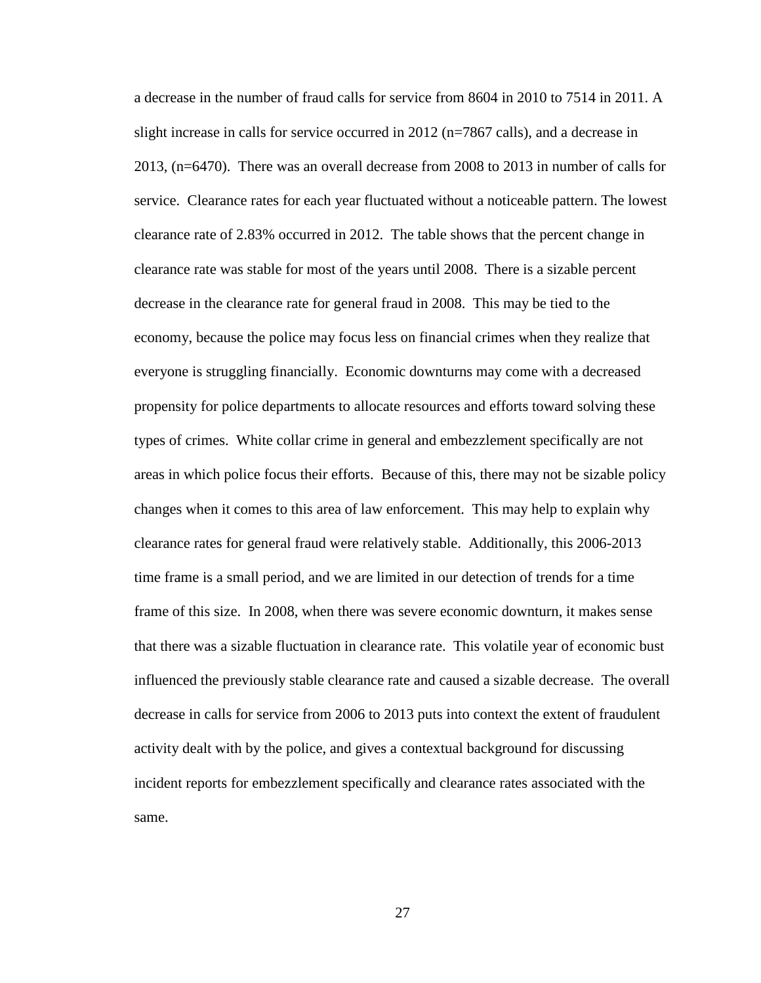a decrease in the number of fraud calls for service from 8604 in 2010 to 7514 in 2011. A slight increase in calls for service occurred in 2012 (n=7867 calls), and a decrease in 2013, (n=6470). There was an overall decrease from 2008 to 2013 in number of calls for service. Clearance rates for each year fluctuated without a noticeable pattern. The lowest clearance rate of 2.83% occurred in 2012. The table shows that the percent change in clearance rate was stable for most of the years until 2008. There is a sizable percent decrease in the clearance rate for general fraud in 2008. This may be tied to the economy, because the police may focus less on financial crimes when they realize that everyone is struggling financially. Economic downturns may come with a decreased propensity for police departments to allocate resources and efforts toward solving these types of crimes. White collar crime in general and embezzlement specifically are not areas in which police focus their efforts. Because of this, there may not be sizable policy changes when it comes to this area of law enforcement. This may help to explain why clearance rates for general fraud were relatively stable. Additionally, this 2006-2013 time frame is a small period, and we are limited in our detection of trends for a time frame of this size. In 2008, when there was severe economic downturn, it makes sense that there was a sizable fluctuation in clearance rate. This volatile year of economic bust influenced the previously stable clearance rate and caused a sizable decrease. The overall decrease in calls for service from 2006 to 2013 puts into context the extent of fraudulent activity dealt with by the police, and gives a contextual background for discussing incident reports for embezzlement specifically and clearance rates associated with the same.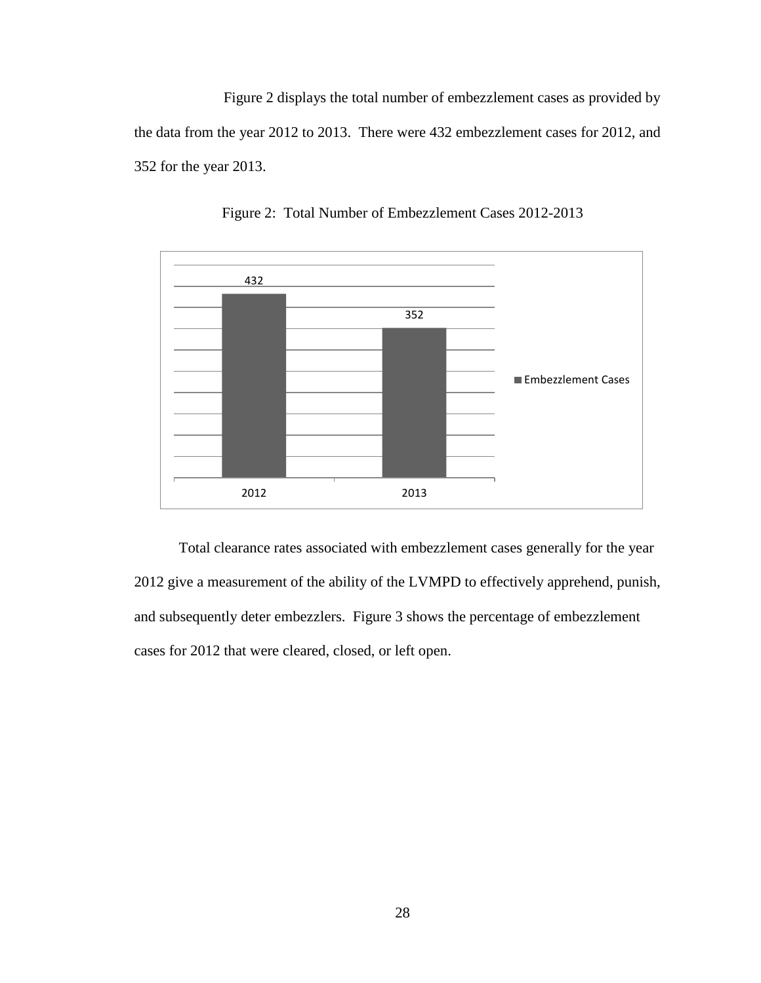Figure 2 displays the total number of embezzlement cases as provided by the data from the year 2012 to 2013. There were 432 embezzlement cases for 2012, and 352 for the year 2013.



Figure 2: Total Number of Embezzlement Cases 2012-2013

Total clearance rates associated with embezzlement cases generally for the year 2012 give a measurement of the ability of the LVMPD to effectively apprehend, punish, and subsequently deter embezzlers. Figure 3 shows the percentage of embezzlement cases for 2012 that were cleared, closed, or left open.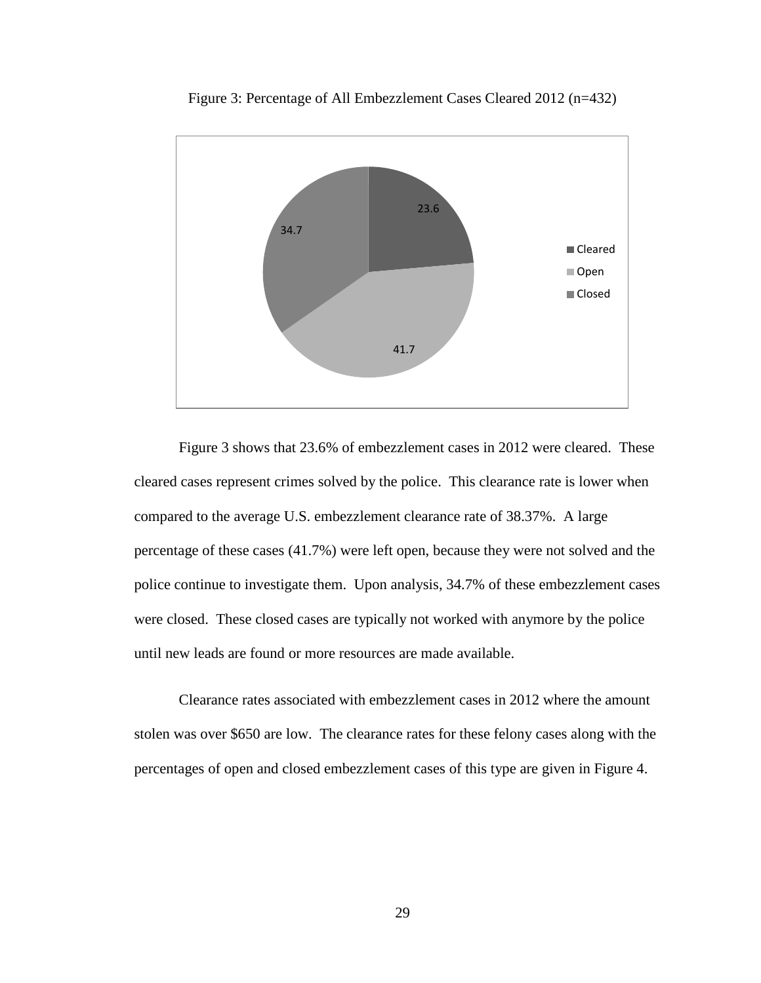

Figure 3: Percentage of All Embezzlement Cases Cleared 2012 (n=432)

Figure 3 shows that 23.6% of embezzlement cases in 2012 were cleared. These cleared cases represent crimes solved by the police. This clearance rate is lower when compared to the average U.S. embezzlement clearance rate of 38.37%. A large percentage of these cases (41.7%) were left open, because they were not solved and the police continue to investigate them. Upon analysis, 34.7% of these embezzlement cases were closed. These closed cases are typically not worked with anymore by the police until new leads are found or more resources are made available.

Clearance rates associated with embezzlement cases in 2012 where the amount stolen was over \$650 are low. The clearance rates for these felony cases along with the percentages of open and closed embezzlement cases of this type are given in Figure 4.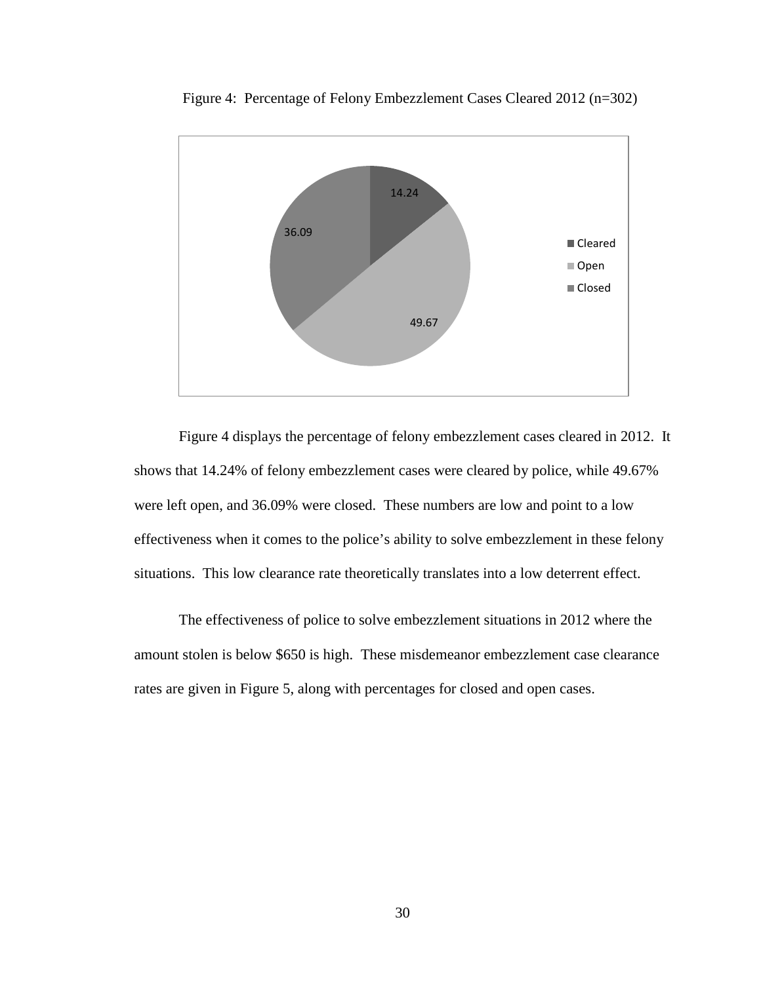

Figure 4: Percentage of Felony Embezzlement Cases Cleared 2012 (n=302)

Figure 4 displays the percentage of felony embezzlement cases cleared in 2012. It shows that 14.24% of felony embezzlement cases were cleared by police, while 49.67% were left open, and 36.09% were closed. These numbers are low and point to a low effectiveness when it comes to the police's ability to solve embezzlement in these felony situations. This low clearance rate theoretically translates into a low deterrent effect.

The effectiveness of police to solve embezzlement situations in 2012 where the amount stolen is below \$650 is high. These misdemeanor embezzlement case clearance rates are given in Figure 5, along with percentages for closed and open cases.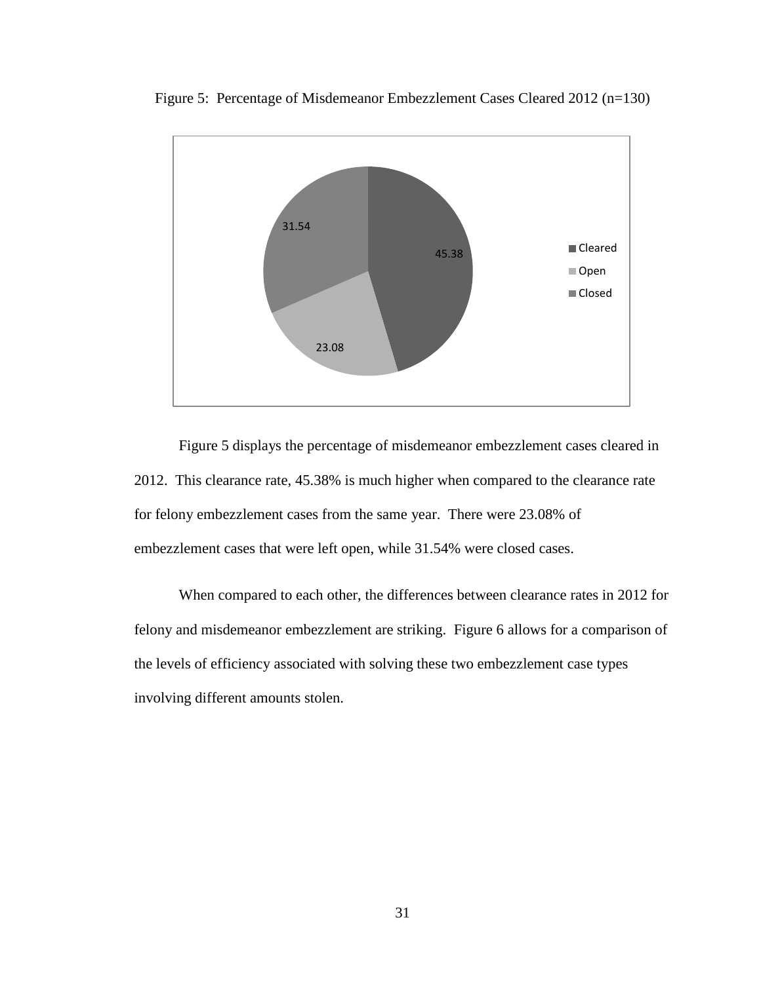

Figure 5: Percentage of Misdemeanor Embezzlement Cases Cleared 2012 (n=130)

Figure 5 displays the percentage of misdemeanor embezzlement cases cleared in 2012. This clearance rate, 45.38% is much higher when compared to the clearance rate for felony embezzlement cases from the same year. There were 23.08% of embezzlement cases that were left open, while 31.54% were closed cases.

When compared to each other, the differences between clearance rates in 2012 for felony and misdemeanor embezzlement are striking. Figure 6 allows for a comparison of the levels of efficiency associated with solving these two embezzlement case types involving different amounts stolen.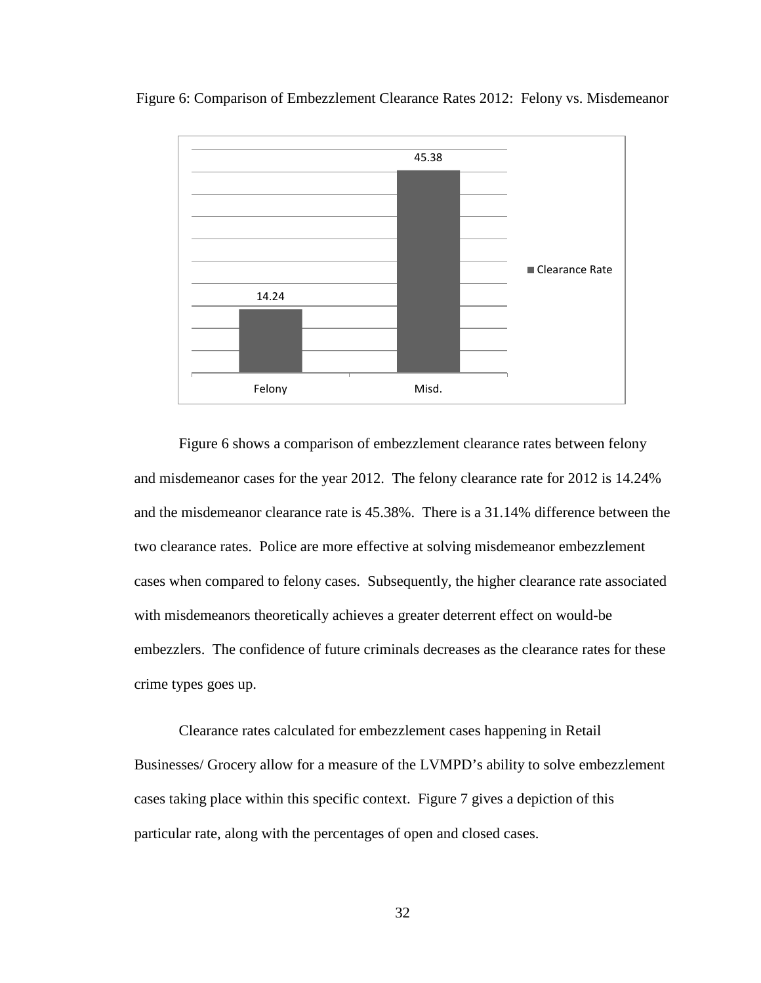

Figure 6: Comparison of Embezzlement Clearance Rates 2012: Felony vs. Misdemeanor

Figure 6 shows a comparison of embezzlement clearance rates between felony and misdemeanor cases for the year 2012. The felony clearance rate for 2012 is 14.24% and the misdemeanor clearance rate is 45.38%. There is a 31.14% difference between the two clearance rates. Police are more effective at solving misdemeanor embezzlement cases when compared to felony cases. Subsequently, the higher clearance rate associated with misdemeanors theoretically achieves a greater deterrent effect on would-be embezzlers. The confidence of future criminals decreases as the clearance rates for these crime types goes up.

Clearance rates calculated for embezzlement cases happening in Retail Businesses/ Grocery allow for a measure of the LVMPD's ability to solve embezzlement cases taking place within this specific context. Figure 7 gives a depiction of this particular rate, along with the percentages of open and closed cases.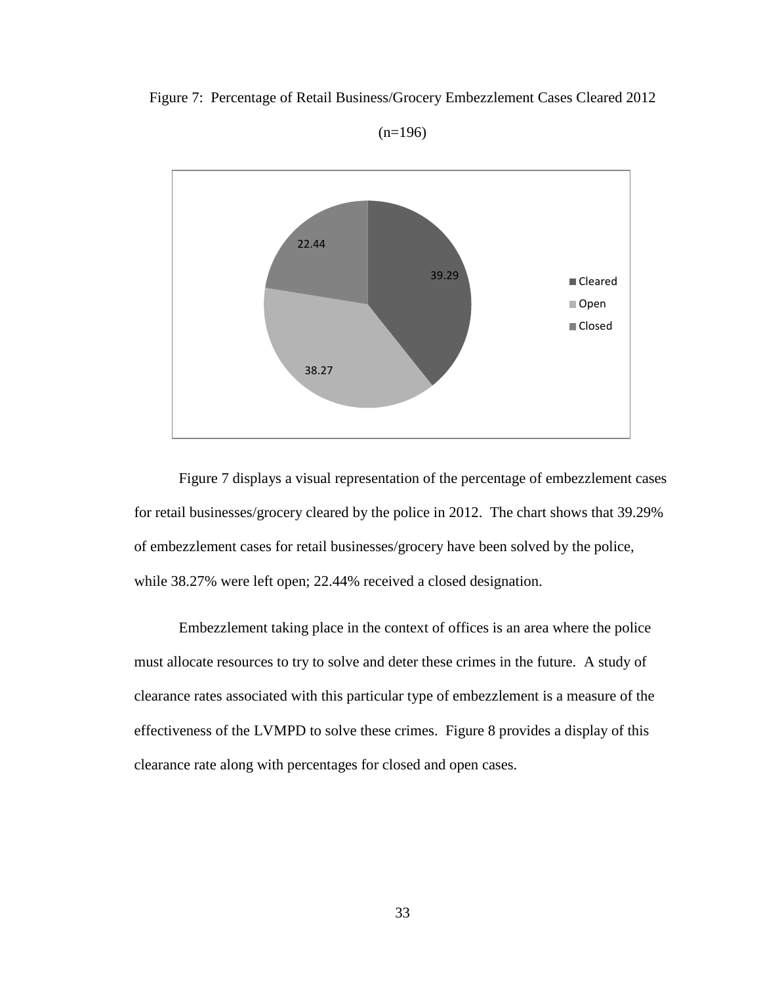Figure 7: Percentage of Retail Business/Grocery Embezzlement Cases Cleared 2012



 $(n=196)$ 

Figure 7 displays a visual representation of the percentage of embezzlement cases for retail businesses/grocery cleared by the police in 2012. The chart shows that 39.29% of embezzlement cases for retail businesses/grocery have been solved by the police, while 38.27% were left open; 22.44% received a closed designation.

Embezzlement taking place in the context of offices is an area where the police must allocate resources to try to solve and deter these crimes in the future. A study of clearance rates associated with this particular type of embezzlement is a measure of the effectiveness of the LVMPD to solve these crimes. Figure 8 provides a display of this clearance rate along with percentages for closed and open cases.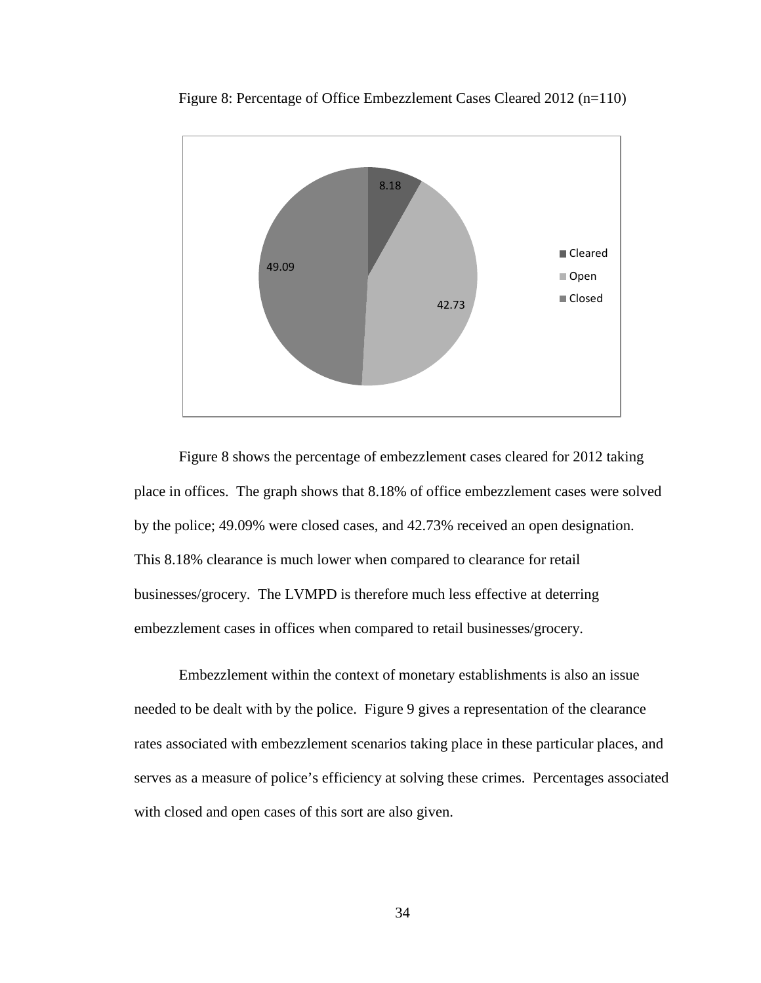

Figure 8: Percentage of Office Embezzlement Cases Cleared 2012 (n=110)

Figure 8 shows the percentage of embezzlement cases cleared for 2012 taking place in offices. The graph shows that 8.18% of office embezzlement cases were solved by the police; 49.09% were closed cases, and 42.73% received an open designation. This 8.18% clearance is much lower when compared to clearance for retail businesses/grocery. The LVMPD is therefore much less effective at deterring embezzlement cases in offices when compared to retail businesses/grocery.

Embezzlement within the context of monetary establishments is also an issue needed to be dealt with by the police. Figure 9 gives a representation of the clearance rates associated with embezzlement scenarios taking place in these particular places, and serves as a measure of police's efficiency at solving these crimes. Percentages associated with closed and open cases of this sort are also given.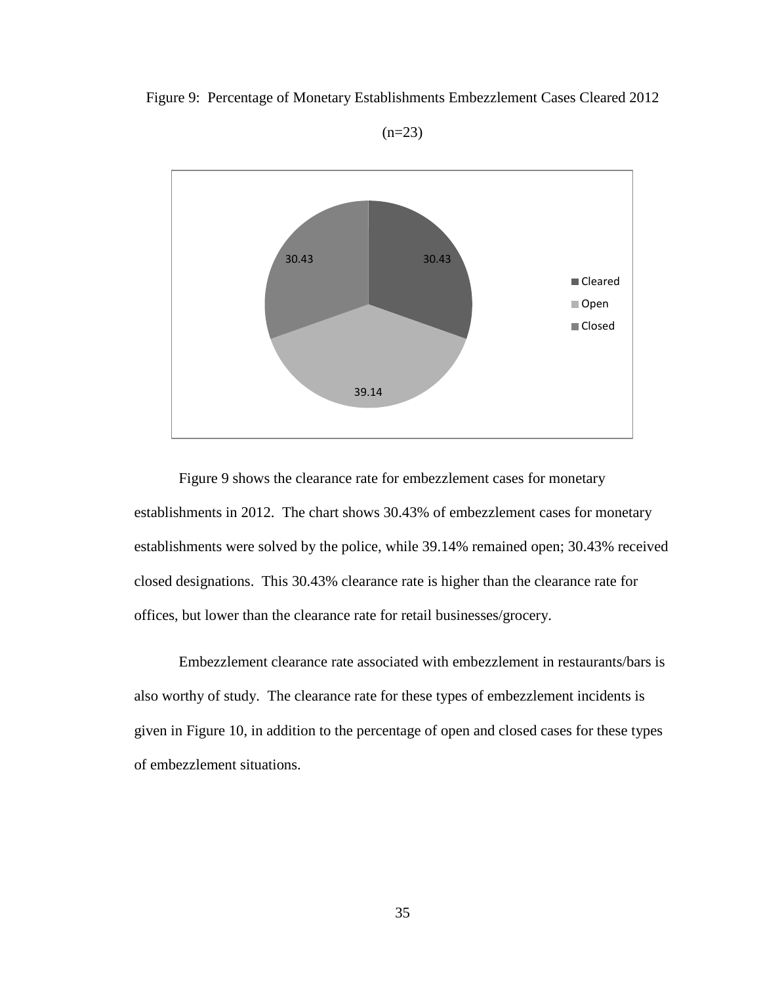Figure 9: Percentage of Monetary Establishments Embezzlement Cases Cleared 2012



 $(n=23)$ 

Figure 9 shows the clearance rate for embezzlement cases for monetary establishments in 2012. The chart shows 30.43% of embezzlement cases for monetary establishments were solved by the police, while 39.14% remained open; 30.43% received closed designations. This 30.43% clearance rate is higher than the clearance rate for offices, but lower than the clearance rate for retail businesses/grocery.

Embezzlement clearance rate associated with embezzlement in restaurants/bars is also worthy of study. The clearance rate for these types of embezzlement incidents is given in Figure 10, in addition to the percentage of open and closed cases for these types of embezzlement situations.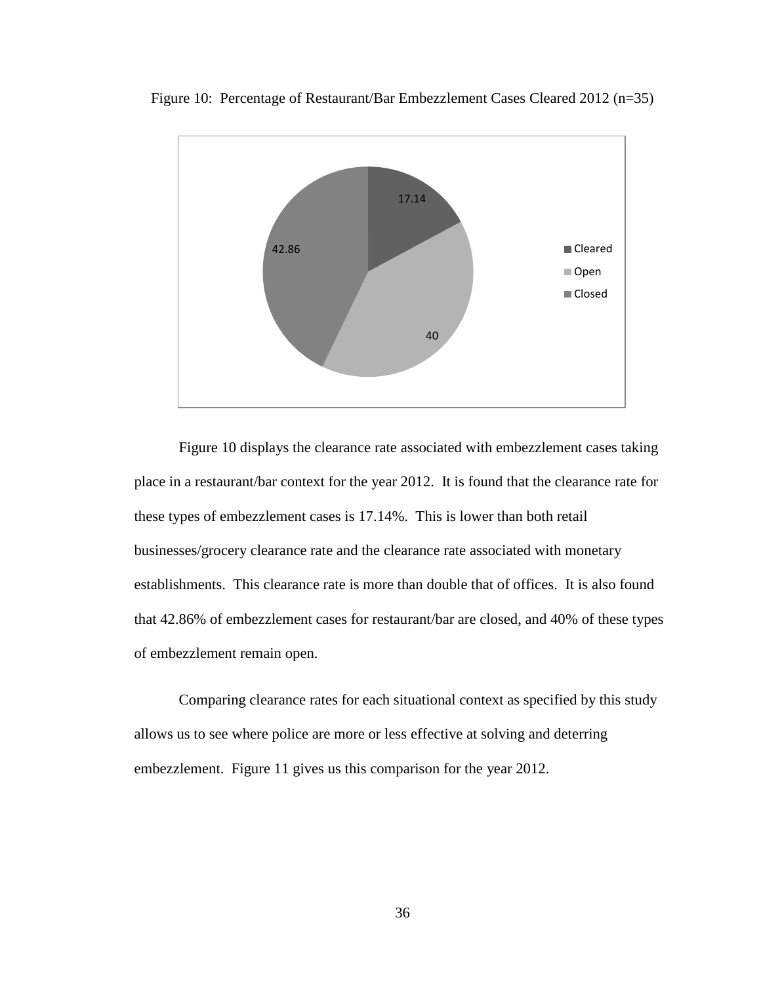

Figure 10: Percentage of Restaurant/Bar Embezzlement Cases Cleared 2012 (n=35)

Figure 10 displays the clearance rate associated with embezzlement cases taking place in a restaurant/bar context for the year 2012. It is found that the clearance rate for these types of embezzlement cases is 17.14%. This is lower than both retail businesses/grocery clearance rate and the clearance rate associated with monetary establishments. This clearance rate is more than double that of offices. It is also found that 42.86% of embezzlement cases for restaurant/bar are closed, and 40% of these types of embezzlement remain open.

Comparing clearance rates for each situational context as specified by this study allows us to see where police are more or less effective at solving and deterring embezzlement. Figure 11 gives us this comparison for the year 2012.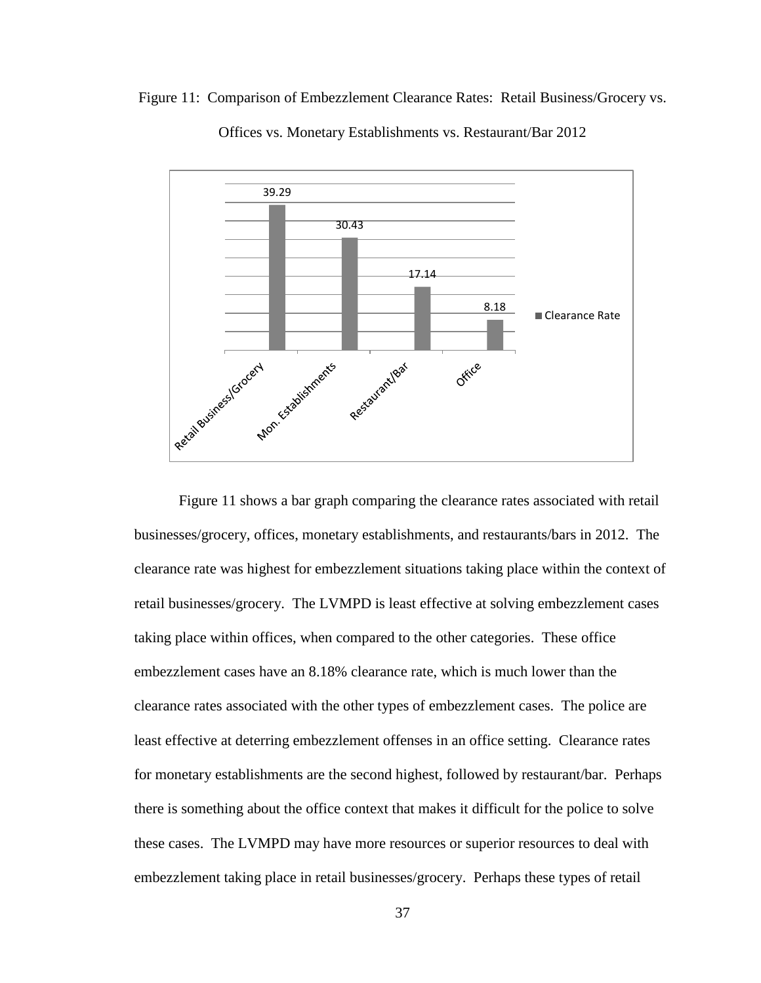



Offices vs. Monetary Establishments vs. Restaurant/Bar 2012

Figure 11 shows a bar graph comparing the clearance rates associated with retail businesses/grocery, offices, monetary establishments, and restaurants/bars in 2012. The clearance rate was highest for embezzlement situations taking place within the context of retail businesses/grocery. The LVMPD is least effective at solving embezzlement cases taking place within offices, when compared to the other categories. These office embezzlement cases have an 8.18% clearance rate, which is much lower than the clearance rates associated with the other types of embezzlement cases. The police are least effective at deterring embezzlement offenses in an office setting. Clearance rates for monetary establishments are the second highest, followed by restaurant/bar. Perhaps there is something about the office context that makes it difficult for the police to solve these cases. The LVMPD may have more resources or superior resources to deal with embezzlement taking place in retail businesses/grocery. Perhaps these types of retail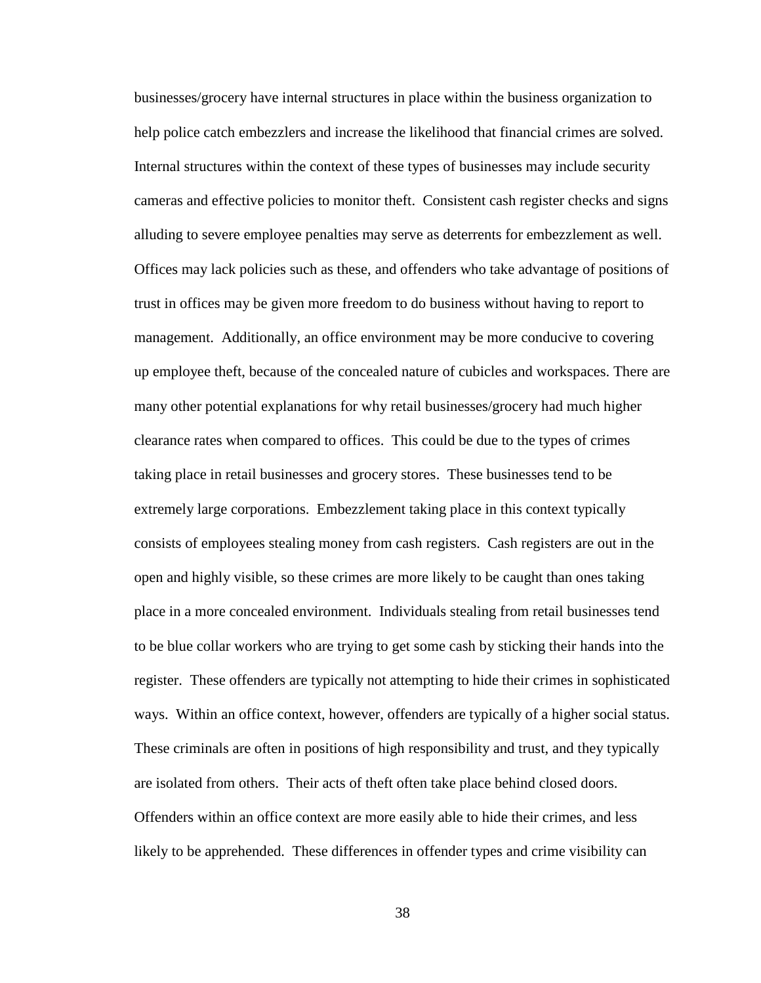businesses/grocery have internal structures in place within the business organization to help police catch embezzlers and increase the likelihood that financial crimes are solved. Internal structures within the context of these types of businesses may include security cameras and effective policies to monitor theft. Consistent cash register checks and signs alluding to severe employee penalties may serve as deterrents for embezzlement as well. Offices may lack policies such as these, and offenders who take advantage of positions of trust in offices may be given more freedom to do business without having to report to management. Additionally, an office environment may be more conducive to covering up employee theft, because of the concealed nature of cubicles and workspaces. There are many other potential explanations for why retail businesses/grocery had much higher clearance rates when compared to offices. This could be due to the types of crimes taking place in retail businesses and grocery stores. These businesses tend to be extremely large corporations. Embezzlement taking place in this context typically consists of employees stealing money from cash registers. Cash registers are out in the open and highly visible, so these crimes are more likely to be caught than ones taking place in a more concealed environment. Individuals stealing from retail businesses tend to be blue collar workers who are trying to get some cash by sticking their hands into the register. These offenders are typically not attempting to hide their crimes in sophisticated ways. Within an office context, however, offenders are typically of a higher social status. These criminals are often in positions of high responsibility and trust, and they typically are isolated from others. Their acts of theft often take place behind closed doors. Offenders within an office context are more easily able to hide their crimes, and less likely to be apprehended. These differences in offender types and crime visibility can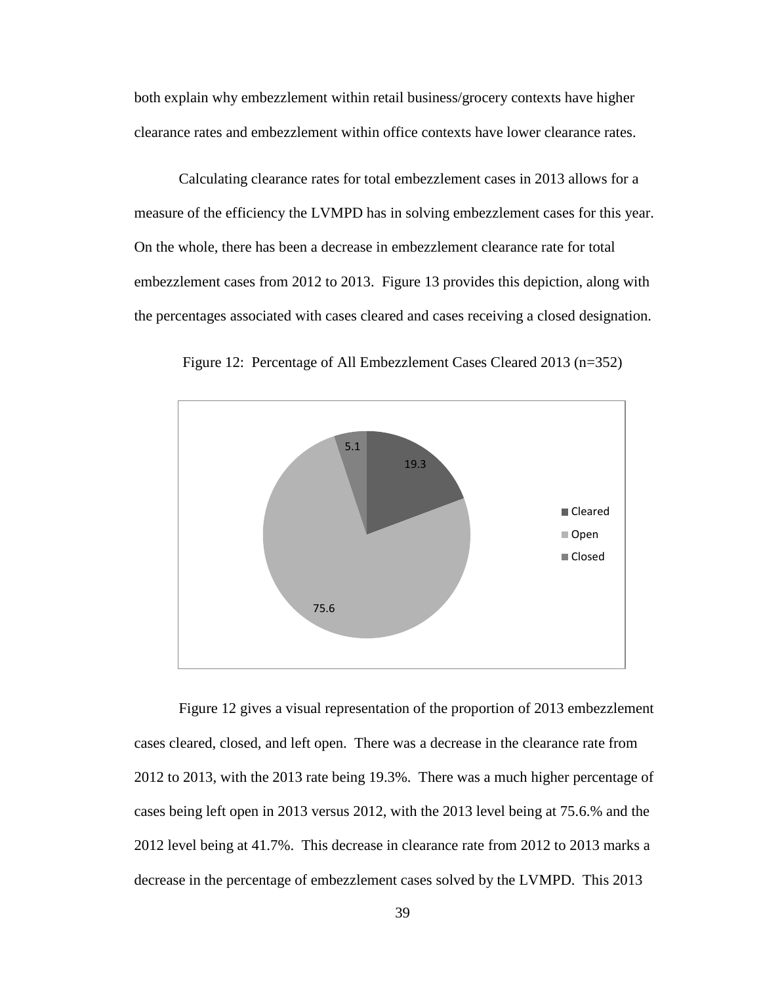both explain why embezzlement within retail business/grocery contexts have higher clearance rates and embezzlement within office contexts have lower clearance rates.

Calculating clearance rates for total embezzlement cases in 2013 allows for a measure of the efficiency the LVMPD has in solving embezzlement cases for this year. On the whole, there has been a decrease in embezzlement clearance rate for total embezzlement cases from 2012 to 2013. Figure 13 provides this depiction, along with the percentages associated with cases cleared and cases receiving a closed designation.



Figure 12: Percentage of All Embezzlement Cases Cleared 2013 (n=352)



Figure 12 gives a visual representation of the proportion of 2013 embezzlement cases cleared, closed, and left open. There was a decrease in the clearance rate from 2012 to 2013, with the 2013 rate being 19.3%. There was a much higher percentage of cases being left open in 2013 versus 2012, with the 2013 level being at 75.6.% and the 2012 level being at 41.7%. This decrease in clearance rate from 2012 to 2013 marks a decrease in the percentage of embezzlement cases solved by the LVMPD. This 2013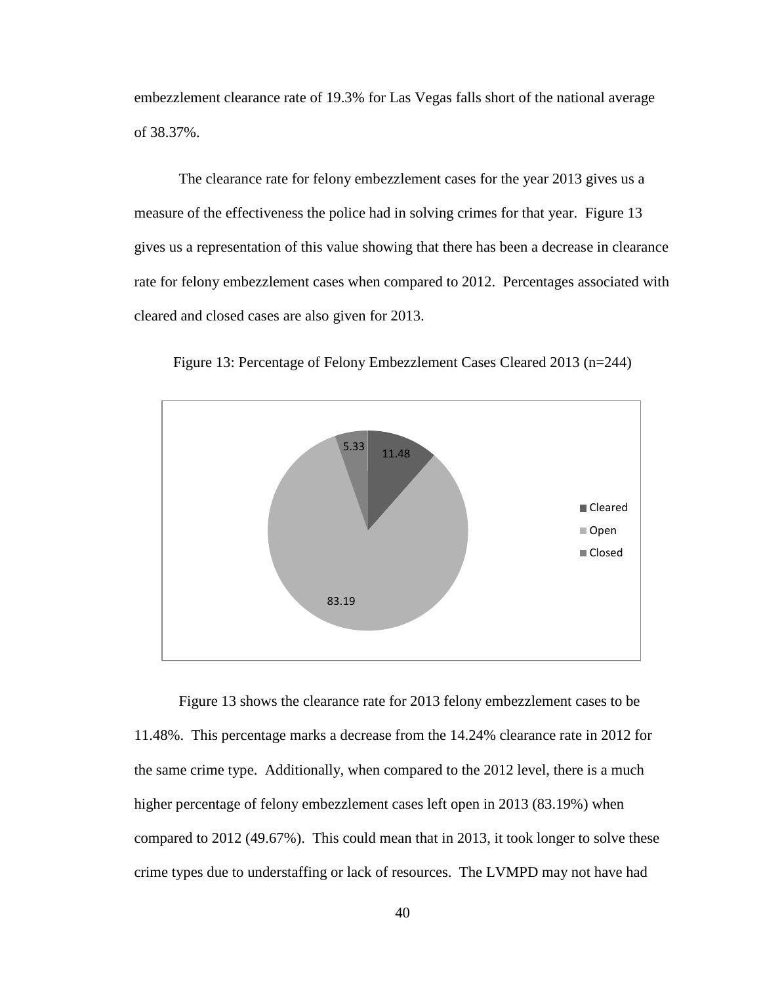embezzlement clearance rate of 19.3% for Las Vegas falls short of the national average of 38.37%.

The clearance rate for felony embezzlement cases for the year 2013 gives us a measure of the effectiveness the police had in solving crimes for that year. Figure 13 gives us a representation of this value showing that there has been a decrease in clearance rate for felony embezzlement cases when compared to 2012. Percentages associated with cleared and closed cases are also given for 2013.



Figure 13: Percentage of Felony Embezzlement Cases Cleared 2013 (n=244)

Figure 13 shows the clearance rate for 2013 felony embezzlement cases to be 11.48%. This percentage marks a decrease from the 14.24% clearance rate in 2012 for the same crime type. Additionally, when compared to the 2012 level, there is a much higher percentage of felony embezzlement cases left open in 2013 (83.19%) when compared to 2012 (49.67%). This could mean that in 2013, it took longer to solve these crime types due to understaffing or lack of resources. The LVMPD may not have had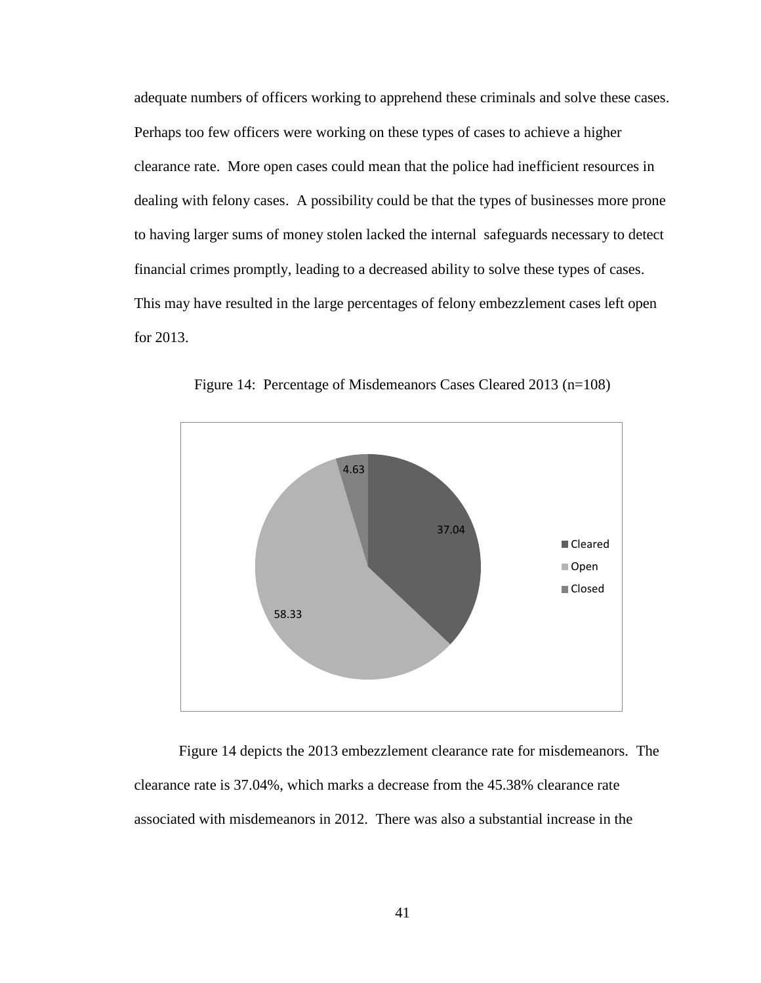adequate numbers of officers working to apprehend these criminals and solve these cases. Perhaps too few officers were working on these types of cases to achieve a higher clearance rate. More open cases could mean that the police had inefficient resources in dealing with felony cases. A possibility could be that the types of businesses more prone to having larger sums of money stolen lacked the internal safeguards necessary to detect financial crimes promptly, leading to a decreased ability to solve these types of cases. This may have resulted in the large percentages of felony embezzlement cases left open for 2013.



Figure 14: Percentage of Misdemeanors Cases Cleared 2013 (n=108)

Figure 14 depicts the 2013 embezzlement clearance rate for misdemeanors. The clearance rate is 37.04%, which marks a decrease from the 45.38% clearance rate associated with misdemeanors in 2012. There was also a substantial increase in the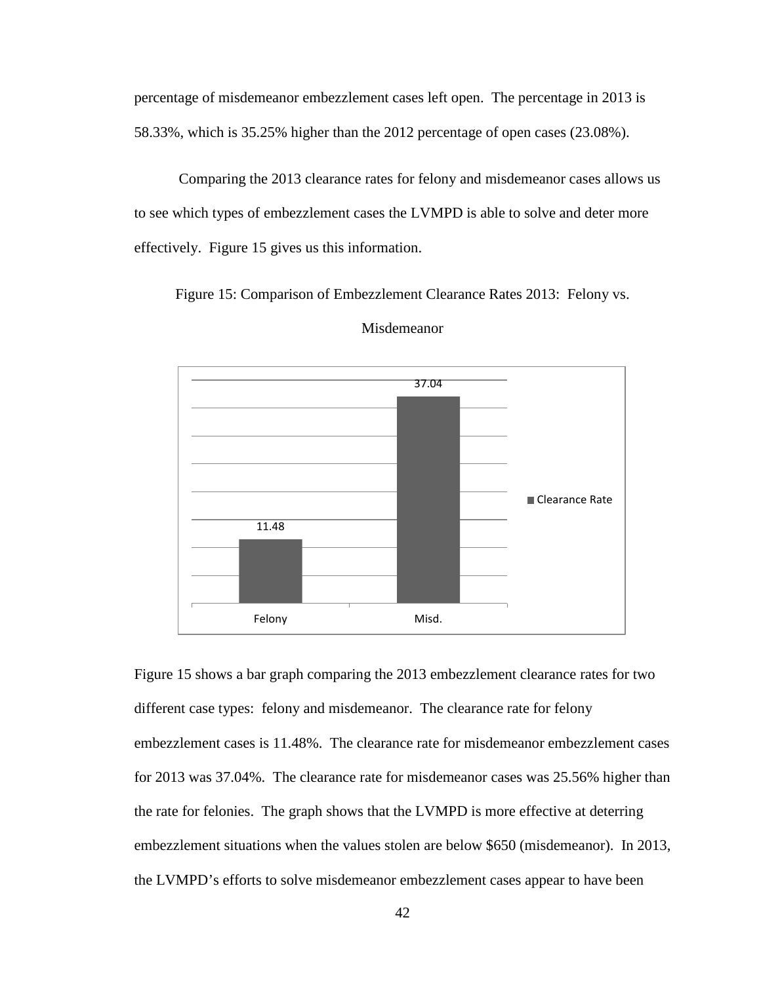percentage of misdemeanor embezzlement cases left open. The percentage in 2013 is 58.33%, which is 35.25% higher than the 2012 percentage of open cases (23.08%).

Comparing the 2013 clearance rates for felony and misdemeanor cases allows us to see which types of embezzlement cases the LVMPD is able to solve and deter more effectively. Figure 15 gives us this information.

Figure 15: Comparison of Embezzlement Clearance Rates 2013: Felony vs.



Misdemeanor

Figure 15 shows a bar graph comparing the 2013 embezzlement clearance rates for two different case types: felony and misdemeanor. The clearance rate for felony embezzlement cases is 11.48%. The clearance rate for misdemeanor embezzlement cases for 2013 was 37.04%. The clearance rate for misdemeanor cases was 25.56% higher than the rate for felonies. The graph shows that the LVMPD is more effective at deterring embezzlement situations when the values stolen are below \$650 (misdemeanor). In 2013, the LVMPD's efforts to solve misdemeanor embezzlement cases appear to have been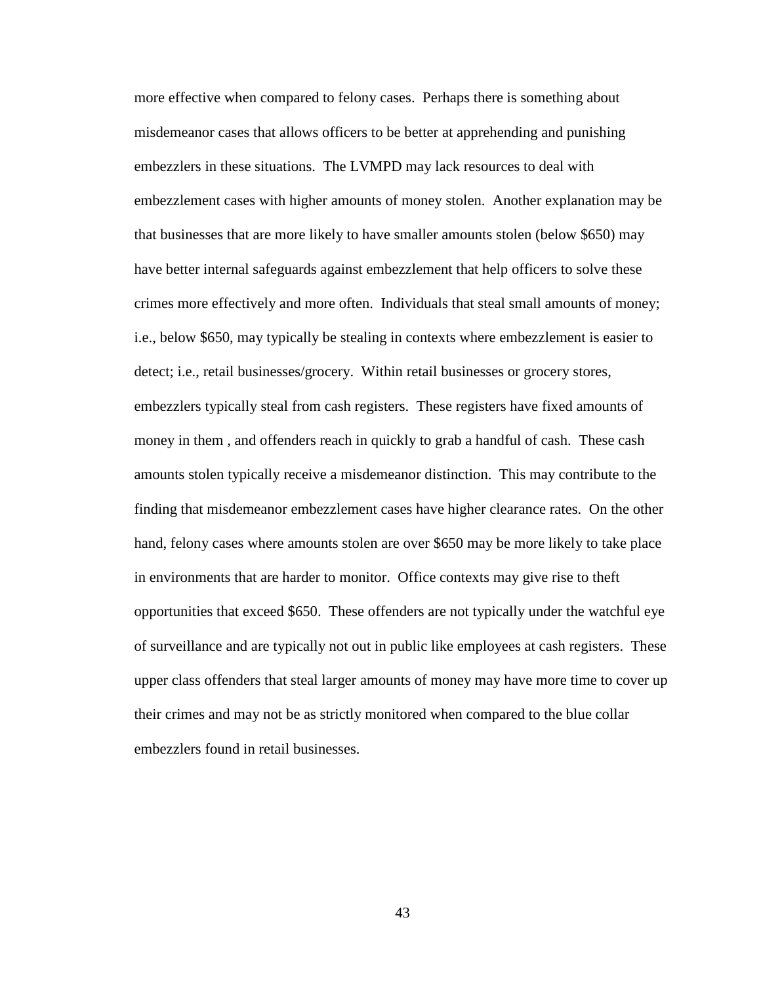more effective when compared to felony cases. Perhaps there is something about misdemeanor cases that allows officers to be better at apprehending and punishing embezzlers in these situations. The LVMPD may lack resources to deal with embezzlement cases with higher amounts of money stolen. Another explanation may be that businesses that are more likely to have smaller amounts stolen (below \$650) may have better internal safeguards against embezzlement that help officers to solve these crimes more effectively and more often. Individuals that steal small amounts of money; i.e., below \$650, may typically be stealing in contexts where embezzlement is easier to detect; i.e., retail businesses/grocery. Within retail businesses or grocery stores, embezzlers typically steal from cash registers. These registers have fixed amounts of money in them , and offenders reach in quickly to grab a handful of cash. These cash amounts stolen typically receive a misdemeanor distinction. This may contribute to the finding that misdemeanor embezzlement cases have higher clearance rates. On the other hand, felony cases where amounts stolen are over \$650 may be more likely to take place in environments that are harder to monitor. Office contexts may give rise to theft opportunities that exceed \$650. These offenders are not typically under the watchful eye of surveillance and are typically not out in public like employees at cash registers. These upper class offenders that steal larger amounts of money may have more time to cover up their crimes and may not be as strictly monitored when compared to the blue collar embezzlers found in retail businesses.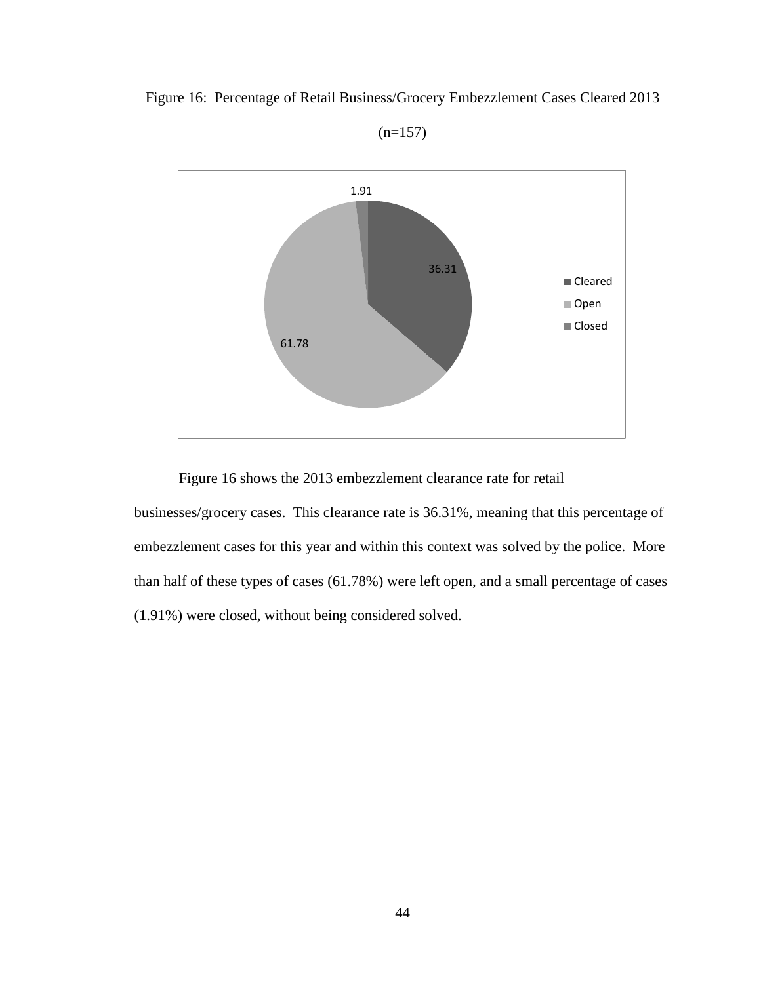



 $(n=157)$ 

Figure 16 shows the 2013 embezzlement clearance rate for retail

businesses/grocery cases. This clearance rate is 36.31%, meaning that this percentage of embezzlement cases for this year and within this context was solved by the police. More than half of these types of cases (61.78%) were left open, and a small percentage of cases (1.91%) were closed, without being considered solved.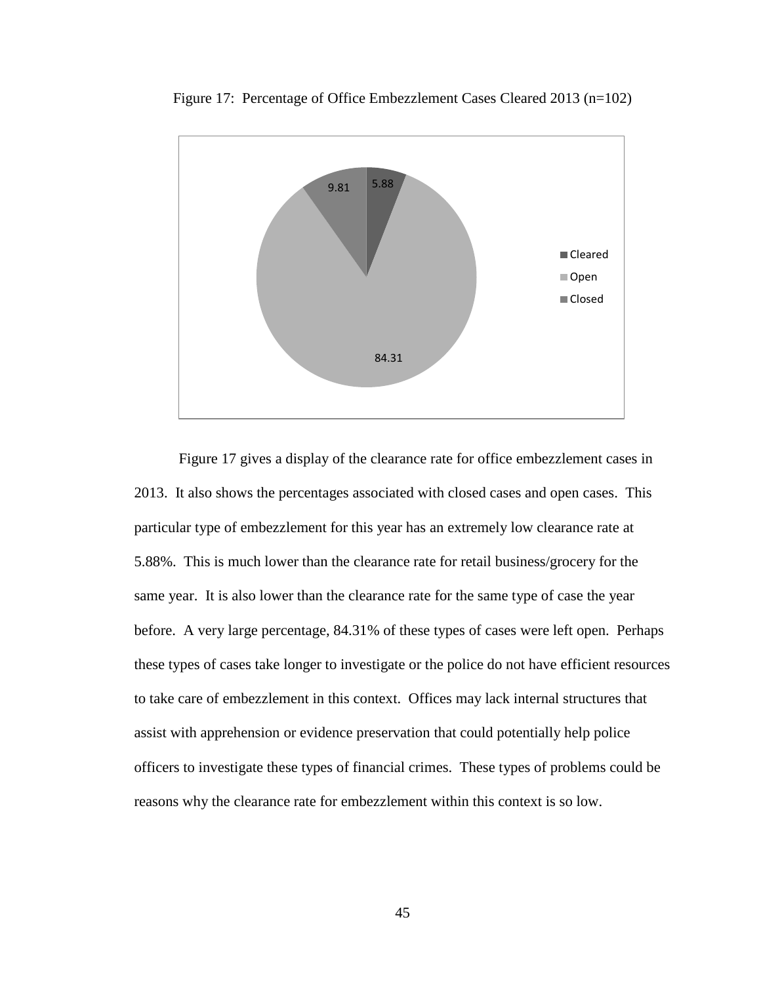

Figure 17: Percentage of Office Embezzlement Cases Cleared 2013 (n=102)

Figure 17 gives a display of the clearance rate for office embezzlement cases in 2013. It also shows the percentages associated with closed cases and open cases. This particular type of embezzlement for this year has an extremely low clearance rate at 5.88%. This is much lower than the clearance rate for retail business/grocery for the same year. It is also lower than the clearance rate for the same type of case the year before. A very large percentage, 84.31% of these types of cases were left open. Perhaps these types of cases take longer to investigate or the police do not have efficient resources to take care of embezzlement in this context. Offices may lack internal structures that assist with apprehension or evidence preservation that could potentially help police officers to investigate these types of financial crimes. These types of problems could be reasons why the clearance rate for embezzlement within this context is so low.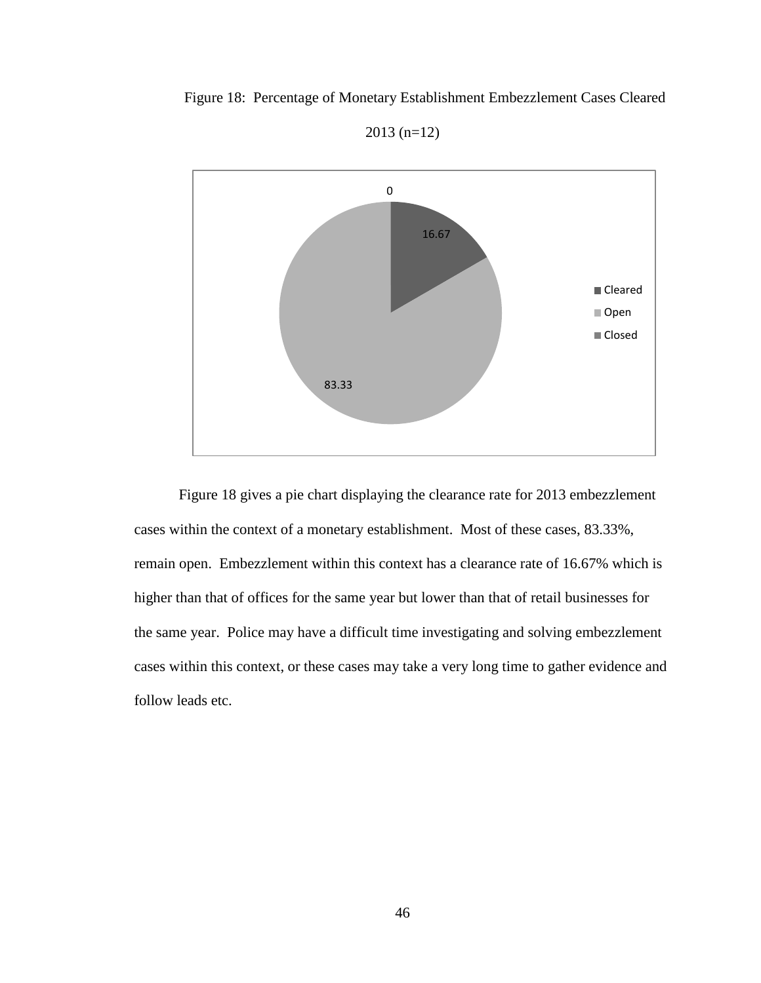

Figure 18: Percentage of Monetary Establishment Embezzlement Cases Cleared

Figure 18 gives a pie chart displaying the clearance rate for 2013 embezzlement cases within the context of a monetary establishment. Most of these cases, 83.33%, remain open. Embezzlement within this context has a clearance rate of 16.67% which is higher than that of offices for the same year but lower than that of retail businesses for the same year. Police may have a difficult time investigating and solving embezzlement cases within this context, or these cases may take a very long time to gather evidence and follow leads etc.

2013 (n=12)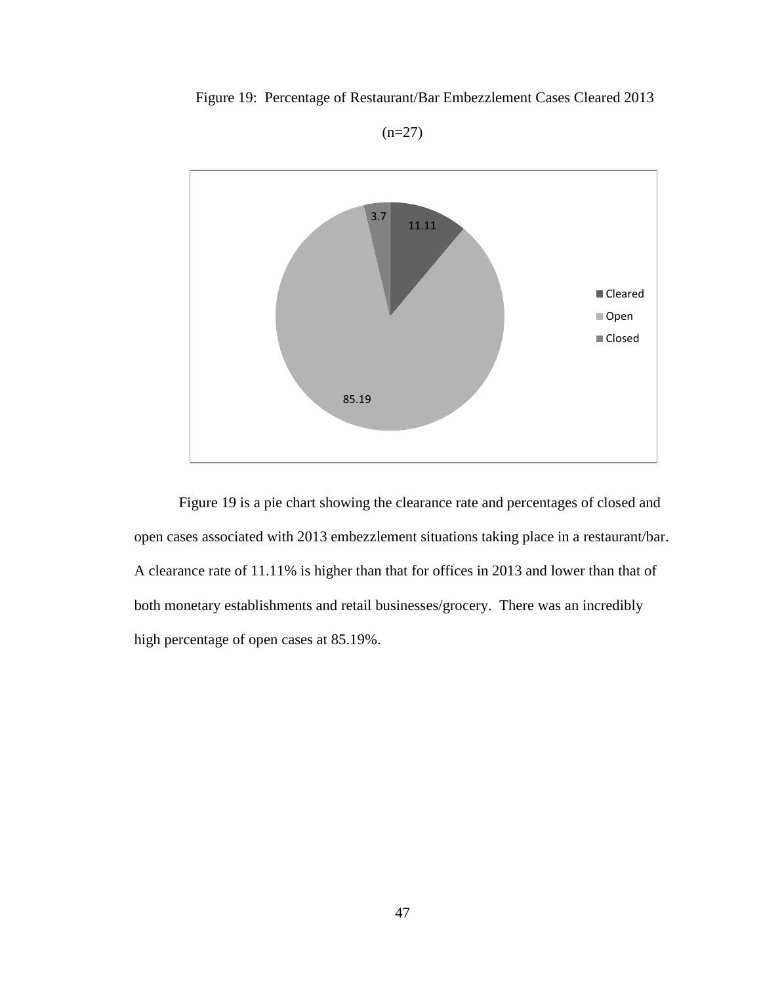





Figure 19 is a pie chart showing the clearance rate and percentages of closed and open cases associated with 2013 embezzlement situations taking place in a restaurant/bar. A clearance rate of 11.11% is higher than that for offices in 2013 and lower than that of both monetary establishments and retail businesses/grocery. There was an incredibly high percentage of open cases at 85.19%.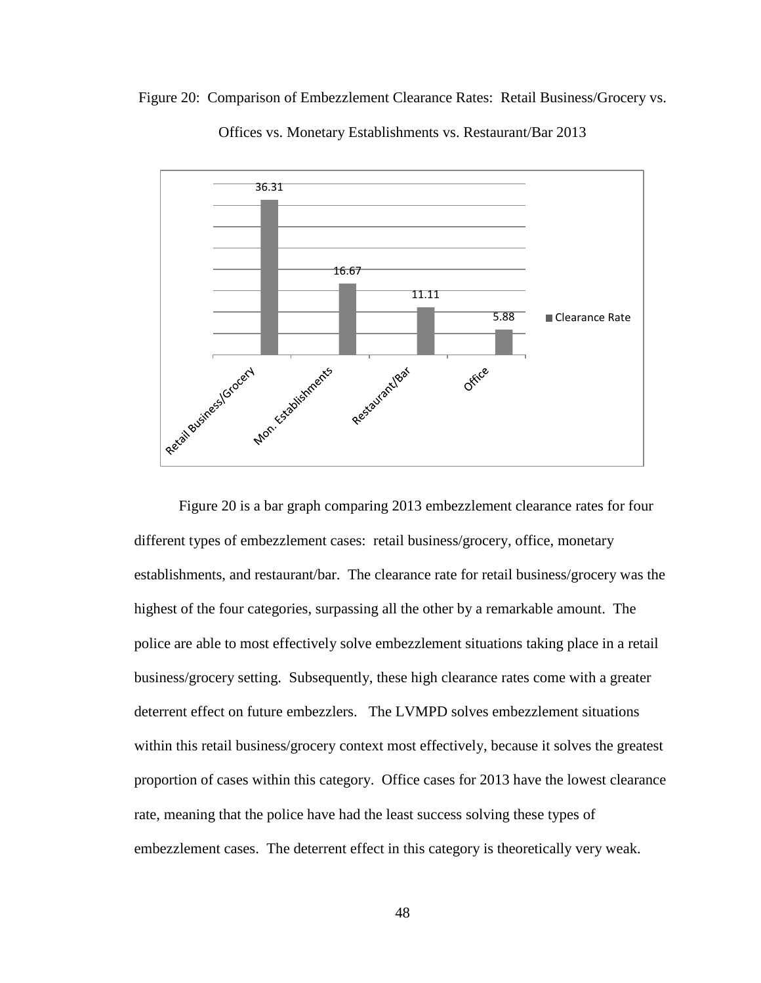



Offices vs. Monetary Establishments vs. Restaurant/Bar 2013

Figure 20 is a bar graph comparing 2013 embezzlement clearance rates for four different types of embezzlement cases: retail business/grocery, office, monetary establishments, and restaurant/bar. The clearance rate for retail business/grocery was the highest of the four categories, surpassing all the other by a remarkable amount. The police are able to most effectively solve embezzlement situations taking place in a retail business/grocery setting. Subsequently, these high clearance rates come with a greater deterrent effect on future embezzlers. The LVMPD solves embezzlement situations within this retail business/grocery context most effectively, because it solves the greatest proportion of cases within this category. Office cases for 2013 have the lowest clearance rate, meaning that the police have had the least success solving these types of embezzlement cases. The deterrent effect in this category is theoretically very weak.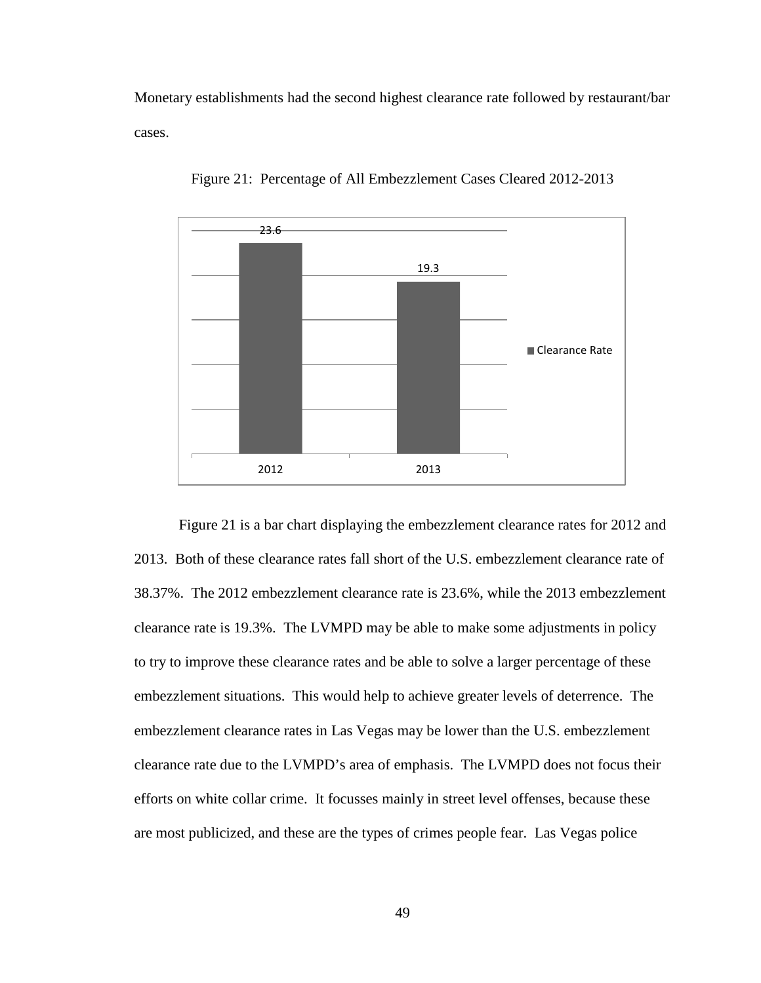Monetary establishments had the second highest clearance rate followed by restaurant/bar cases.



Figure 21: Percentage of All Embezzlement Cases Cleared 2012-2013

Figure 21 is a bar chart displaying the embezzlement clearance rates for 2012 and 2013. Both of these clearance rates fall short of the U.S. embezzlement clearance rate of 38.37%. The 2012 embezzlement clearance rate is 23.6%, while the 2013 embezzlement clearance rate is 19.3%. The LVMPD may be able to make some adjustments in policy to try to improve these clearance rates and be able to solve a larger percentage of these embezzlement situations. This would help to achieve greater levels of deterrence. The embezzlement clearance rates in Las Vegas may be lower than the U.S. embezzlement clearance rate due to the LVMPD's area of emphasis. The LVMPD does not focus their efforts on white collar crime. It focusses mainly in street level offenses, because these are most publicized, and these are the types of crimes people fear. Las Vegas police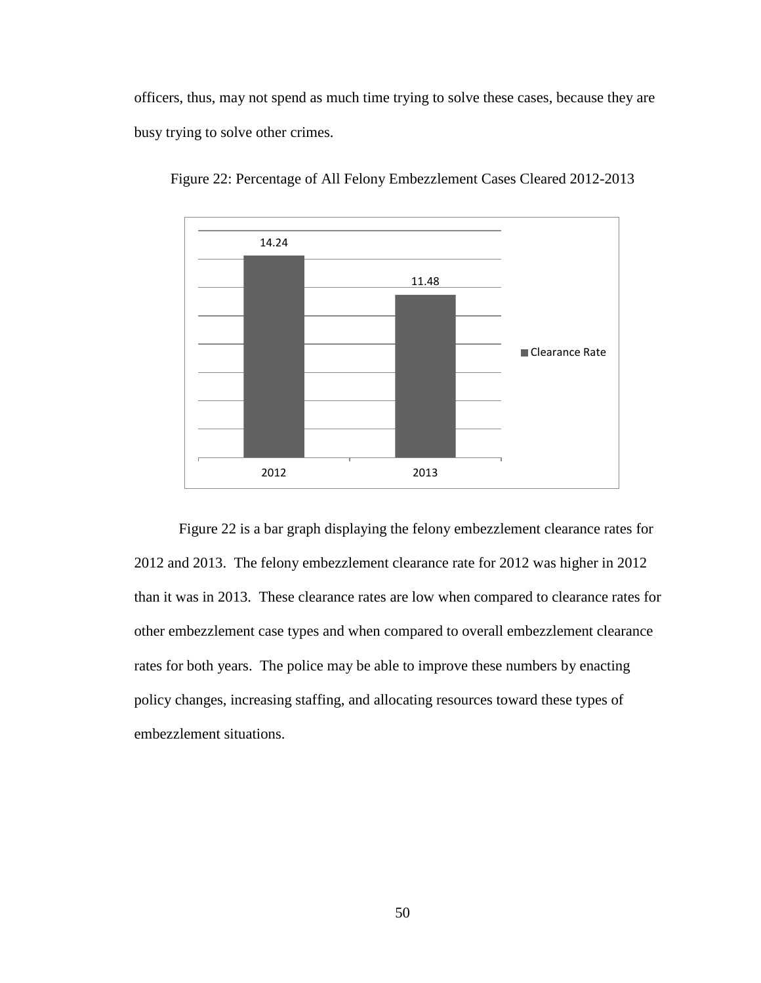officers, thus, may not spend as much time trying to solve these cases, because they are busy trying to solve other crimes.



Figure 22: Percentage of All Felony Embezzlement Cases Cleared 2012-2013

Figure 22 is a bar graph displaying the felony embezzlement clearance rates for 2012 and 2013. The felony embezzlement clearance rate for 2012 was higher in 2012 than it was in 2013. These clearance rates are low when compared to clearance rates for other embezzlement case types and when compared to overall embezzlement clearance rates for both years. The police may be able to improve these numbers by enacting policy changes, increasing staffing, and allocating resources toward these types of embezzlement situations.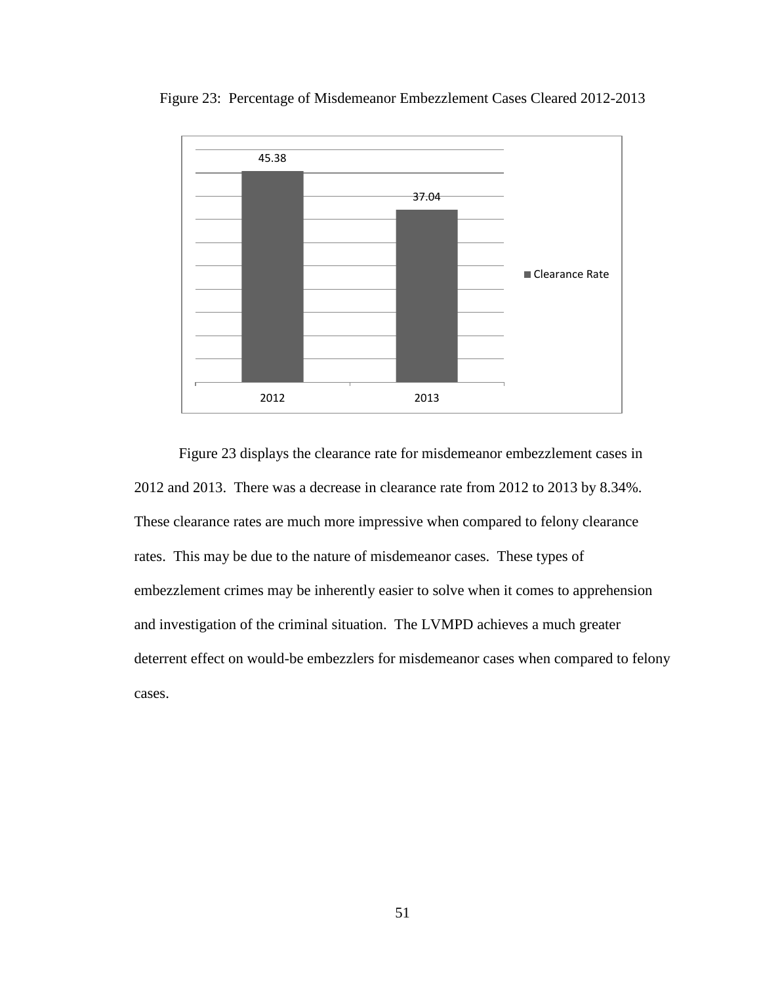



Figure 23 displays the clearance rate for misdemeanor embezzlement cases in 2012 and 2013. There was a decrease in clearance rate from 2012 to 2013 by 8.34%. These clearance rates are much more impressive when compared to felony clearance rates. This may be due to the nature of misdemeanor cases. These types of embezzlement crimes may be inherently easier to solve when it comes to apprehension and investigation of the criminal situation. The LVMPD achieves a much greater deterrent effect on would-be embezzlers for misdemeanor cases when compared to felony cases.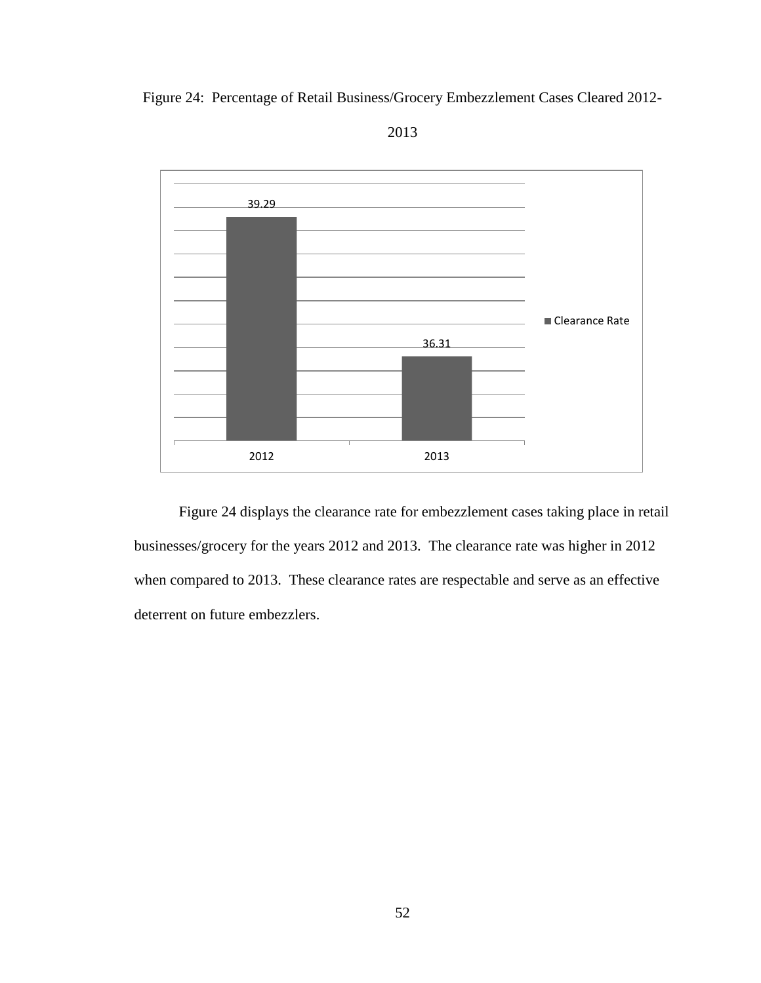



2013

Figure 24 displays the clearance rate for embezzlement cases taking place in retail businesses/grocery for the years 2012 and 2013. The clearance rate was higher in 2012 when compared to 2013. These clearance rates are respectable and serve as an effective deterrent on future embezzlers.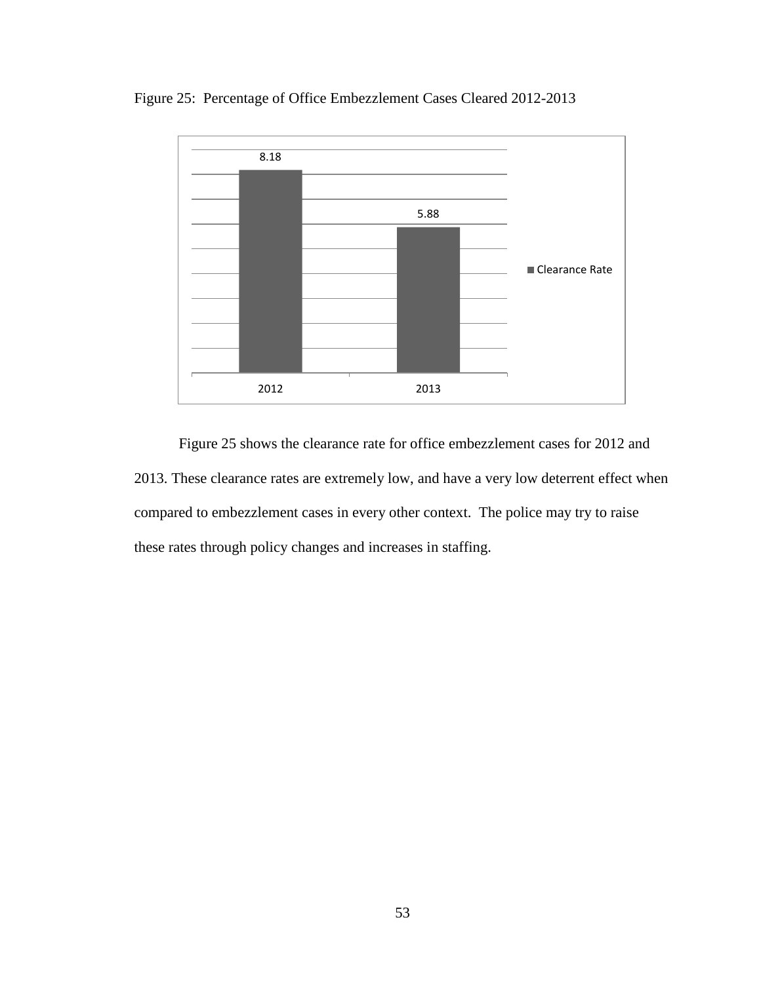



Figure 25 shows the clearance rate for office embezzlement cases for 2012 and 2013. These clearance rates are extremely low, and have a very low deterrent effect when compared to embezzlement cases in every other context. The police may try to raise these rates through policy changes and increases in staffing.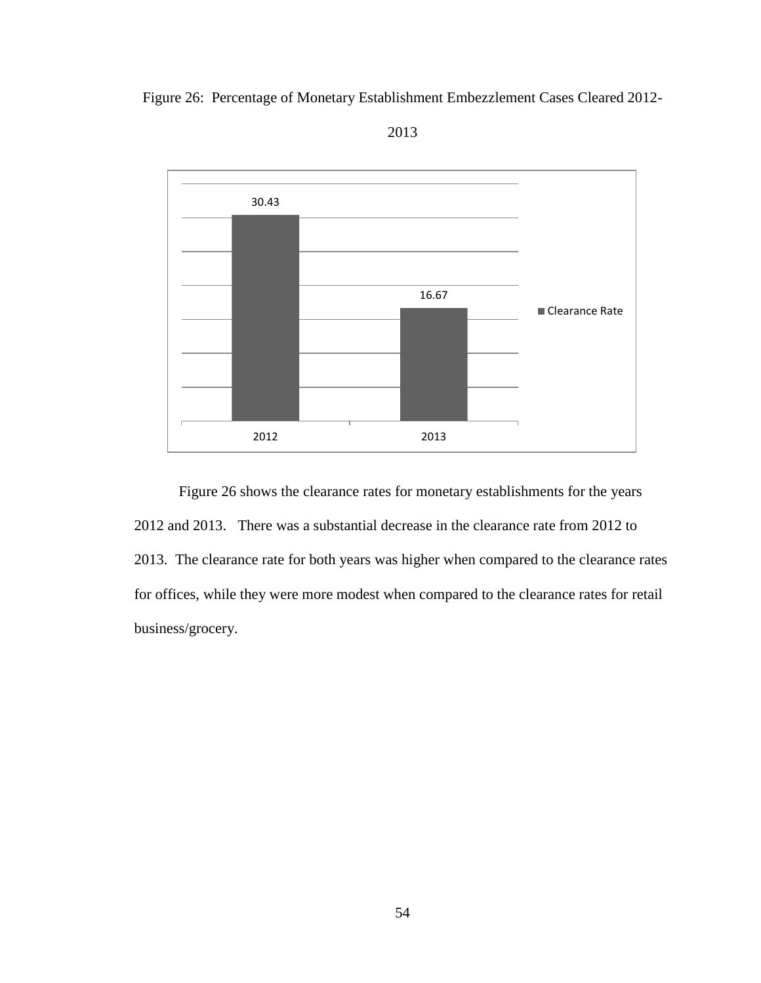



2013

Figure 26 shows the clearance rates for monetary establishments for the years 2012 and 2013. There was a substantial decrease in the clearance rate from 2012 to 2013. The clearance rate for both years was higher when compared to the clearance rates for offices, while they were more modest when compared to the clearance rates for retail business/grocery.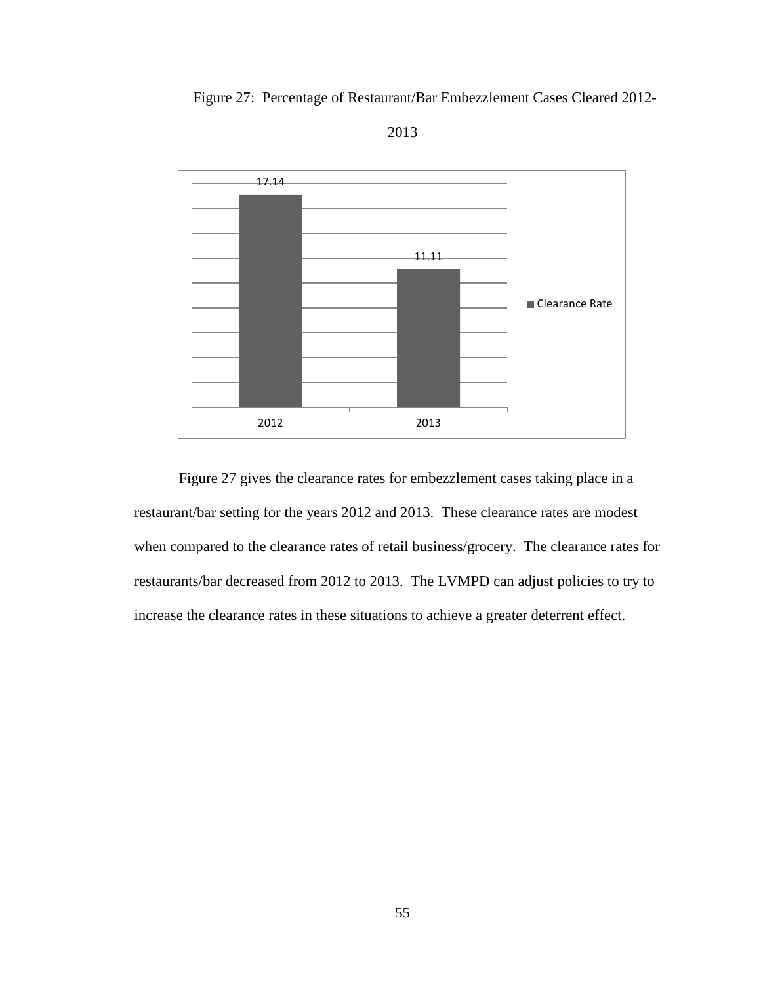Figure 27: Percentage of Restaurant/Bar Embezzlement Cases Cleared 2012-





Figure 27 gives the clearance rates for embezzlement cases taking place in a restaurant/bar setting for the years 2012 and 2013. These clearance rates are modest when compared to the clearance rates of retail business/grocery. The clearance rates for restaurants/bar decreased from 2012 to 2013. The LVMPD can adjust policies to try to increase the clearance rates in these situations to achieve a greater deterrent effect.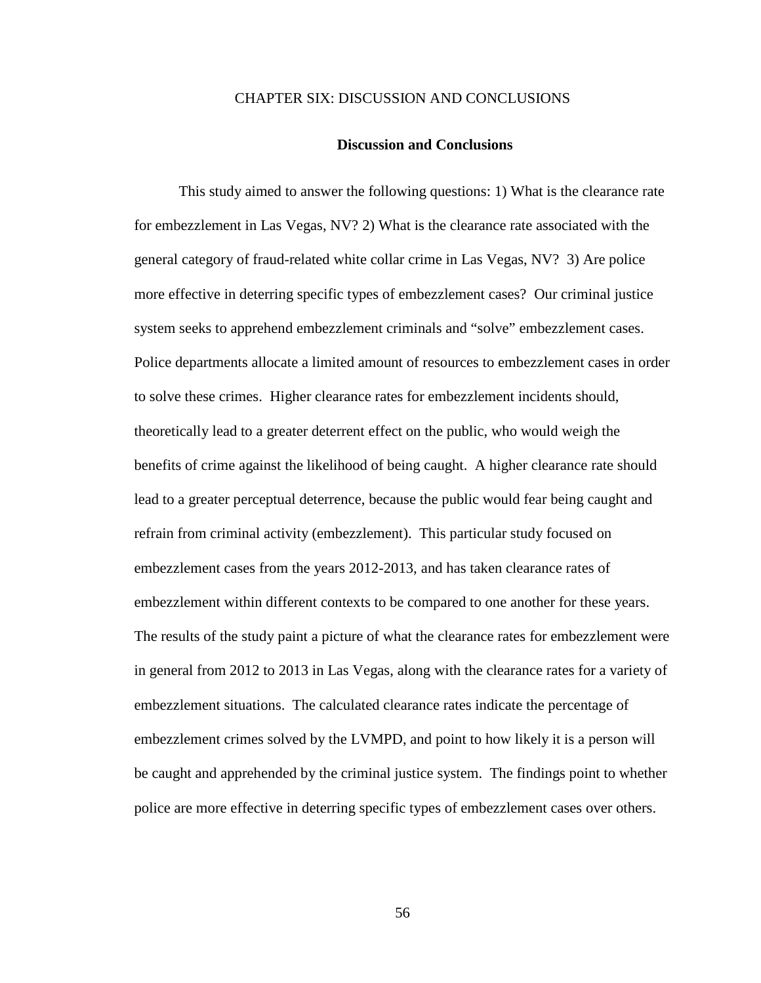## CHAPTER SIX: DISCUSSION AND CONCLUSIONS

#### **Discussion and Conclusions**

This study aimed to answer the following questions: 1) What is the clearance rate for embezzlement in Las Vegas, NV? 2) What is the clearance rate associated with the general category of fraud-related white collar crime in Las Vegas, NV? 3) Are police more effective in deterring specific types of embezzlement cases? Our criminal justice system seeks to apprehend embezzlement criminals and "solve" embezzlement cases. Police departments allocate a limited amount of resources to embezzlement cases in order to solve these crimes. Higher clearance rates for embezzlement incidents should, theoretically lead to a greater deterrent effect on the public, who would weigh the benefits of crime against the likelihood of being caught. A higher clearance rate should lead to a greater perceptual deterrence, because the public would fear being caught and refrain from criminal activity (embezzlement). This particular study focused on embezzlement cases from the years 2012-2013, and has taken clearance rates of embezzlement within different contexts to be compared to one another for these years. The results of the study paint a picture of what the clearance rates for embezzlement were in general from 2012 to 2013 in Las Vegas, along with the clearance rates for a variety of embezzlement situations. The calculated clearance rates indicate the percentage of embezzlement crimes solved by the LVMPD, and point to how likely it is a person will be caught and apprehended by the criminal justice system. The findings point to whether police are more effective in deterring specific types of embezzlement cases over others.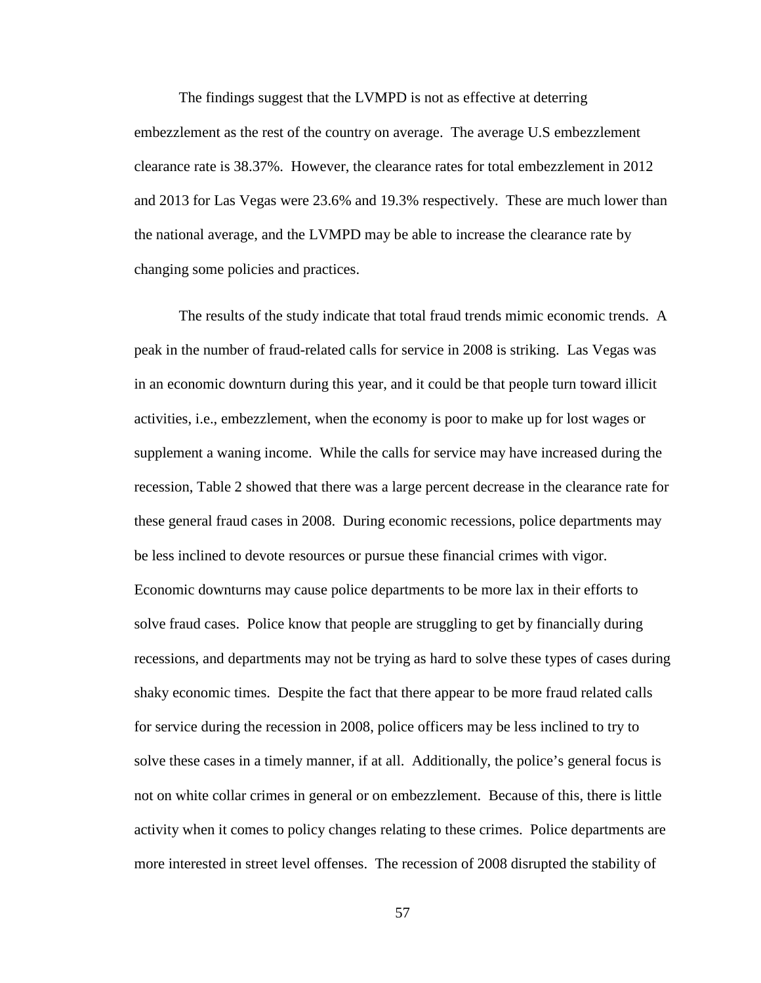The findings suggest that the LVMPD is not as effective at deterring embezzlement as the rest of the country on average. The average U.S embezzlement clearance rate is 38.37%. However, the clearance rates for total embezzlement in 2012 and 2013 for Las Vegas were 23.6% and 19.3% respectively. These are much lower than the national average, and the LVMPD may be able to increase the clearance rate by changing some policies and practices.

The results of the study indicate that total fraud trends mimic economic trends. A peak in the number of fraud-related calls for service in 2008 is striking. Las Vegas was in an economic downturn during this year, and it could be that people turn toward illicit activities, i.e., embezzlement, when the economy is poor to make up for lost wages or supplement a waning income. While the calls for service may have increased during the recession, Table 2 showed that there was a large percent decrease in the clearance rate for these general fraud cases in 2008. During economic recessions, police departments may be less inclined to devote resources or pursue these financial crimes with vigor. Economic downturns may cause police departments to be more lax in their efforts to solve fraud cases. Police know that people are struggling to get by financially during recessions, and departments may not be trying as hard to solve these types of cases during shaky economic times. Despite the fact that there appear to be more fraud related calls for service during the recession in 2008, police officers may be less inclined to try to solve these cases in a timely manner, if at all. Additionally, the police's general focus is not on white collar crimes in general or on embezzlement. Because of this, there is little activity when it comes to policy changes relating to these crimes. Police departments are more interested in street level offenses. The recession of 2008 disrupted the stability of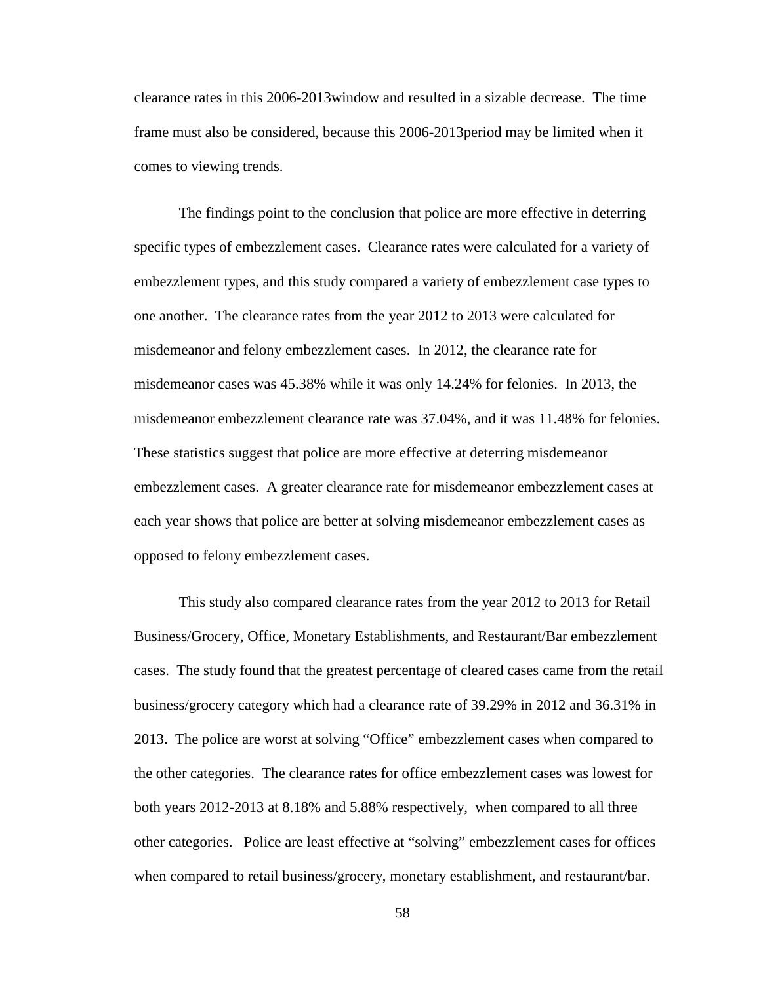clearance rates in this 2006-2013window and resulted in a sizable decrease. The time frame must also be considered, because this 2006-2013period may be limited when it comes to viewing trends.

The findings point to the conclusion that police are more effective in deterring specific types of embezzlement cases. Clearance rates were calculated for a variety of embezzlement types, and this study compared a variety of embezzlement case types to one another. The clearance rates from the year 2012 to 2013 were calculated for misdemeanor and felony embezzlement cases. In 2012, the clearance rate for misdemeanor cases was 45.38% while it was only 14.24% for felonies. In 2013, the misdemeanor embezzlement clearance rate was 37.04%, and it was 11.48% for felonies. These statistics suggest that police are more effective at deterring misdemeanor embezzlement cases. A greater clearance rate for misdemeanor embezzlement cases at each year shows that police are better at solving misdemeanor embezzlement cases as opposed to felony embezzlement cases.

This study also compared clearance rates from the year 2012 to 2013 for Retail Business/Grocery, Office, Monetary Establishments, and Restaurant/Bar embezzlement cases. The study found that the greatest percentage of cleared cases came from the retail business/grocery category which had a clearance rate of 39.29% in 2012 and 36.31% in 2013. The police are worst at solving "Office" embezzlement cases when compared to the other categories. The clearance rates for office embezzlement cases was lowest for both years 2012-2013 at 8.18% and 5.88% respectively, when compared to all three other categories. Police are least effective at "solving" embezzlement cases for offices when compared to retail business/grocery, monetary establishment, and restaurant/bar.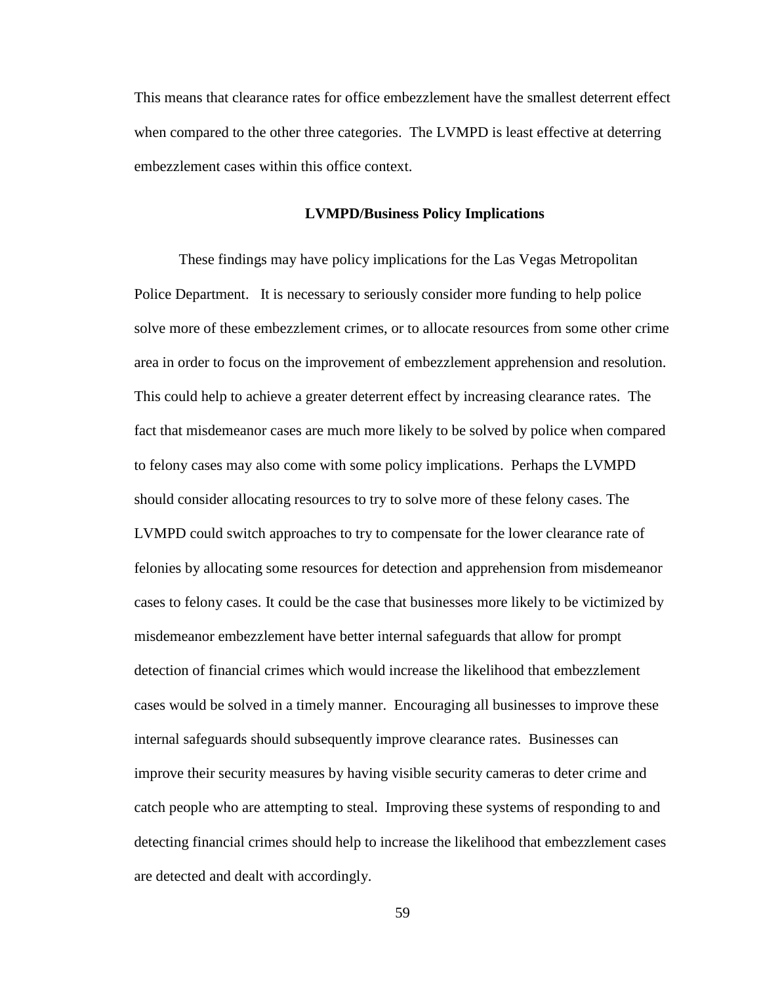This means that clearance rates for office embezzlement have the smallest deterrent effect when compared to the other three categories. The LVMPD is least effective at deterring embezzlement cases within this office context.

## **LVMPD/Business Policy Implications**

These findings may have policy implications for the Las Vegas Metropolitan Police Department. It is necessary to seriously consider more funding to help police solve more of these embezzlement crimes, or to allocate resources from some other crime area in order to focus on the improvement of embezzlement apprehension and resolution. This could help to achieve a greater deterrent effect by increasing clearance rates. The fact that misdemeanor cases are much more likely to be solved by police when compared to felony cases may also come with some policy implications. Perhaps the LVMPD should consider allocating resources to try to solve more of these felony cases. The LVMPD could switch approaches to try to compensate for the lower clearance rate of felonies by allocating some resources for detection and apprehension from misdemeanor cases to felony cases. It could be the case that businesses more likely to be victimized by misdemeanor embezzlement have better internal safeguards that allow for prompt detection of financial crimes which would increase the likelihood that embezzlement cases would be solved in a timely manner. Encouraging all businesses to improve these internal safeguards should subsequently improve clearance rates. Businesses can improve their security measures by having visible security cameras to deter crime and catch people who are attempting to steal. Improving these systems of responding to and detecting financial crimes should help to increase the likelihood that embezzlement cases are detected and dealt with accordingly.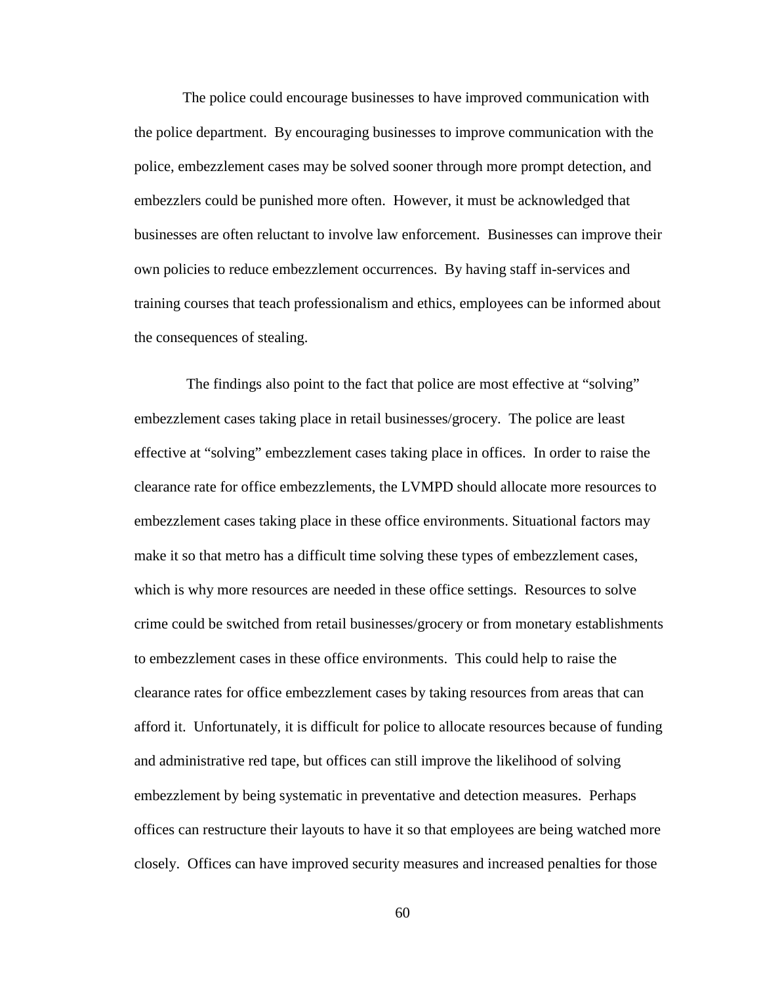The police could encourage businesses to have improved communication with the police department. By encouraging businesses to improve communication with the police, embezzlement cases may be solved sooner through more prompt detection, and embezzlers could be punished more often. However, it must be acknowledged that businesses are often reluctant to involve law enforcement. Businesses can improve their own policies to reduce embezzlement occurrences. By having staff in-services and training courses that teach professionalism and ethics, employees can be informed about the consequences of stealing.

 The findings also point to the fact that police are most effective at "solving" embezzlement cases taking place in retail businesses/grocery. The police are least effective at "solving" embezzlement cases taking place in offices. In order to raise the clearance rate for office embezzlements, the LVMPD should allocate more resources to embezzlement cases taking place in these office environments. Situational factors may make it so that metro has a difficult time solving these types of embezzlement cases, which is why more resources are needed in these office settings. Resources to solve crime could be switched from retail businesses/grocery or from monetary establishments to embezzlement cases in these office environments. This could help to raise the clearance rates for office embezzlement cases by taking resources from areas that can afford it. Unfortunately, it is difficult for police to allocate resources because of funding and administrative red tape, but offices can still improve the likelihood of solving embezzlement by being systematic in preventative and detection measures. Perhaps offices can restructure their layouts to have it so that employees are being watched more closely. Offices can have improved security measures and increased penalties for those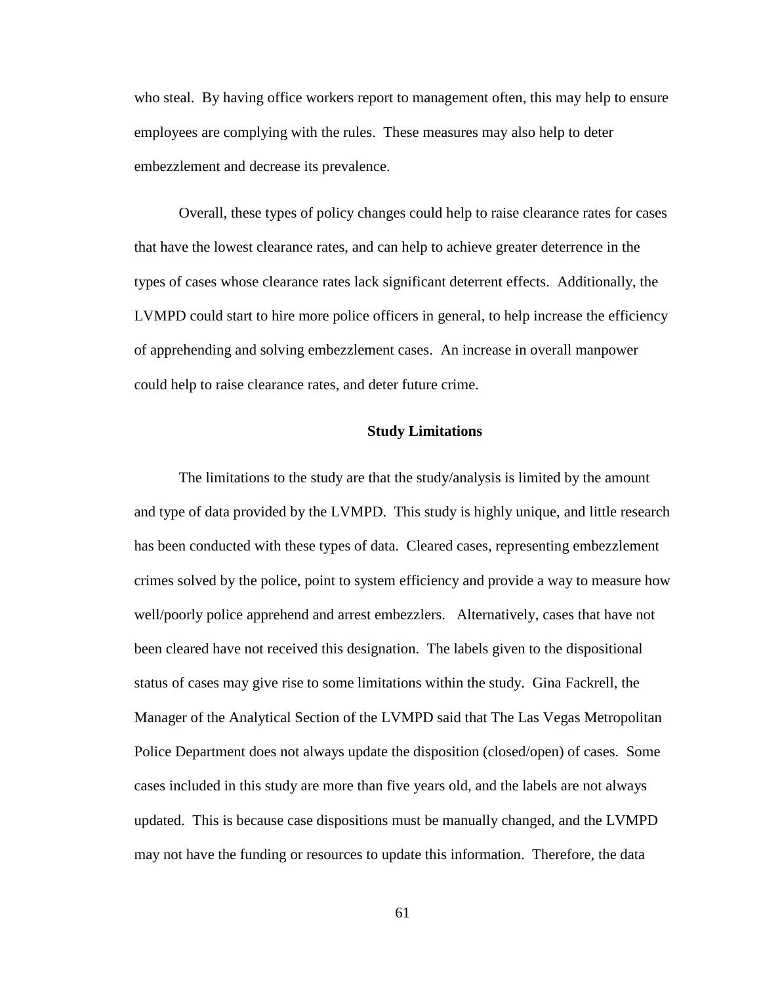who steal. By having office workers report to management often, this may help to ensure employees are complying with the rules. These measures may also help to deter embezzlement and decrease its prevalence.

Overall, these types of policy changes could help to raise clearance rates for cases that have the lowest clearance rates, and can help to achieve greater deterrence in the types of cases whose clearance rates lack significant deterrent effects. Additionally, the LVMPD could start to hire more police officers in general, to help increase the efficiency of apprehending and solving embezzlement cases. An increase in overall manpower could help to raise clearance rates, and deter future crime.

## **Study Limitations**

The limitations to the study are that the study/analysis is limited by the amount and type of data provided by the LVMPD. This study is highly unique, and little research has been conducted with these types of data. Cleared cases, representing embezzlement crimes solved by the police, point to system efficiency and provide a way to measure how well/poorly police apprehend and arrest embezzlers. Alternatively, cases that have not been cleared have not received this designation. The labels given to the dispositional status of cases may give rise to some limitations within the study. Gina Fackrell, the Manager of the Analytical Section of the LVMPD said that The Las Vegas Metropolitan Police Department does not always update the disposition (closed/open) of cases. Some cases included in this study are more than five years old, and the labels are not always updated. This is because case dispositions must be manually changed, and the LVMPD may not have the funding or resources to update this information. Therefore, the data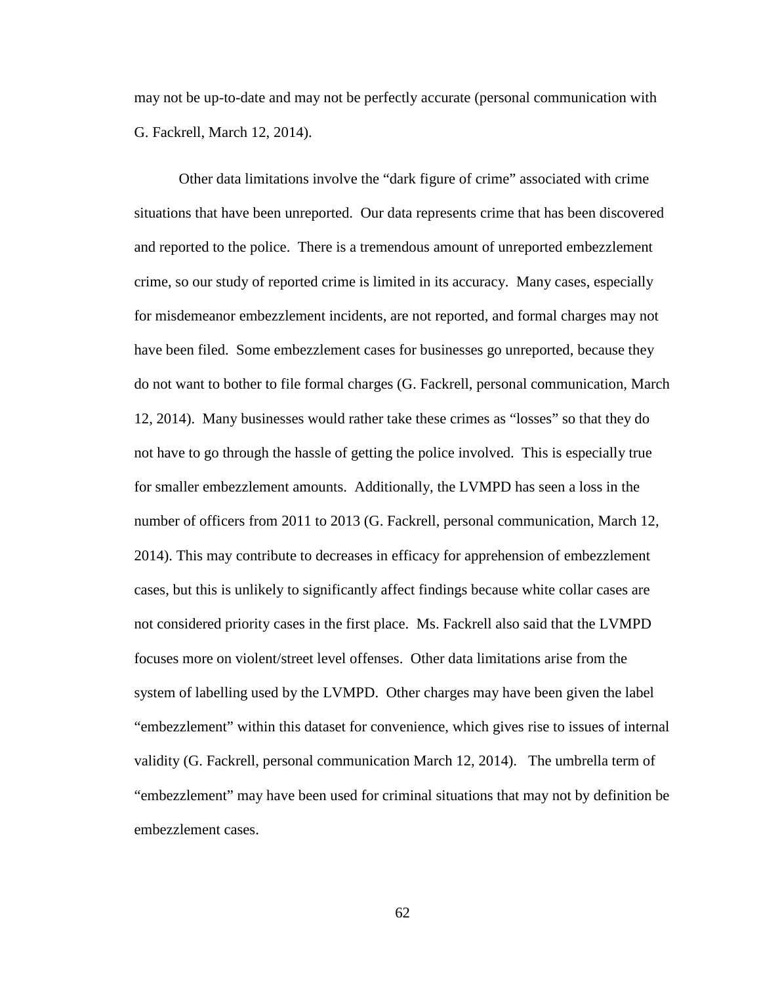may not be up-to-date and may not be perfectly accurate (personal communication with G. Fackrell, March 12, 2014).

Other data limitations involve the "dark figure of crime" associated with crime situations that have been unreported. Our data represents crime that has been discovered and reported to the police. There is a tremendous amount of unreported embezzlement crime, so our study of reported crime is limited in its accuracy. Many cases, especially for misdemeanor embezzlement incidents, are not reported, and formal charges may not have been filed. Some embezzlement cases for businesses go unreported, because they do not want to bother to file formal charges (G. Fackrell, personal communication, March 12, 2014). Many businesses would rather take these crimes as "losses" so that they do not have to go through the hassle of getting the police involved. This is especially true for smaller embezzlement amounts. Additionally, the LVMPD has seen a loss in the number of officers from 2011 to 2013 (G. Fackrell, personal communication, March 12, 2014). This may contribute to decreases in efficacy for apprehension of embezzlement cases, but this is unlikely to significantly affect findings because white collar cases are not considered priority cases in the first place. Ms. Fackrell also said that the LVMPD focuses more on violent/street level offenses. Other data limitations arise from the system of labelling used by the LVMPD. Other charges may have been given the label "embezzlement" within this dataset for convenience, which gives rise to issues of internal validity (G. Fackrell, personal communication March 12, 2014). The umbrella term of "embezzlement" may have been used for criminal situations that may not by definition be embezzlement cases.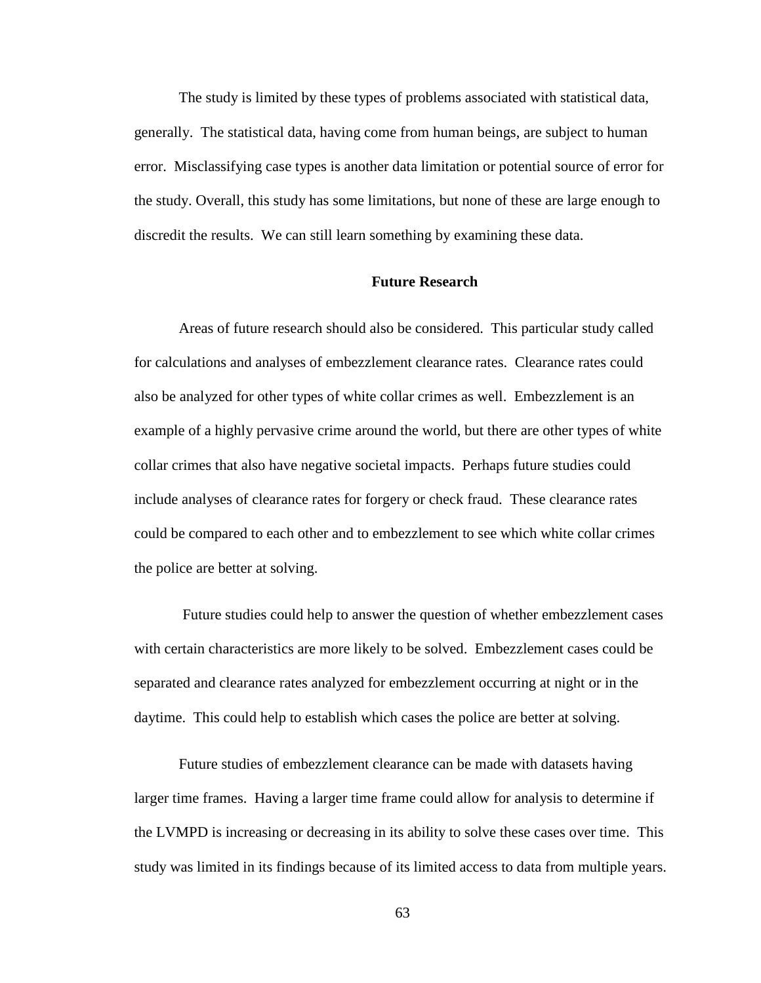The study is limited by these types of problems associated with statistical data, generally. The statistical data, having come from human beings, are subject to human error. Misclassifying case types is another data limitation or potential source of error for the study. Overall, this study has some limitations, but none of these are large enough to discredit the results. We can still learn something by examining these data.

## **Future Research**

Areas of future research should also be considered. This particular study called for calculations and analyses of embezzlement clearance rates. Clearance rates could also be analyzed for other types of white collar crimes as well. Embezzlement is an example of a highly pervasive crime around the world, but there are other types of white collar crimes that also have negative societal impacts. Perhaps future studies could include analyses of clearance rates for forgery or check fraud. These clearance rates could be compared to each other and to embezzlement to see which white collar crimes the police are better at solving.

Future studies could help to answer the question of whether embezzlement cases with certain characteristics are more likely to be solved. Embezzlement cases could be separated and clearance rates analyzed for embezzlement occurring at night or in the daytime. This could help to establish which cases the police are better at solving.

Future studies of embezzlement clearance can be made with datasets having larger time frames. Having a larger time frame could allow for analysis to determine if the LVMPD is increasing or decreasing in its ability to solve these cases over time. This study was limited in its findings because of its limited access to data from multiple years.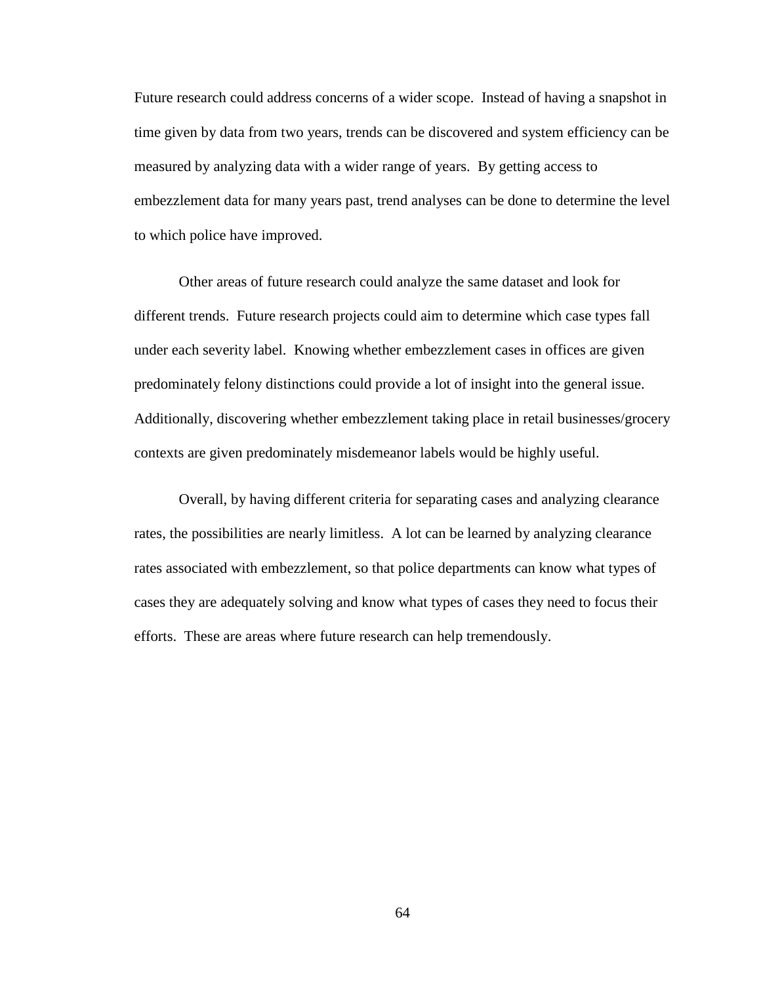Future research could address concerns of a wider scope. Instead of having a snapshot in time given by data from two years, trends can be discovered and system efficiency can be measured by analyzing data with a wider range of years. By getting access to embezzlement data for many years past, trend analyses can be done to determine the level to which police have improved.

Other areas of future research could analyze the same dataset and look for different trends. Future research projects could aim to determine which case types fall under each severity label. Knowing whether embezzlement cases in offices are given predominately felony distinctions could provide a lot of insight into the general issue. Additionally, discovering whether embezzlement taking place in retail businesses/grocery contexts are given predominately misdemeanor labels would be highly useful.

Overall, by having different criteria for separating cases and analyzing clearance rates, the possibilities are nearly limitless. A lot can be learned by analyzing clearance rates associated with embezzlement, so that police departments can know what types of cases they are adequately solving and know what types of cases they need to focus their efforts. These are areas where future research can help tremendously.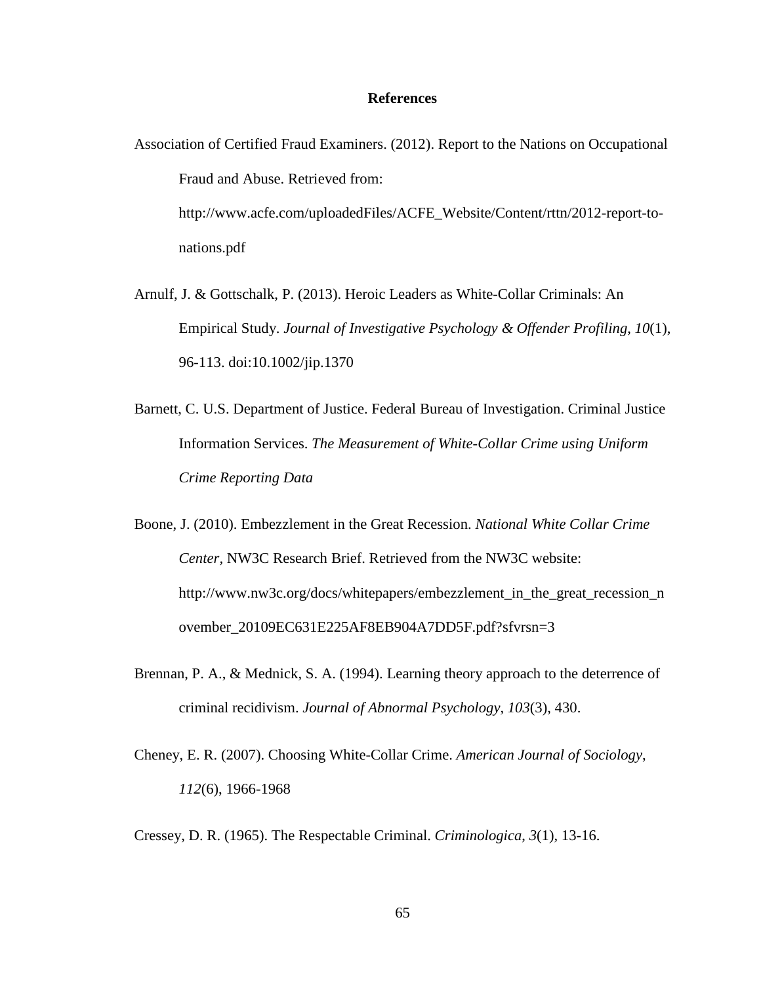## **References**

- Association of Certified Fraud Examiners. (2012). Report to the Nations on Occupational Fraud and Abuse. Retrieved from: http://www.acfe.com/uploadedFiles/ACFE\_Website/Content/rttn/2012-report-tonations.pdf
- Arnulf, J. & Gottschalk, P. (2013). Heroic Leaders as White-Collar Criminals: An Empirical Study. *Journal of Investigative Psychology & Offender Profiling*, *10*(1), 96-113. doi:10.1002/jip.1370
- Barnett, C. U.S. Department of Justice. Federal Bureau of Investigation. Criminal Justice Information Services. *The Measurement of White-Collar Crime using Uniform Crime Reporting Data*
- Boone, J. (2010). Embezzlement in the Great Recession. *National White Collar Crime Center,* NW3C Research Brief. Retrieved from the NW3C website: http://www.nw3c.org/docs/whitepapers/embezzlement\_in\_the\_great\_recession\_n ovember\_20109EC631E225AF8EB904A7DD5F.pdf?sfvrsn=3
- Brennan, P. A., & Mednick, S. A. (1994). Learning theory approach to the deterrence of criminal recidivism. *Journal of Abnormal Psychology*, *103*(3), 430.
- Cheney, E. R. (2007). Choosing White-Collar Crime. *American Journal of Sociology*, *112*(6), 1966-1968
- Cressey, D. R. (1965). The Respectable Criminal. *Criminologica*, *3*(1), 13-16.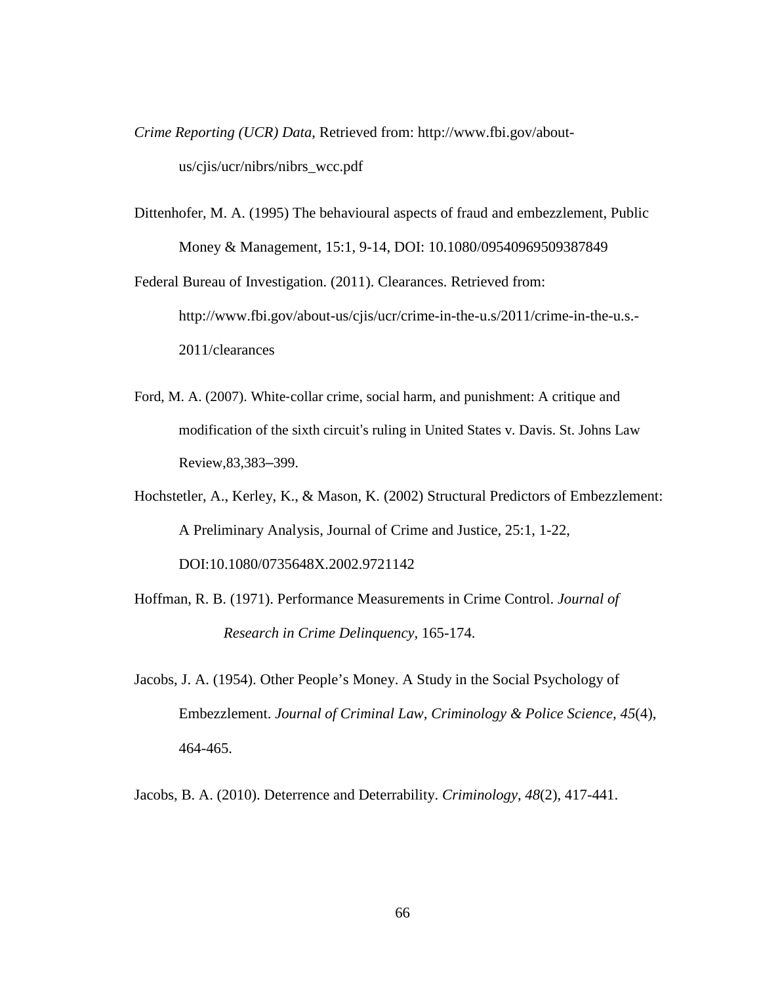*Crime Reporting (UCR) Data*, Retrieved from: http://www.fbi.gov/aboutus/cjis/ucr/nibrs/nibrs\_wcc.pdf

Dittenhofer, M. A. (1995) The behavioural aspects of fraud and embezzlement, Public Money & Management, 15:1, 9-14, DOI: 10.1080/09540969509387849

Federal Bureau of Investigation. (2011). Clearances. Retrieved from: http://www.fbi.gov/about-us/cjis/ucr/crime-in-the-u.s/2011/crime-in-the-u.s.- 2011/clearances

- Ford, M. A. (2007). White-collar crime, social harm, and punishment: A critique and modification of the sixth circuit's ruling in United States v. Davis. St. Johns Law Review,83,383–399.
- Hochstetler, A., Kerley, K., & Mason, K. (2002) Structural Predictors of Embezzlement: A Preliminary Analysis, Journal of Crime and Justice, 25:1, 1-22, DOI:10.1080/0735648X.2002.9721142
- Hoffman, R. B. (1971). Performance Measurements in Crime Control. *Journal of Research in Crime Delinquency,* 165-174.
- Jacobs, J. A. (1954). Other People's Money. A Study in the Social Psychology of Embezzlement. *Journal of Criminal Law, Criminology & Police Science*, *45*(4), 464-465.

Jacobs, B. A. (2010). Deterrence and Deterrability. *Criminology*, *48*(2), 417-441.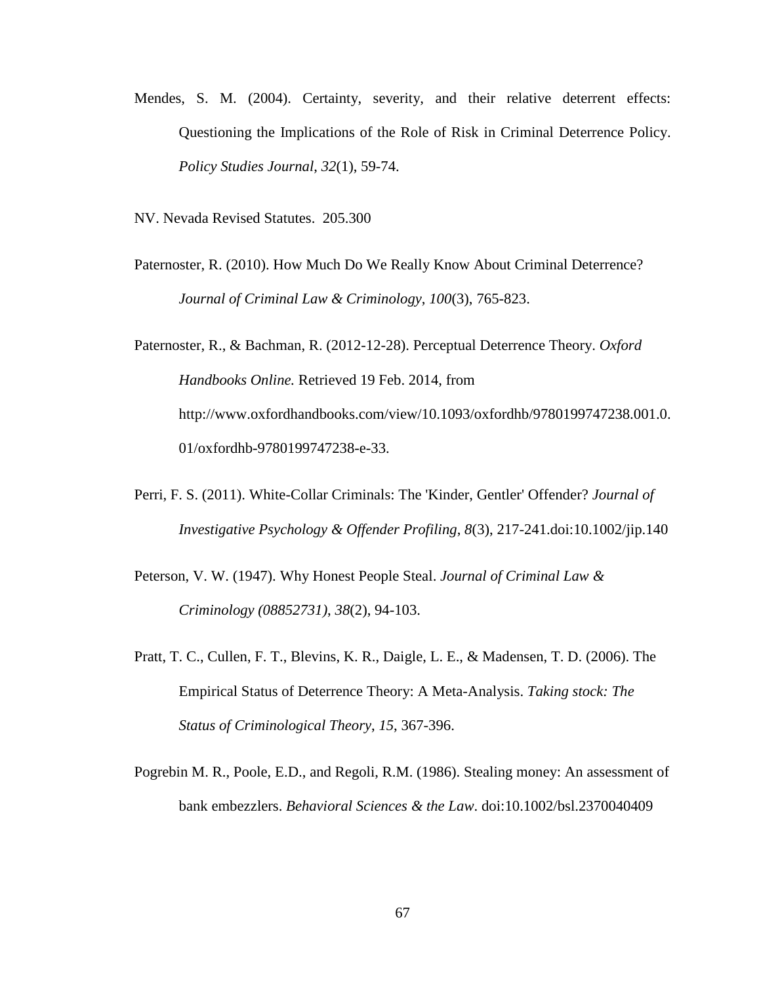- Mendes, S. M. (2004). Certainty, severity, and their relative deterrent effects: Questioning the Implications of the Role of Risk in Criminal Deterrence Policy. *Policy Studies Journal*, *32*(1), 59-74.
- NV. Nevada Revised Statutes. 205.300
- Paternoster, R. (2010). How Much Do We Really Know About Criminal Deterrence? *Journal of Criminal Law & Criminology*, *100*(3), 765-823.

Paternoster, R., & Bachman, R. (2012-12-28). Perceptual Deterrence Theory. *Oxford Handbooks Online.* Retrieved 19 Feb. 2014, from http://www.oxfordhandbooks.com/view/10.1093/oxfordhb/9780199747238.001.0. 01/oxfordhb-9780199747238-e-33.

- Perri, F. S. (2011). White-Collar Criminals: The 'Kinder, Gentler' Offender? *Journal of Investigative Psychology & Offender Profiling*, *8*(3), 217-241.doi:10.1002/jip.140
- Peterson, V. W. (1947). Why Honest People Steal. *Journal of Criminal Law & Criminology (08852731)*, *38*(2), 94-103.
- Pratt, T. C., Cullen, F. T., Blevins, K. R., Daigle, L. E., & Madensen, T. D. (2006). The Empirical Status of Deterrence Theory: A Meta-Analysis. *Taking stock: The Status of Criminological Theory*, *15*, 367-396.
- Pogrebin M. R., Poole, E.D., and Regoli, R.M. (1986). Stealing money: An assessment of bank embezzlers. *Behavioral Sciences & the Law*. doi:10.1002/bsl.2370040409